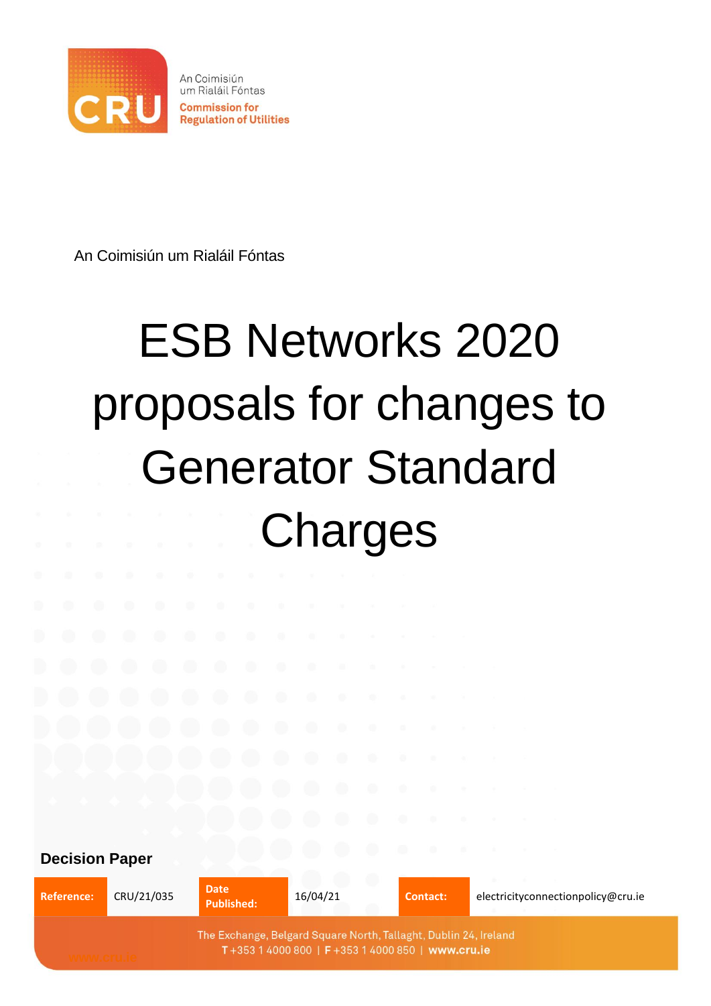

An Coimisiún um Rialáil Fóntas

# ESB Networks 2020 proposals for changes to Generator Standard **Charges**

**Decision Paper** 

Reference: CRU/21/035 **Date Date Published: Published:** 16/04/21 **Contact:** electricityconnectionpolicy@cru.ie The Exchange, Belgard Square North, Tallaght, Dublin 24, Ireland T+353 1 4000 800 | F+353 1 4000 850 | www.cru.ie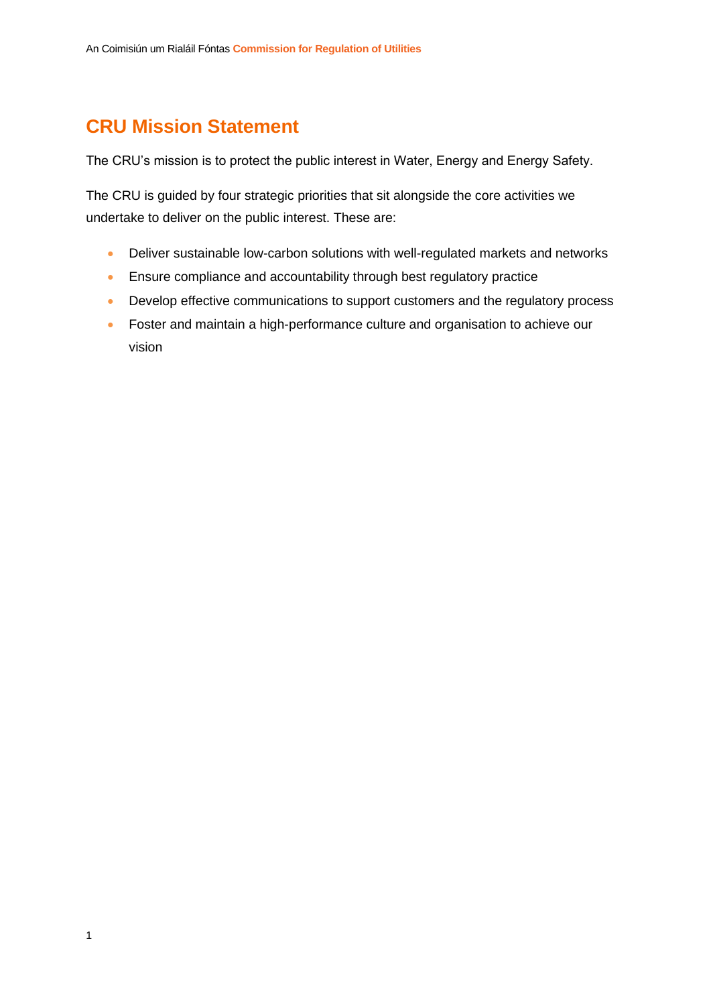### **CRU Mission Statement**

The CRU's mission is to protect the public interest in Water, Energy and Energy Safety.

The CRU is guided by four strategic priorities that sit alongside the core activities we undertake to deliver on the public interest. These are:

- Deliver sustainable low-carbon solutions with well-regulated markets and networks
- Ensure compliance and accountability through best regulatory practice
- Develop effective communications to support customers and the regulatory process
- Foster and maintain a high-performance culture and organisation to achieve our vision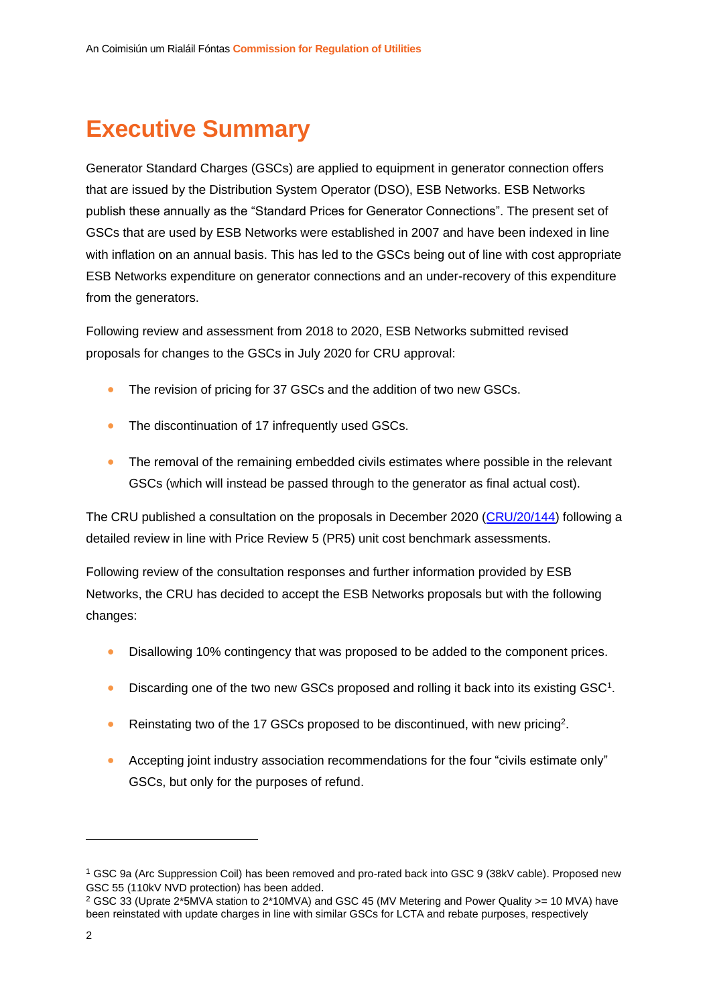# **Executive Summary**

Generator Standard Charges (GSCs) are applied to equipment in generator connection offers that are issued by the Distribution System Operator (DSO), ESB Networks. ESB Networks publish these annually as the "Standard Prices for Generator Connections". The present set of GSCs that are used by ESB Networks were established in 2007 and have been indexed in line with inflation on an annual basis. This has led to the GSCs being out of line with cost appropriate ESB Networks expenditure on generator connections and an under-recovery of this expenditure from the generators.

Following review and assessment from 2018 to 2020, ESB Networks submitted revised proposals for changes to the GSCs in July 2020 for CRU approval:

- The revision of pricing for 37 GSCs and the addition of two new GSCs.
- The discontinuation of 17 infrequently used GSCs.
- The removal of the remaining embedded civils estimates where possible in the relevant GSCs (which will instead be passed through to the generator as final actual cost).

The CRU published a consultation on the proposals in December 2020 [\(CRU/20/144\)](https://www.cru.ie/wp-content/uploads/2020/12/CRU20144-ESB-Networks-2020-proposals-for-changes-to-Generator-Standard-Charges.pdf) following a detailed review in line with Price Review 5 (PR5) unit cost benchmark assessments.

Following review of the consultation responses and further information provided by ESB Networks, the CRU has decided to accept the ESB Networks proposals but with the following changes:

- Disallowing 10% contingency that was proposed to be added to the component prices.
- Discarding one of the two new GSCs proposed and rolling it back into its existing GSC<sup>1</sup>.
- Reinstating two of the 17 GSCs proposed to be discontinued, with new pricing<sup>2</sup>.
- Accepting joint industry association recommendations for the four "civils estimate only" GSCs, but only for the purposes of refund.

<sup>1</sup> GSC 9a (Arc Suppression Coil) has been removed and pro-rated back into GSC 9 (38kV cable). Proposed new GSC 55 (110kV NVD protection) has been added.

<sup>&</sup>lt;sup>2</sup> GSC 33 (Uprate 2\*5MVA station to 2\*10MVA) and GSC 45 (MV Metering and Power Quality >= 10 MVA) have been reinstated with update charges in line with similar GSCs for LCTA and rebate purposes, respectively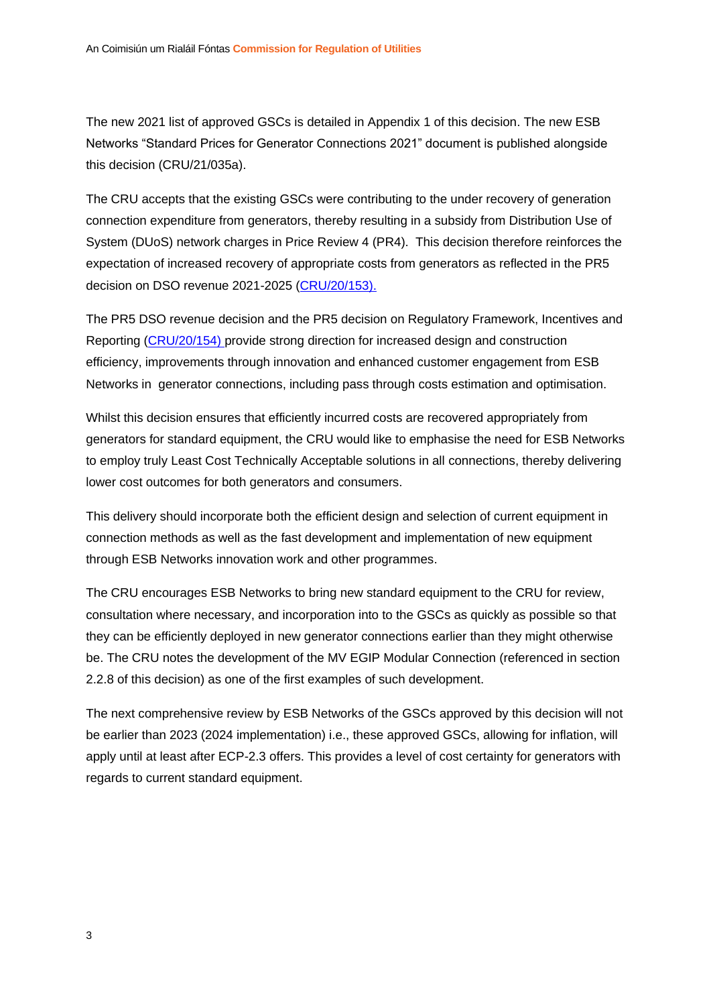The new 2021 list of approved GSCs is detailed in Appendix 1 of this decision. The new ESB Networks "Standard Prices for Generator Connections 2021" document is published alongside this decision (CRU/21/035a).

The CRU accepts that the existing GSCs were contributing to the under recovery of generation connection expenditure from generators, thereby resulting in a subsidy from Distribution Use of System (DUoS) network charges in Price Review 4 (PR4). This decision therefore reinforces the expectation of increased recovery of appropriate costs from generators as reflected in the PR5 decision on DSO revenue 2021-2025 [\(CRU/20/153\)](https://www.cru.ie/wp-content/uploads/2020/12/CRU20153-Distribution-System-Operator-DSO-Revenue-for-2021-2025.pdf).

The PR5 DSO revenue decision and the PR5 decision on Regulatory Framework, Incentives and Reporting [\(CRU/20/154\)](https://www.cru.ie/wp-content/uploads/2020/12/CRU20154-PR5-Regulatory-Framework-Incentives-and-Reporting-1.pdf) provide strong direction for increased design and construction efficiency, improvements through innovation and enhanced customer engagement from ESB Networks in generator connections, including pass through costs estimation and optimisation.

Whilst this decision ensures that efficiently incurred costs are recovered appropriately from generators for standard equipment, the CRU would like to emphasise the need for ESB Networks to employ truly Least Cost Technically Acceptable solutions in all connections, thereby delivering lower cost outcomes for both generators and consumers.

This delivery should incorporate both the efficient design and selection of current equipment in connection methods as well as the fast development and implementation of new equipment through ESB Networks innovation work and other programmes.

The CRU encourages ESB Networks to bring new standard equipment to the CRU for review, consultation where necessary, and incorporation into to the GSCs as quickly as possible so that they can be efficiently deployed in new generator connections earlier than they might otherwise be. The CRU notes the development of the MV EGIP Modular Connection (referenced in section 2.2.8 of this decision) as one of the first examples of such development.

The next comprehensive review by ESB Networks of the GSCs approved by this decision will not be earlier than 2023 (2024 implementation) i.e., these approved GSCs, allowing for inflation, will apply until at least after ECP-2.3 offers. This provides a level of cost certainty for generators with regards to current standard equipment.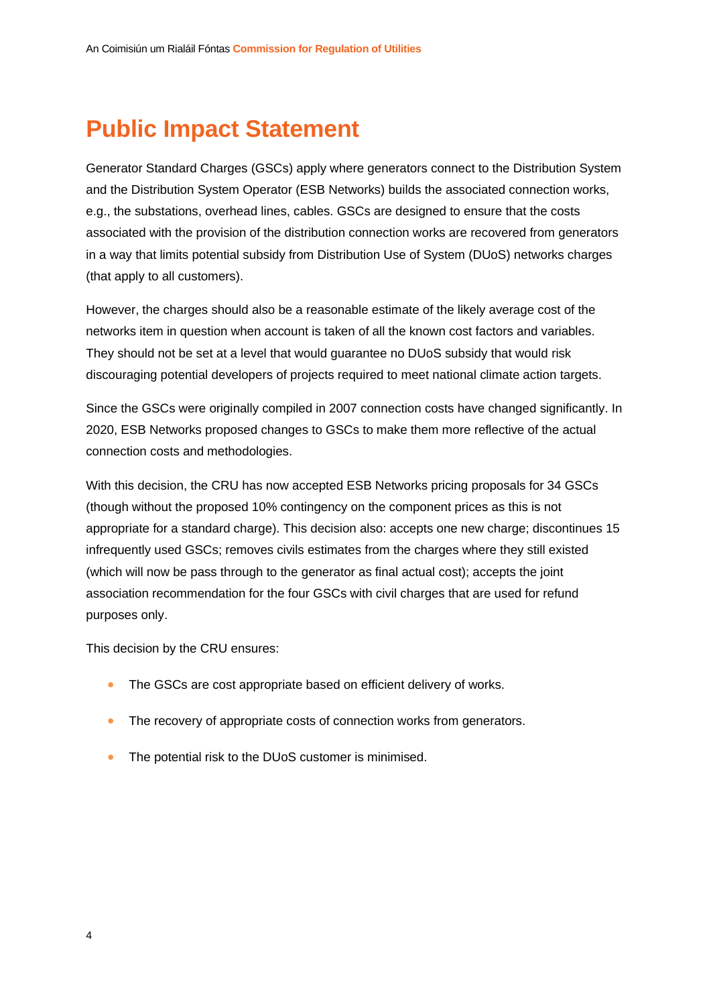# **Public Impact Statement**

Generator Standard Charges (GSCs) apply where generators connect to the Distribution System and the Distribution System Operator (ESB Networks) builds the associated connection works, e.g., the substations, overhead lines, cables. GSCs are designed to ensure that the costs associated with the provision of the distribution connection works are recovered from generators in a way that limits potential subsidy from Distribution Use of System (DUoS) networks charges (that apply to all customers).

However, the charges should also be a reasonable estimate of the likely average cost of the networks item in question when account is taken of all the known cost factors and variables. They should not be set at a level that would guarantee no DUoS subsidy that would risk discouraging potential developers of projects required to meet national climate action targets.

Since the GSCs were originally compiled in 2007 connection costs have changed significantly. In 2020, ESB Networks proposed changes to GSCs to make them more reflective of the actual connection costs and methodologies.

With this decision, the CRU has now accepted ESB Networks pricing proposals for 34 GSCs (though without the proposed 10% contingency on the component prices as this is not appropriate for a standard charge). This decision also: accepts one new charge; discontinues 15 infrequently used GSCs; removes civils estimates from the charges where they still existed (which will now be pass through to the generator as final actual cost); accepts the joint association recommendation for the four GSCs with civil charges that are used for refund purposes only.

This decision by the CRU ensures:

- The GSCs are cost appropriate based on efficient delivery of works.
- The recovery of appropriate costs of connection works from generators.
- The potential risk to the DUoS customer is minimised.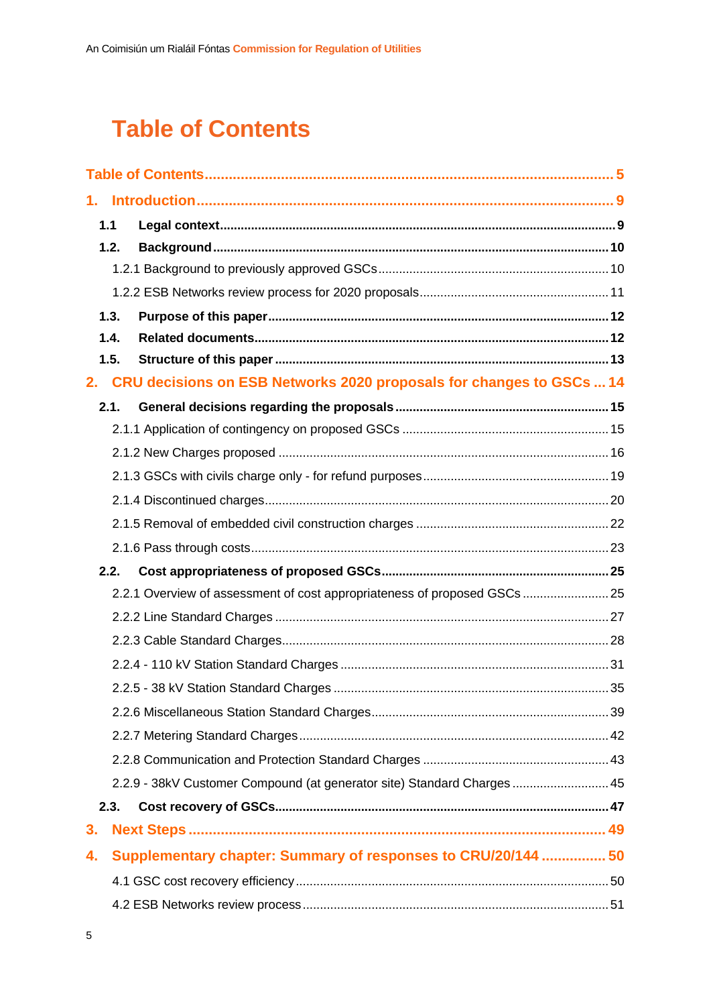# <span id="page-5-0"></span>**Table of Contents**

|    | 1.1  |                                                                           |  |
|----|------|---------------------------------------------------------------------------|--|
|    | 1.2. |                                                                           |  |
|    |      |                                                                           |  |
|    |      |                                                                           |  |
|    | 1.3. |                                                                           |  |
|    | 1.4. |                                                                           |  |
|    | 1.5. |                                                                           |  |
| 2. |      | CRU decisions on ESB Networks 2020 proposals for changes to GSCs  14      |  |
|    | 2.1. |                                                                           |  |
|    |      |                                                                           |  |
|    |      |                                                                           |  |
|    |      |                                                                           |  |
|    |      |                                                                           |  |
|    |      |                                                                           |  |
|    |      |                                                                           |  |
|    | 2.2. |                                                                           |  |
|    |      | 2.2.1 Overview of assessment of cost appropriateness of proposed GSCs  25 |  |
|    |      |                                                                           |  |
|    |      |                                                                           |  |
|    |      |                                                                           |  |
|    |      |                                                                           |  |
|    |      |                                                                           |  |
|    |      |                                                                           |  |
|    |      |                                                                           |  |
|    |      | 2.2.9 - 38kV Customer Compound (at generator site) Standard Charges  45   |  |
|    | 2.3. |                                                                           |  |
| 3. |      |                                                                           |  |
| 4. |      | Supplementary chapter: Summary of responses to CRU/20/144  50             |  |
|    |      |                                                                           |  |
|    |      |                                                                           |  |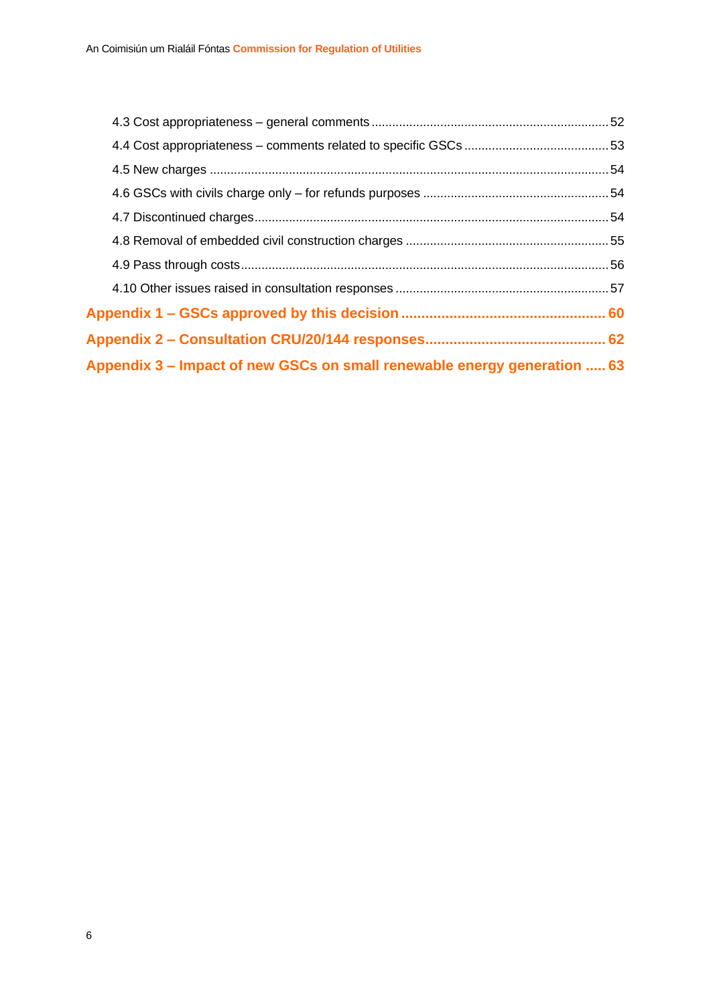| Appendix 3 – Impact of new GSCs on small renewable energy generation  63 |  |
|--------------------------------------------------------------------------|--|
|                                                                          |  |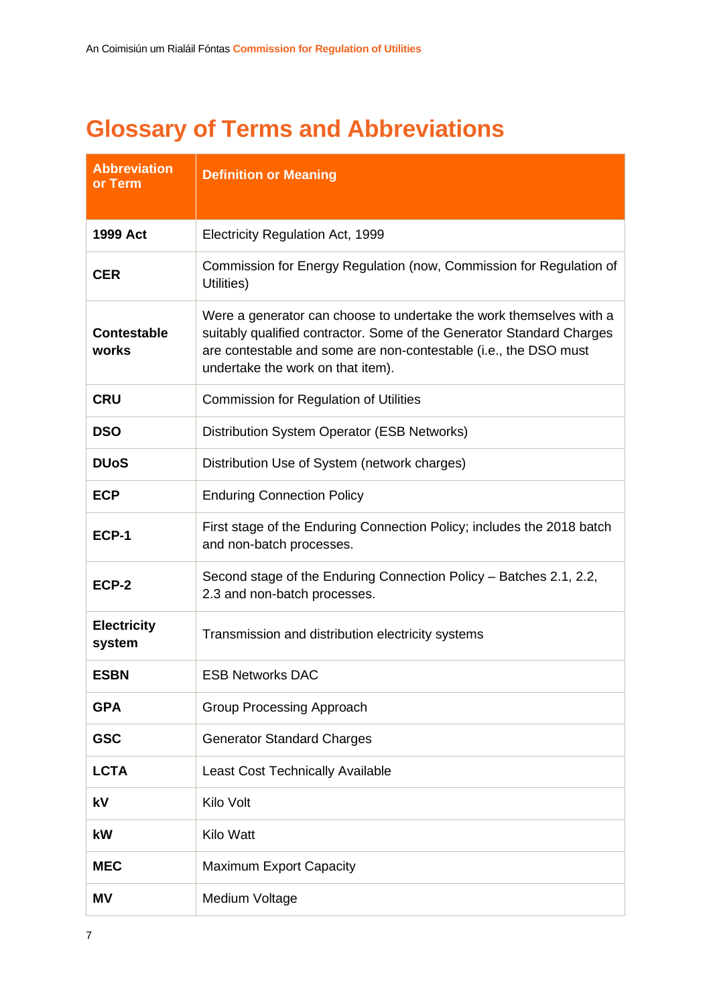# **Glossary of Terms and Abbreviations**

| <b>Abbreviation</b><br>or Term | <b>Definition or Meaning</b>                                                                                                                                                                                                                          |
|--------------------------------|-------------------------------------------------------------------------------------------------------------------------------------------------------------------------------------------------------------------------------------------------------|
| 1999 Act                       | Electricity Regulation Act, 1999                                                                                                                                                                                                                      |
| <b>CER</b>                     | Commission for Energy Regulation (now, Commission for Regulation of<br>Utilities)                                                                                                                                                                     |
| <b>Contestable</b><br>works    | Were a generator can choose to undertake the work themselves with a<br>suitably qualified contractor. Some of the Generator Standard Charges<br>are contestable and some are non-contestable (i.e., the DSO must<br>undertake the work on that item). |
| <b>CRU</b>                     | Commission for Regulation of Utilities                                                                                                                                                                                                                |
| <b>DSO</b>                     | Distribution System Operator (ESB Networks)                                                                                                                                                                                                           |
| <b>DUoS</b>                    | Distribution Use of System (network charges)                                                                                                                                                                                                          |
| <b>ECP</b>                     | <b>Enduring Connection Policy</b>                                                                                                                                                                                                                     |
| ECP-1                          | First stage of the Enduring Connection Policy; includes the 2018 batch<br>and non-batch processes.                                                                                                                                                    |
| ECP-2                          | Second stage of the Enduring Connection Policy – Batches 2.1, 2.2,<br>2.3 and non-batch processes.                                                                                                                                                    |
| <b>Electricity</b><br>system   | Transmission and distribution electricity systems                                                                                                                                                                                                     |
| <b>ESBN</b>                    | <b>ESB Networks DAC</b>                                                                                                                                                                                                                               |
| <b>GPA</b>                     | Group Processing Approach                                                                                                                                                                                                                             |
| <b>GSC</b>                     | <b>Generator Standard Charges</b>                                                                                                                                                                                                                     |
| <b>LCTA</b>                    | <b>Least Cost Technically Available</b>                                                                                                                                                                                                               |
| kV                             | Kilo Volt                                                                                                                                                                                                                                             |
| kW                             | <b>Kilo Watt</b>                                                                                                                                                                                                                                      |
| <b>MEC</b>                     | <b>Maximum Export Capacity</b>                                                                                                                                                                                                                        |
| ΜV                             | Medium Voltage                                                                                                                                                                                                                                        |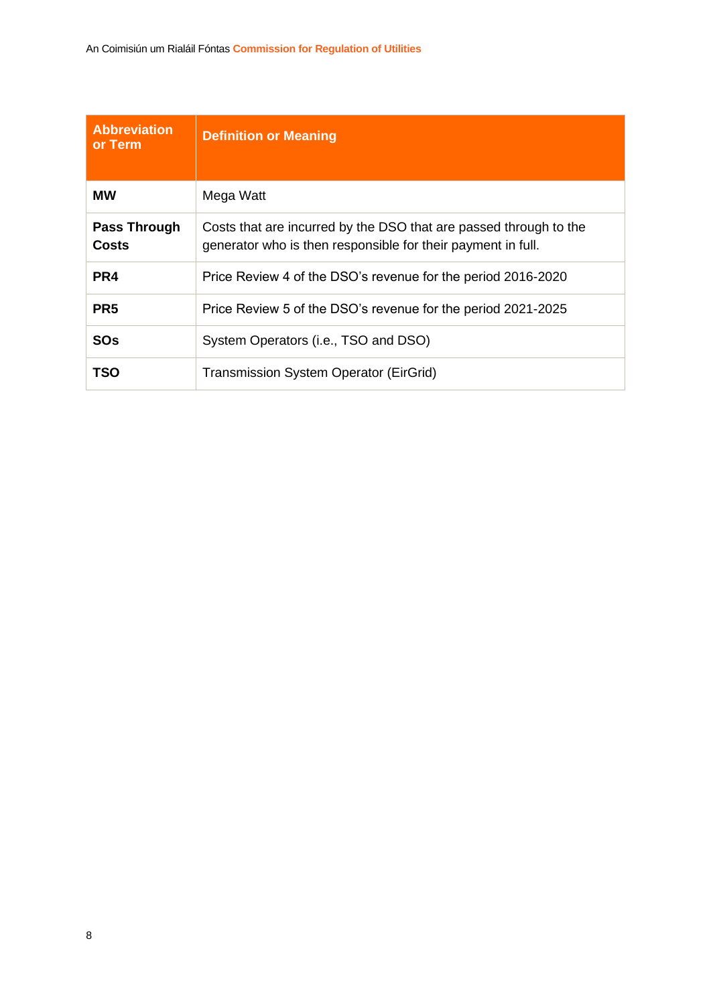| <b>Abbreviation</b><br>or Term | <b>Definition or Meaning</b>                                                                                                      |
|--------------------------------|-----------------------------------------------------------------------------------------------------------------------------------|
| <b>MW</b>                      | Mega Watt                                                                                                                         |
| Pass Through<br><b>Costs</b>   | Costs that are incurred by the DSO that are passed through to the<br>generator who is then responsible for their payment in full. |
| PR <sub>4</sub>                | Price Review 4 of the DSO's revenue for the period 2016-2020                                                                      |
| PR <sub>5</sub>                | Price Review 5 of the DSO's revenue for the period 2021-2025                                                                      |
| SOs                            | System Operators (i.e., TSO and DSO)                                                                                              |
| TSO                            | <b>Transmission System Operator (EirGrid)</b>                                                                                     |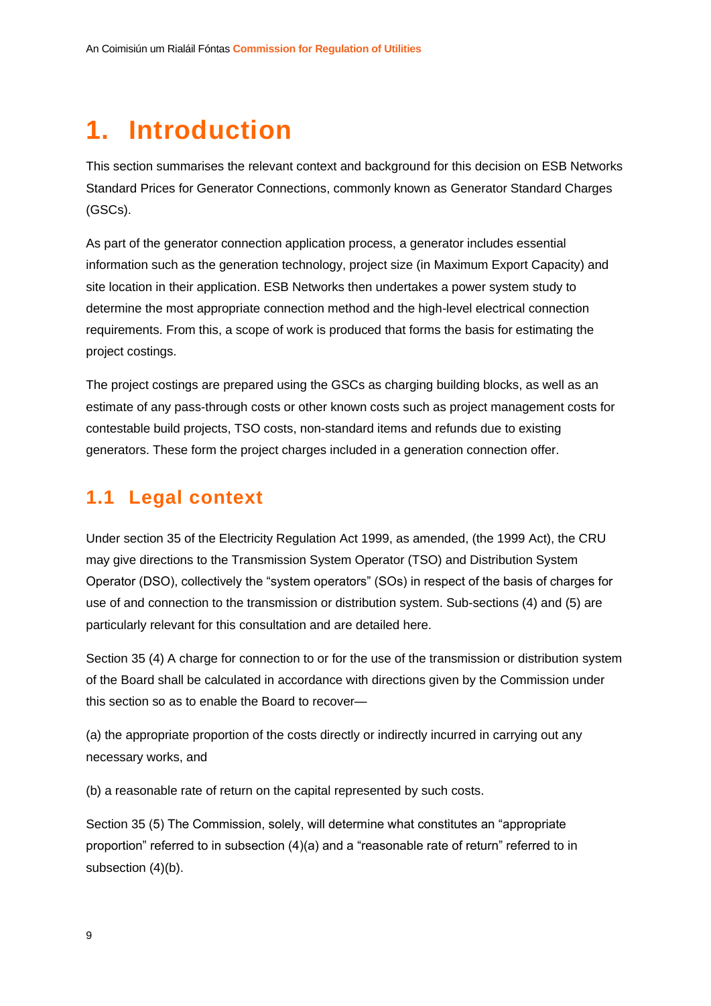# <span id="page-9-0"></span>**1. Introduction**

This section summarises the relevant context and background for this decision on ESB Networks Standard Prices for Generator Connections, commonly known as Generator Standard Charges (GSCs).

As part of the generator connection application process, a generator includes essential information such as the generation technology, project size (in Maximum Export Capacity) and site location in their application. ESB Networks then undertakes a power system study to determine the most appropriate connection method and the high-level electrical connection requirements. From this, a scope of work is produced that forms the basis for estimating the project costings.

The project costings are prepared using the GSCs as charging building blocks, as well as an estimate of any pass-through costs or other known costs such as project management costs for contestable build projects, TSO costs, non-standard items and refunds due to existing generators. These form the project charges included in a generation connection offer.

### <span id="page-9-1"></span>**1.1 Legal context**

Under section 35 of the Electricity Regulation Act 1999, as amended, (the 1999 Act), the CRU may give directions to the Transmission System Operator (TSO) and Distribution System Operator (DSO), collectively the "system operators" (SOs) in respect of the basis of charges for use of and connection to the transmission or distribution system. Sub-sections (4) and (5) are particularly relevant for this consultation and are detailed here.

Section 35 (4) A charge for connection to or for the use of the transmission or distribution system of the Board shall be calculated in accordance with directions given by the Commission under this section so as to enable the Board to recover—

(a) the appropriate proportion of the costs directly or indirectly incurred in carrying out any necessary works, and

(b) a reasonable rate of return on the capital represented by such costs.

Section 35 (5) The Commission, solely, will determine what constitutes an "appropriate proportion" referred to in subsection  $(4)(a)$  and a "reasonable rate of return" referred to in subsection (4)(b).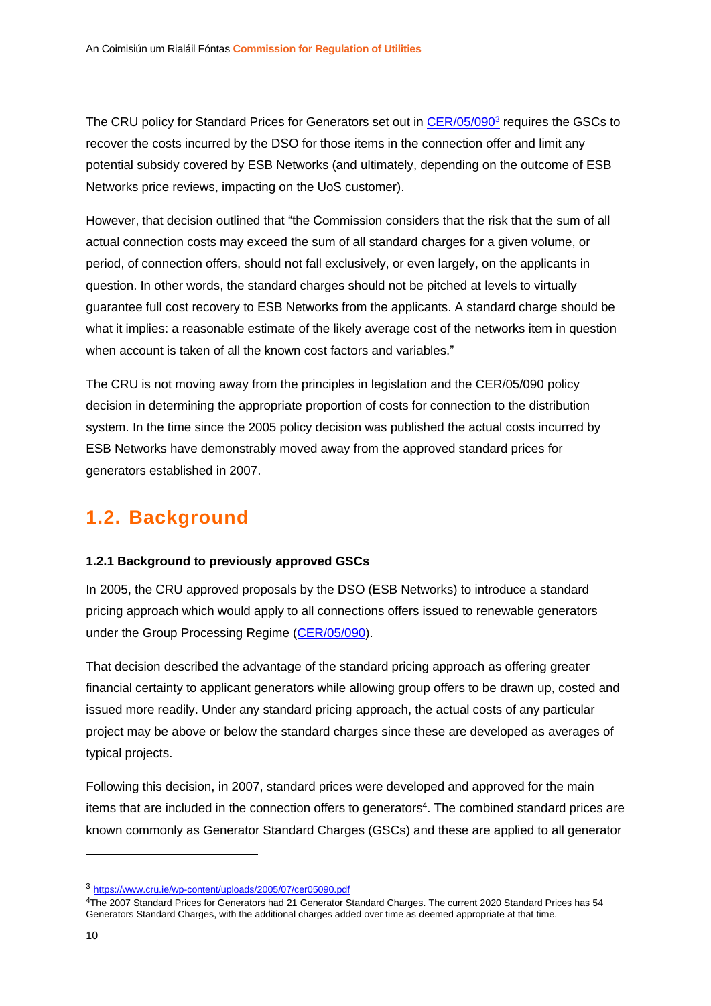The CRU policy for Standard Prices for Generators set out in [CER/05/090](https://www.cru.ie/wp-content/uploads/2005/07/cer05090.pdf)<sup>3</sup> requires the GSCs to recover the costs incurred by the DSO for those items in the connection offer and limit any potential subsidy covered by ESB Networks (and ultimately, depending on the outcome of ESB Networks price reviews, impacting on the UoS customer).

However, that decision outlined that "the Commission considers that the risk that the sum of all actual connection costs may exceed the sum of all standard charges for a given volume, or period, of connection offers, should not fall exclusively, or even largely, on the applicants in question. In other words, the standard charges should not be pitched at levels to virtually guarantee full cost recovery to ESB Networks from the applicants. A standard charge should be what it implies: a reasonable estimate of the likely average cost of the networks item in question when account is taken of all the known cost factors and variables."

The CRU is not moving away from the principles in legislation and the CER/05/090 policy decision in determining the appropriate proportion of costs for connection to the distribution system. In the time since the 2005 policy decision was published the actual costs incurred by ESB Networks have demonstrably moved away from the approved standard prices for generators established in 2007.

### <span id="page-10-0"></span>**1.2. Background**

#### <span id="page-10-1"></span>**1.2.1 Background to previously approved GSCs**

In 2005, the CRU approved proposals by the DSO (ESB Networks) to introduce a standard pricing approach which would apply to all connections offers issued to renewable generators under the Group Processing Regime [\(CER/05/090\)](https://www.cru.ie/wp-content/uploads/2005/07/cer05090.pdf).

That decision described the advantage of the standard pricing approach as offering greater financial certainty to applicant generators while allowing group offers to be drawn up, costed and issued more readily. Under any standard pricing approach, the actual costs of any particular project may be above or below the standard charges since these are developed as averages of typical projects.

Following this decision, in 2007, standard prices were developed and approved for the main items that are included in the connection offers to generators<sup>4</sup>. The combined standard prices are known commonly as Generator Standard Charges (GSCs) and these are applied to all generator

<sup>3</sup> <https://www.cru.ie/wp-content/uploads/2005/07/cer05090.pdf>

<sup>4</sup>The 2007 Standard Prices for Generators had 21 Generator Standard Charges. The current 2020 Standard Prices has 54 Generators Standard Charges, with the additional charges added over time as deemed appropriate at that time.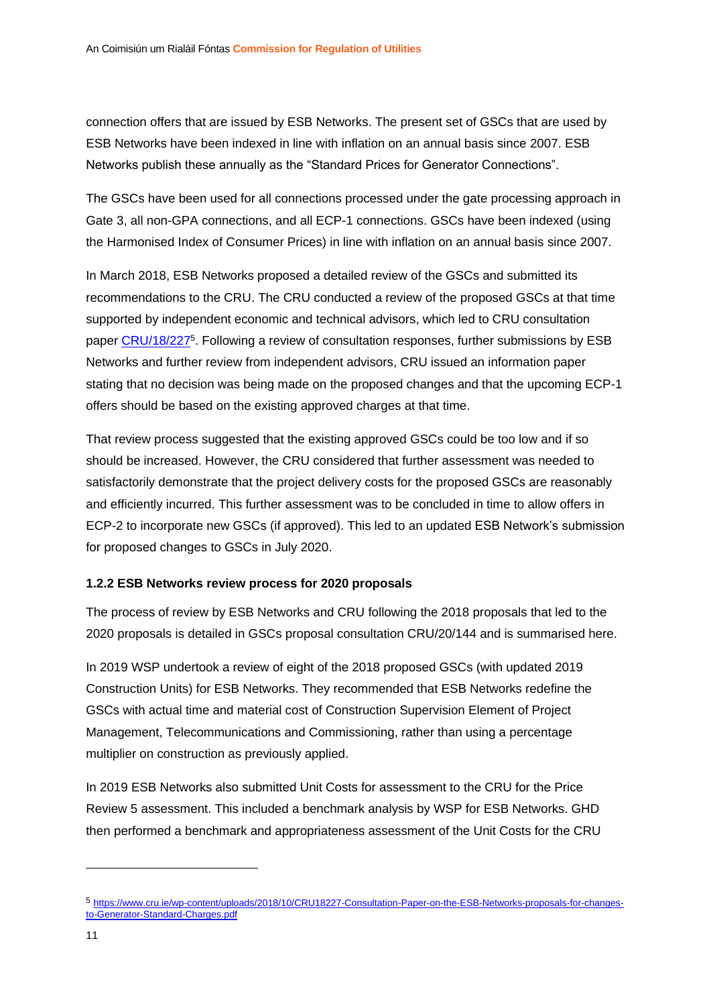connection offers that are issued by ESB Networks. The present set of GSCs that are used by ESB Networks have been indexed in line with inflation on an annual basis since 2007. ESB Networks publish these annually as the "Standard Prices for Generator Connections".

The GSCs have been used for all connections processed under the gate processing approach in Gate 3, all non-GPA connections, and all ECP-1 connections. GSCs have been indexed (using the Harmonised Index of Consumer Prices) in line with inflation on an annual basis since 2007.

In March 2018, ESB Networks proposed a detailed review of the GSCs and submitted its recommendations to the CRU. The CRU conducted a review of the proposed GSCs at that time supported by independent economic and technical advisors, which led to CRU consultation paper [CRU/18/227](https://www.cru.ie/wp-content/uploads/2018/10/CRU18227-Consultation-Paper-on-the-ESB-Networks-proposals-for-changes-to-Generator-Standard-Charges.pdf)<sup>5</sup>. Following a review of consultation responses, further submissions by ESB Networks and further review from independent advisors, CRU issued an information paper stating that no decision was being made on the proposed changes and that the upcoming ECP-1 offers should be based on the existing approved charges at that time.

That review process suggested that the existing approved GSCs could be too low and if so should be increased. However, the CRU considered that further assessment was needed to satisfactorily demonstrate that the project delivery costs for the proposed GSCs are reasonably and efficiently incurred. This further assessment was to be concluded in time to allow offers in ECP-2 to incorporate new GSCs (if approved). This led to an updated ESB Network's submission for proposed changes to GSCs in July 2020.

#### <span id="page-11-0"></span>**1.2.2 ESB Networks review process for 2020 proposals**

The process of review by ESB Networks and CRU following the 2018 proposals that led to the 2020 proposals is detailed in GSCs proposal consultation CRU/20/144 and is summarised here.

In 2019 WSP undertook a review of eight of the 2018 proposed GSCs (with updated 2019 Construction Units) for ESB Networks. They recommended that ESB Networks redefine the GSCs with actual time and material cost of Construction Supervision Element of Project Management, Telecommunications and Commissioning, rather than using a percentage multiplier on construction as previously applied.

In 2019 ESB Networks also submitted Unit Costs for assessment to the CRU for the Price Review 5 assessment. This included a benchmark analysis by WSP for ESB Networks. GHD then performed a benchmark and appropriateness assessment of the Unit Costs for the CRU

<sup>5</sup> [https://www.cru.ie/wp-content/uploads/2018/10/CRU18227-Consultation-Paper-on-the-ESB-Networks-proposals-for-changes](https://www.cru.ie/wp-content/uploads/2018/10/CRU18227-Consultation-Paper-on-the-ESB-Networks-proposals-for-changes-to-Generator-Standard-Charges.pdf)[to-Generator-Standard-Charges.pdf](https://www.cru.ie/wp-content/uploads/2018/10/CRU18227-Consultation-Paper-on-the-ESB-Networks-proposals-for-changes-to-Generator-Standard-Charges.pdf)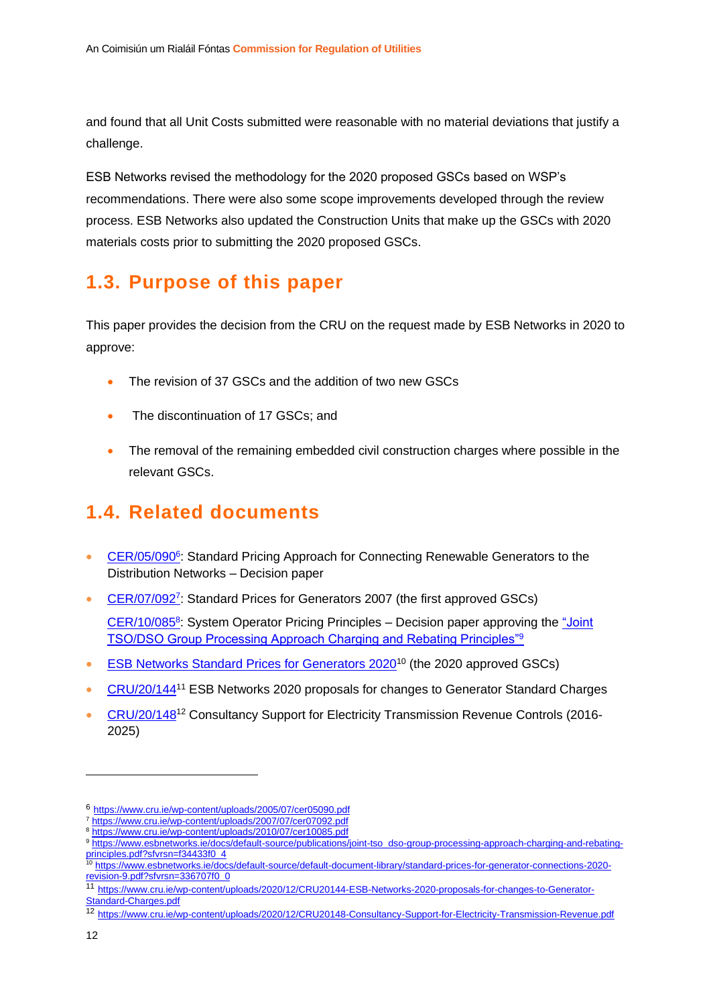and found that all Unit Costs submitted were reasonable with no material deviations that justify a challenge.

ESB Networks revised the methodology for the 2020 proposed GSCs based on WSP's recommendations. There were also some scope improvements developed through the review process. ESB Networks also updated the Construction Units that make up the GSCs with 2020 materials costs prior to submitting the 2020 proposed GSCs.

### <span id="page-12-0"></span>**1.3. Purpose of this paper**

This paper provides the decision from the CRU on the request made by ESB Networks in 2020 to approve:

- The revision of 37 GSCs and the addition of two new GSCs
- The discontinuation of 17 GSCs; and
- The removal of the remaining embedded civil construction charges where possible in the relevant GSCs.

### <span id="page-12-1"></span>**1.4. Related documents**

- [CER/05/090](https://www.cru.ie/wp-content/uploads/2005/07/cer05090.pdf)<sup>6</sup>: Standard Pricing Approach for Connecting Renewable Generators to the Distribution Networks – Decision paper
- [CER/07/092](https://www.cru.ie/wp-content/uploads/2007/07/cer07092.pdf)<sup>7</sup>: Standard Prices for Generators 2007 (the first approved GSCs)

[CER/10/085](https://www.cru.ie/wp-content/uploads/2010/07/cer10085.pdf)<sup>8</sup>: System Operator Pricing Principles – Decision paper approving the "Joint [TSO/DSO Group Processing Approach Charging and Rebating Principles"](https://www.esbnetworks.ie/docs/default-source/publications/joint-tso_dso-group-processing-approach-charging-and-rebating-principles.pdf?sfvrsn=f34433f0_4)<sup>9</sup>

- [ESB Networks Standard Prices for Generators 2020](https://www.esbnetworks.ie/docs/default-source/default-document-library/standard-prices-for-generator-connections-2020-revision-9.pdf?sfvrsn=336707f0_0)<sup>10</sup> (the 2020 approved GSCs)
- [CRU/20/144](https://www.cru.ie/wp-content/uploads/2020/12/CRU20144-ESB-Networks-2020-proposals-for-changes-to-Generator-Standard-Charges.pdf)<sup>11</sup> ESB Networks 2020 proposals for changes to Generator Standard Charges
- [CRU/20/148](https://www.cru.ie/wp-content/uploads/2020/12/CRU20148-Consultancy-Support-for-Electricity-Transmission-Revenue.pdf)<sup>12</sup> Consultancy Support for Electricity Transmission Revenue Controls (2016- 2025)

<sup>6</sup> <https://www.cru.ie/wp-content/uploads/2005/07/cer05090.pdf>

<sup>7</sup> <https://www.cru.ie/wp-content/uploads/2007/07/cer07092.pdf>

<sup>8</sup> <https://www.cru.ie/wp-content/uploads/2010/07/cer10085.pdf>

<sup>9</sup> [https://www.esbnetworks.ie/docs/default-source/publications/joint-tso\\_dso-group-processing-approach-charging-and-rebating](https://www.esbnetworks.ie/docs/default-source/publications/joint-tso_dso-group-processing-approach-charging-and-rebating-principles.pdf?sfvrsn=f34433f0_4)[principles.pdf?sfvrsn=f34433f0\\_4](https://www.esbnetworks.ie/docs/default-source/publications/joint-tso_dso-group-processing-approach-charging-and-rebating-principles.pdf?sfvrsn=f34433f0_4)

<sup>10</sup> [https://www.esbnetworks.ie/docs/default-source/default-document-library/standard-prices-for-generator-connections-2020](https://www.esbnetworks.ie/docs/default-source/default-document-library/standard-prices-for-generator-connections-2020-revision-9.pdf?sfvrsn=336707f0_0) [revision-9.pdf?sfvrsn=336707f0\\_0](https://www.esbnetworks.ie/docs/default-source/default-document-library/standard-prices-for-generator-connections-2020-revision-9.pdf?sfvrsn=336707f0_0)

<sup>11</sup> [https://www.cru.ie/wp-content/uploads/2020/12/CRU20144-ESB-Networks-2020-proposals-for-changes-to-Generator-](https://www.cru.ie/wp-content/uploads/2020/12/CRU20144-ESB-Networks-2020-proposals-for-changes-to-Generator-Standard-Charges.pdf)[Standard-Charges.pdf](https://www.cru.ie/wp-content/uploads/2020/12/CRU20144-ESB-Networks-2020-proposals-for-changes-to-Generator-Standard-Charges.pdf)

<sup>12</sup> <https://www.cru.ie/wp-content/uploads/2020/12/CRU20148-Consultancy-Support-for-Electricity-Transmission-Revenue.pdf>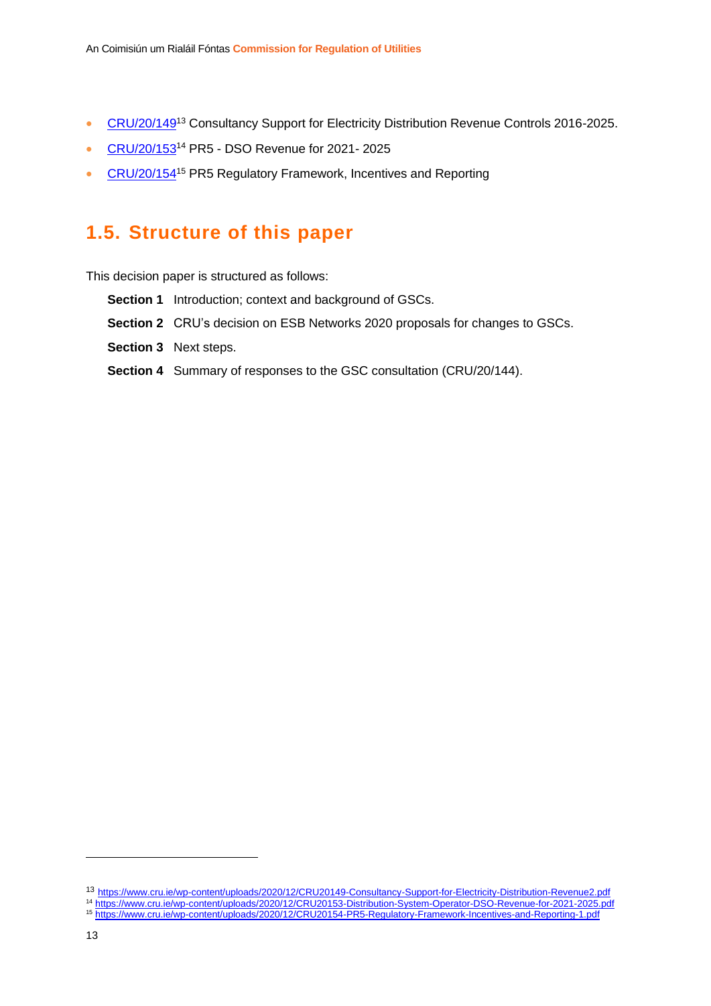- [CRU/20/149](https://www.cru.ie/wp-content/uploads/2020/12/CRU20149-Consultancy-Support-for-Electricity-Distribution-Revenue2.pdf)<sup>13</sup> Consultancy Support for Electricity Distribution Revenue Controls 2016-2025.
- [CRU/20/153](https://www.cru.ie/wp-content/uploads/2020/12/CRU20153-Distribution-System-Operator-DSO-Revenue-for-2021-2025.pdf)<sup>14</sup> PR5 DSO Revenue for 2021-2025
- [CRU/20/154](https://www.cru.ie/wp-content/uploads/2020/12/CRU20154-PR5-Regulatory-Framework-Incentives-and-Reporting-1.pdf)<sup>15</sup> PR5 Regulatory Framework, Incentives and Reporting

### <span id="page-13-0"></span>**1.5. Structure of this paper**

This decision paper is structured as follows:

- **Section 1** Introduction; context and background of GSCs.
- **Section 2** CRU's decision on ESB Networks 2020 proposals for changes to GSCs.
- **Section 3** Next steps.
- **Section 4** Summary of responses to the GSC consultation (CRU/20/144).

<sup>13</sup> <https://www.cru.ie/wp-content/uploads/2020/12/CRU20149-Consultancy-Support-for-Electricity-Distribution-Revenue2.pdf>

<sup>14</sup> <https://www.cru.ie/wp-content/uploads/2020/12/CRU20153-Distribution-System-Operator-DSO-Revenue-for-2021-2025.pdf>

<sup>15</sup> <https://www.cru.ie/wp-content/uploads/2020/12/CRU20154-PR5-Regulatory-Framework-Incentives-and-Reporting-1.pdf>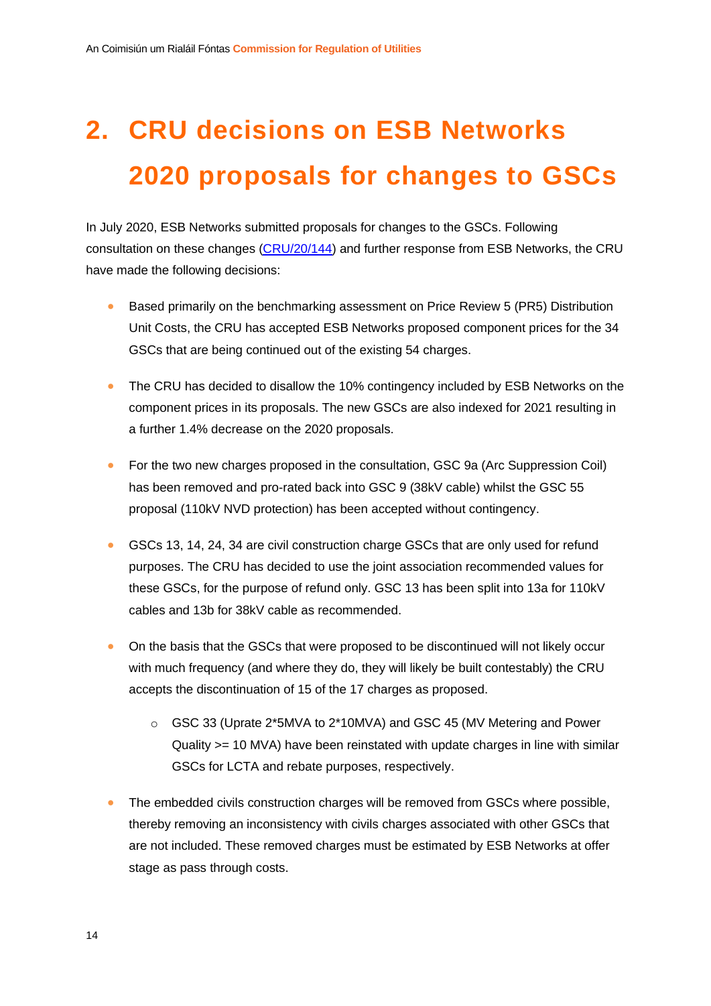# <span id="page-14-0"></span>**2. CRU decisions on ESB Networks 2020 proposals for changes to GSCs**

In July 2020, ESB Networks submitted proposals for changes to the GSCs. Following consultation on these changes [\(CRU/20/144\)](https://www.cru.ie/wp-content/uploads/2020/12/CRU20144-ESB-Networks-2020-proposals-for-changes-to-Generator-Standard-Charges.pdf) and further response from ESB Networks, the CRU have made the following decisions:

- Based primarily on the benchmarking assessment on Price Review 5 (PR5) Distribution Unit Costs, the CRU has accepted ESB Networks proposed component prices for the 34 GSCs that are being continued out of the existing 54 charges.
- The CRU has decided to disallow the 10% contingency included by ESB Networks on the component prices in its proposals. The new GSCs are also indexed for 2021 resulting in a further 1.4% decrease on the 2020 proposals.
- For the two new charges proposed in the consultation, GSC 9a (Arc Suppression Coil) has been removed and pro-rated back into GSC 9 (38kV cable) whilst the GSC 55 proposal (110kV NVD protection) has been accepted without contingency.
- GSCs 13, 14, 24, 34 are civil construction charge GSCs that are only used for refund purposes. The CRU has decided to use the joint association recommended values for these GSCs, for the purpose of refund only. GSC 13 has been split into 13a for 110kV cables and 13b for 38kV cable as recommended.
- On the basis that the GSCs that were proposed to be discontinued will not likely occur with much frequency (and where they do, they will likely be built contestably) the CRU accepts the discontinuation of 15 of the 17 charges as proposed.
	- o GSC 33 (Uprate 2\*5MVA to 2\*10MVA) and GSC 45 (MV Metering and Power Quality >= 10 MVA) have been reinstated with update charges in line with similar GSCs for LCTA and rebate purposes, respectively.
- The embedded civils construction charges will be removed from GSCs where possible, thereby removing an inconsistency with civils charges associated with other GSCs that are not included. These removed charges must be estimated by ESB Networks at offer stage as pass through costs.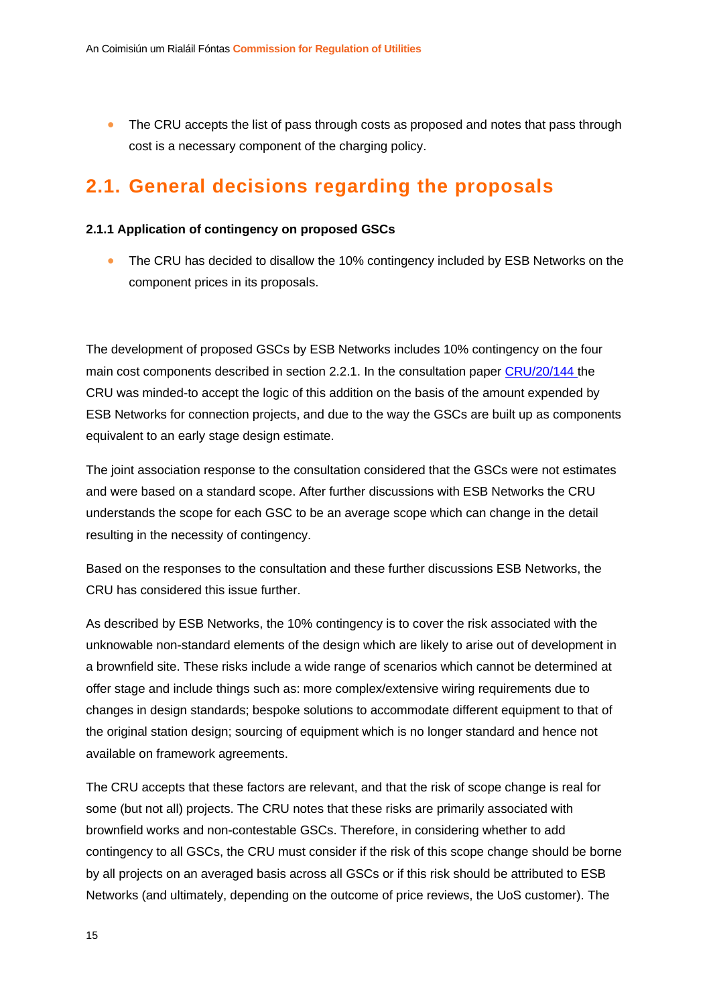• The CRU accepts the list of pass through costs as proposed and notes that pass through cost is a necessary component of the charging policy.

### <span id="page-15-0"></span>**2.1. General decisions regarding the proposals**

#### <span id="page-15-1"></span>**2.1.1 Application of contingency on proposed GSCs**

• The CRU has decided to disallow the 10% contingency included by ESB Networks on the component prices in its proposals.

The development of proposed GSCs by ESB Networks includes 10% contingency on the four main cost components described in section 2.2.1. In the consultation paper [CRU/20/144](https://www.cru.ie/wp-content/uploads/2020/12/CRU20144-ESB-Networks-2020-proposals-for-changes-to-Generator-Standard-Charges.pdf) the CRU was minded-to accept the logic of this addition on the basis of the amount expended by ESB Networks for connection projects, and due to the way the GSCs are built up as components equivalent to an early stage design estimate.

The joint association response to the consultation considered that the GSCs were not estimates and were based on a standard scope. After further discussions with ESB Networks the CRU understands the scope for each GSC to be an average scope which can change in the detail resulting in the necessity of contingency.

Based on the responses to the consultation and these further discussions ESB Networks, the CRU has considered this issue further.

As described by ESB Networks, the 10% contingency is to cover the risk associated with the unknowable non-standard elements of the design which are likely to arise out of development in a brownfield site. These risks include a wide range of scenarios which cannot be determined at offer stage and include things such as: more complex/extensive wiring requirements due to changes in design standards; bespoke solutions to accommodate different equipment to that of the original station design; sourcing of equipment which is no longer standard and hence not available on framework agreements.

The CRU accepts that these factors are relevant, and that the risk of scope change is real for some (but not all) projects. The CRU notes that these risks are primarily associated with brownfield works and non-contestable GSCs. Therefore, in considering whether to add contingency to all GSCs, the CRU must consider if the risk of this scope change should be borne by all projects on an averaged basis across all GSCs or if this risk should be attributed to ESB Networks (and ultimately, depending on the outcome of price reviews, the UoS customer). The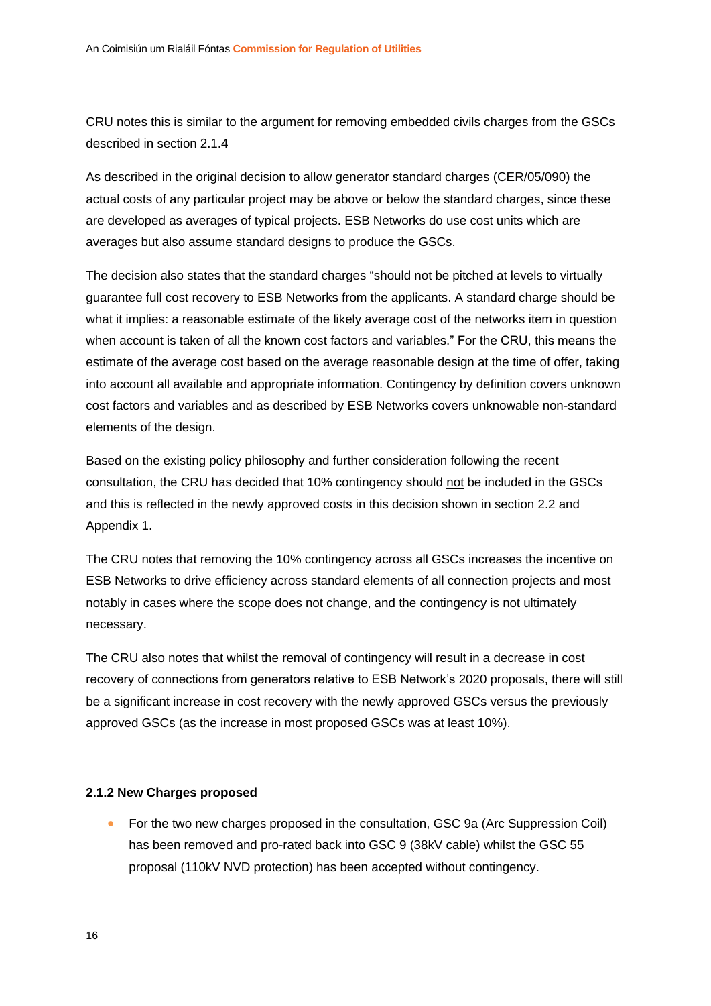CRU notes this is similar to the argument for removing embedded civils charges from the GSCs described in section 2.1.4

As described in the original decision to allow generator standard charges (CER/05/090) the actual costs of any particular project may be above or below the standard charges, since these are developed as averages of typical projects. ESB Networks do use cost units which are averages but also assume standard designs to produce the GSCs.

The decision also states that the standard charges "should not be pitched at levels to virtually guarantee full cost recovery to ESB Networks from the applicants. A standard charge should be what it implies: a reasonable estimate of the likely average cost of the networks item in question when account is taken of all the known cost factors and variables." For the CRU, this means the estimate of the average cost based on the average reasonable design at the time of offer, taking into account all available and appropriate information. Contingency by definition covers unknown cost factors and variables and as described by ESB Networks covers unknowable non-standard elements of the design.

Based on the existing policy philosophy and further consideration following the recent consultation, the CRU has decided that 10% contingency should not be included in the GSCs and this is reflected in the newly approved costs in this decision shown in section 2.2 and Appendix 1.

The CRU notes that removing the 10% contingency across all GSCs increases the incentive on ESB Networks to drive efficiency across standard elements of all connection projects and most notably in cases where the scope does not change, and the contingency is not ultimately necessary.

The CRU also notes that whilst the removal of contingency will result in a decrease in cost recovery of connections from generators relative to ESB Network's 2020 proposals, there will still be a significant increase in cost recovery with the newly approved GSCs versus the previously approved GSCs (as the increase in most proposed GSCs was at least 10%).

#### <span id="page-16-0"></span>**2.1.2 New Charges proposed**

• For the two new charges proposed in the consultation, GSC 9a (Arc Suppression Coil) has been removed and pro-rated back into GSC 9 (38kV cable) whilst the GSC 55 proposal (110kV NVD protection) has been accepted without contingency.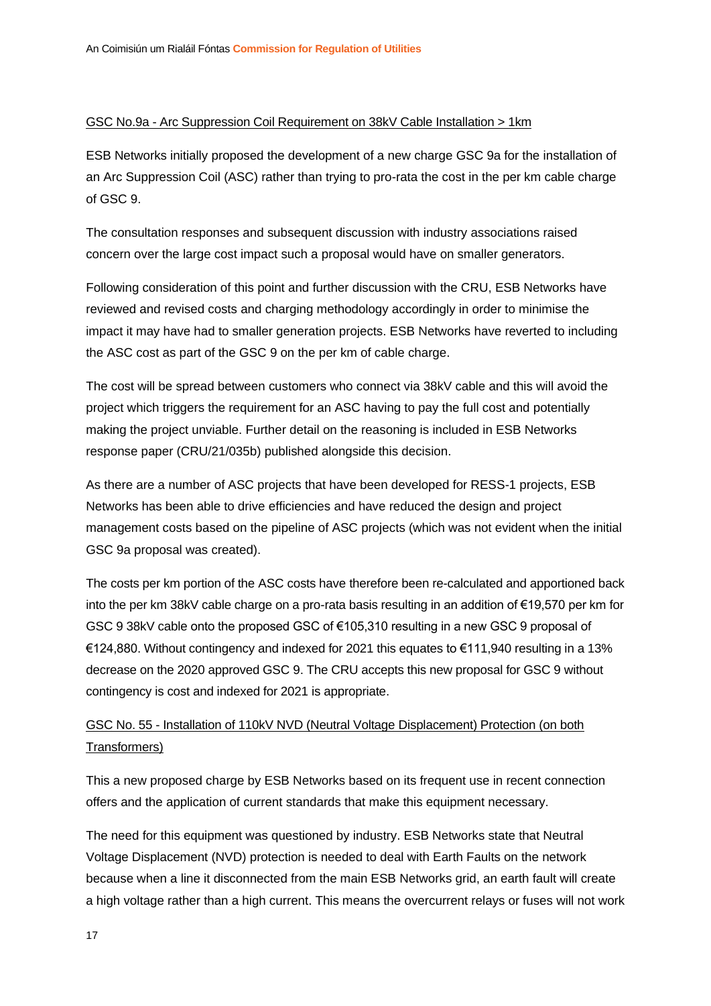#### GSC No.9a - Arc Suppression Coil Requirement on 38kV Cable Installation > 1km

ESB Networks initially proposed the development of a new charge GSC 9a for the installation of an Arc Suppression Coil (ASC) rather than trying to pro-rata the cost in the per km cable charge of GSC 9.

The consultation responses and subsequent discussion with industry associations raised concern over the large cost impact such a proposal would have on smaller generators.

Following consideration of this point and further discussion with the CRU, ESB Networks have reviewed and revised costs and charging methodology accordingly in order to minimise the impact it may have had to smaller generation projects. ESB Networks have reverted to including the ASC cost as part of the GSC 9 on the per km of cable charge.

The cost will be spread between customers who connect via 38kV cable and this will avoid the project which triggers the requirement for an ASC having to pay the full cost and potentially making the project unviable. Further detail on the reasoning is included in ESB Networks response paper (CRU/21/035b) published alongside this decision.

As there are a number of ASC projects that have been developed for RESS-1 projects, ESB Networks has been able to drive efficiencies and have reduced the design and project management costs based on the pipeline of ASC projects (which was not evident when the initial GSC 9a proposal was created).

The costs per km portion of the ASC costs have therefore been re-calculated and apportioned back into the per km 38kV cable charge on a pro-rata basis resulting in an addition of €19,570 per km for GSC 9 38kV cable onto the proposed GSC of €105,310 resulting in a new GSC 9 proposal of €124,880. Without contingency and indexed for 2021 this equates to €111,940 resulting in a 13% decrease on the 2020 approved GSC 9. The CRU accepts this new proposal for GSC 9 without contingency is cost and indexed for 2021 is appropriate.

#### GSC No. 55 - Installation of 110kV NVD (Neutral Voltage Displacement) Protection (on both Transformers)

This a new proposed charge by ESB Networks based on its frequent use in recent connection offers and the application of current standards that make this equipment necessary.

The need for this equipment was questioned by industry. ESB Networks state that Neutral Voltage Displacement (NVD) protection is needed to deal with Earth Faults on the network because when a line it disconnected from the main ESB Networks grid, an earth fault will create a high voltage rather than a high current. This means the overcurrent relays or fuses will not work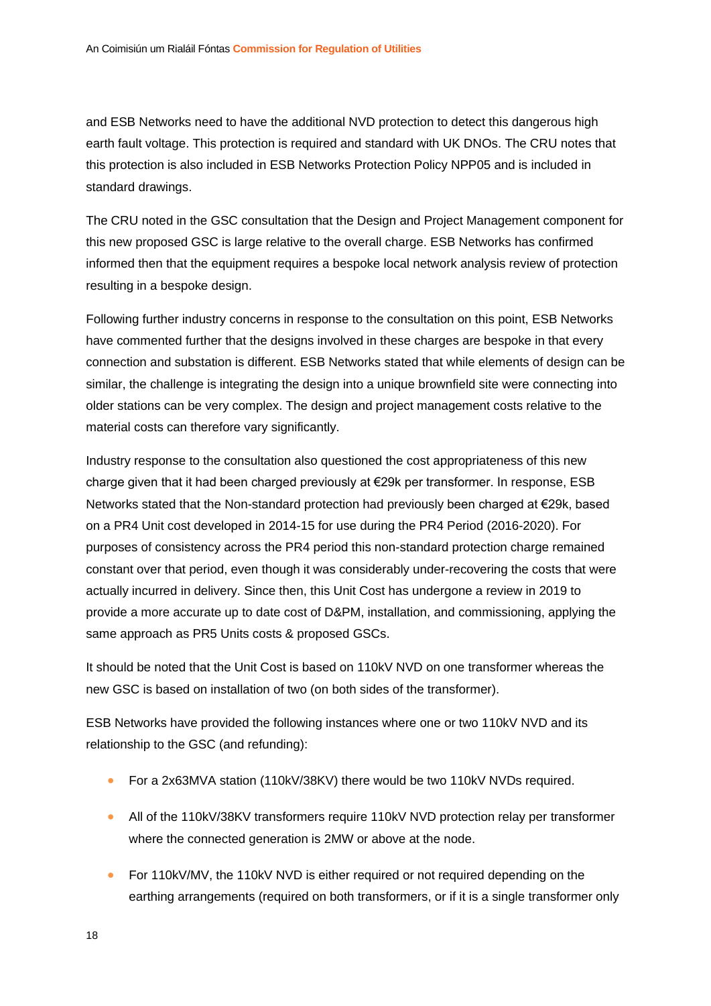and ESB Networks need to have the additional NVD protection to detect this dangerous high earth fault voltage. This protection is required and standard with UK DNOs. The CRU notes that this protection is also included in ESB Networks Protection Policy NPP05 and is included in standard drawings.

The CRU noted in the GSC consultation that the Design and Project Management component for this new proposed GSC is large relative to the overall charge. ESB Networks has confirmed informed then that the equipment requires a bespoke local network analysis review of protection resulting in a bespoke design.

Following further industry concerns in response to the consultation on this point, ESB Networks have commented further that the designs involved in these charges are bespoke in that every connection and substation is different. ESB Networks stated that while elements of design can be similar, the challenge is integrating the design into a unique brownfield site were connecting into older stations can be very complex. The design and project management costs relative to the material costs can therefore vary significantly.

Industry response to the consultation also questioned the cost appropriateness of this new charge given that it had been charged previously at €29k per transformer. In response, ESB Networks stated that the Non-standard protection had previously been charged at €29k, based on a PR4 Unit cost developed in 2014-15 for use during the PR4 Period (2016-2020). For purposes of consistency across the PR4 period this non-standard protection charge remained constant over that period, even though it was considerably under-recovering the costs that were actually incurred in delivery. Since then, this Unit Cost has undergone a review in 2019 to provide a more accurate up to date cost of D&PM, installation, and commissioning, applying the same approach as PR5 Units costs & proposed GSCs.

It should be noted that the Unit Cost is based on 110kV NVD on one transformer whereas the new GSC is based on installation of two (on both sides of the transformer).

ESB Networks have provided the following instances where one or two 110kV NVD and its relationship to the GSC (and refunding):

- For a 2x63MVA station (110kV/38KV) there would be two 110kV NVDs required.
- All of the 110kV/38KV transformers require 110kV NVD protection relay per transformer where the connected generation is 2MW or above at the node.
- For 110kV/MV, the 110kV NVD is either required or not required depending on the earthing arrangements (required on both transformers, or if it is a single transformer only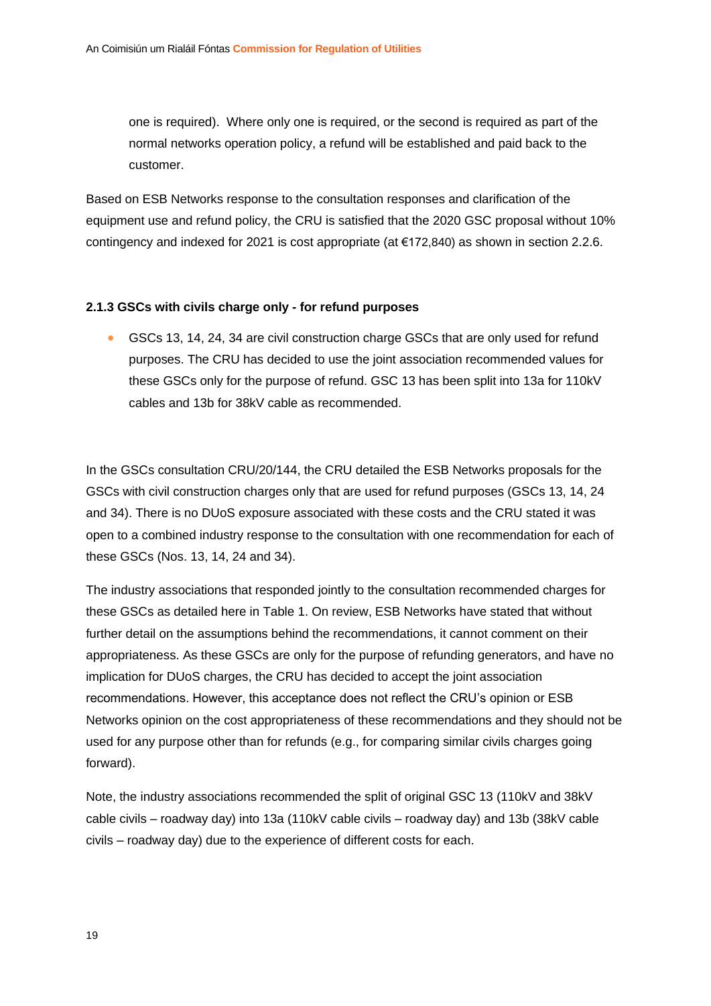one is required). Where only one is required, or the second is required as part of the normal networks operation policy, a refund will be established and paid back to the customer.

Based on ESB Networks response to the consultation responses and clarification of the equipment use and refund policy, the CRU is satisfied that the 2020 GSC proposal without 10% contingency and indexed for 2021 is cost appropriate (at €172,840) as shown in section 2.2.6.

#### <span id="page-19-0"></span>**2.1.3 GSCs with civils charge only - for refund purposes**

• GSCs 13, 14, 24, 34 are civil construction charge GSCs that are only used for refund purposes. The CRU has decided to use the joint association recommended values for these GSCs only for the purpose of refund. GSC 13 has been split into 13a for 110kV cables and 13b for 38kV cable as recommended.

In the GSCs consultation CRU/20/144, the CRU detailed the ESB Networks proposals for the GSCs with civil construction charges only that are used for refund purposes (GSCs 13, 14, 24 and 34). There is no DUoS exposure associated with these costs and the CRU stated it was open to a combined industry response to the consultation with one recommendation for each of these GSCs (Nos. 13, 14, 24 and 34).

The industry associations that responded jointly to the consultation recommended charges for these GSCs as detailed here in Table 1. On review, ESB Networks have stated that without further detail on the assumptions behind the recommendations, it cannot comment on their appropriateness. As these GSCs are only for the purpose of refunding generators, and have no implication for DUoS charges, the CRU has decided to accept the joint association recommendations. However, this acceptance does not reflect the CRU's opinion or ESB Networks opinion on the cost appropriateness of these recommendations and they should not be used for any purpose other than for refunds (e.g., for comparing similar civils charges going forward).

Note, the industry associations recommended the split of original GSC 13 (110kV and 38kV cable civils – roadway day) into 13a (110kV cable civils – roadway day) and 13b (38kV cable civils – roadway day) due to the experience of different costs for each.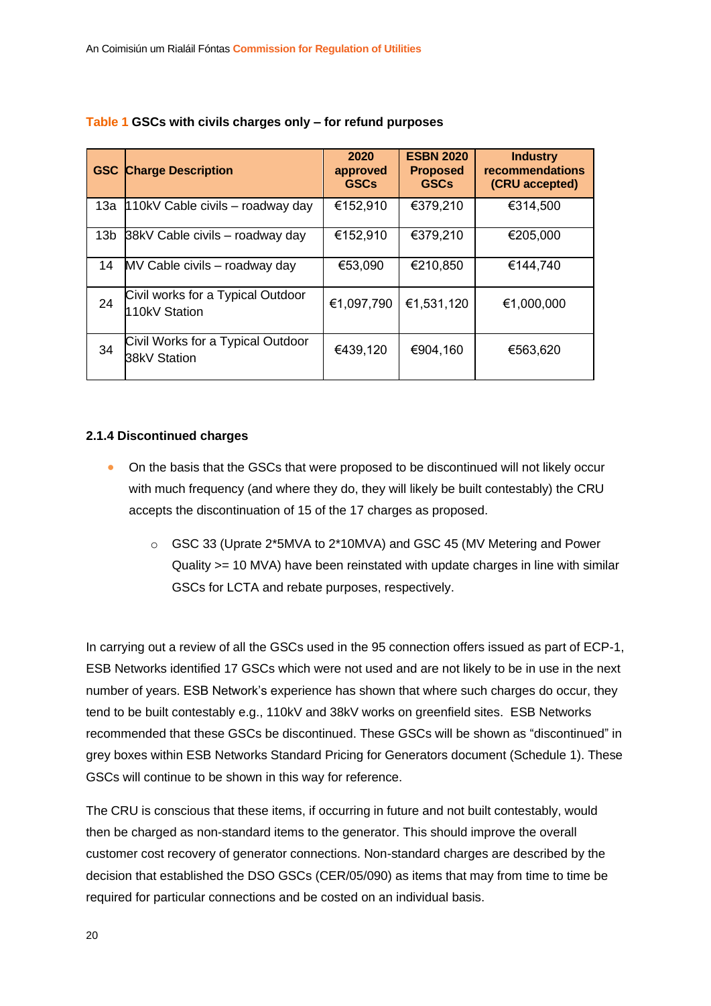|     | <b>GSC Charge Description</b>                      | 2020<br>approved<br><b>GSCs</b> | <b>ESBN 2020</b><br><b>Proposed</b><br><b>GSCs</b> | <b>Industry</b><br>recommendations<br>(CRU accepted) |
|-----|----------------------------------------------------|---------------------------------|----------------------------------------------------|------------------------------------------------------|
| 13a | 110kV Cable civils – roadway day                   | €152,910                        | €379,210                                           | €314,500                                             |
|     | 13b 38kV Cable civils - roadway day                | €152,910                        | €379,210                                           | €205,000                                             |
| 14  | MV Cable civils - roadway day                      | €53,090                         | €210,850                                           | €144,740                                             |
| 24  | Civil works for a Typical Outdoor<br>110kV Station | €1,097,790                      | €1,531,120                                         | €1,000,000                                           |
| 34  | Civil Works for a Typical Outdoor<br>38kV Station  | €439,120                        | €904,160                                           | €563,620                                             |

#### **Table 1 GSCs with civils charges only – for refund purposes**

#### <span id="page-20-0"></span>**2.1.4 Discontinued charges**

- On the basis that the GSCs that were proposed to be discontinued will not likely occur with much frequency (and where they do, they will likely be built contestably) the CRU accepts the discontinuation of 15 of the 17 charges as proposed.
	- o GSC 33 (Uprate 2\*5MVA to 2\*10MVA) and GSC 45 (MV Metering and Power Quality >= 10 MVA) have been reinstated with update charges in line with similar GSCs for LCTA and rebate purposes, respectively.

In carrying out a review of all the GSCs used in the 95 connection offers issued as part of ECP-1, ESB Networks identified 17 GSCs which were not used and are not likely to be in use in the next number of years. ESB Network's experience has shown that where such charges do occur, they tend to be built contestably e.g., 110kV and 38kV works on greenfield sites. ESB Networks recommended that these GSCs be discontinued. These GSCs will be shown as "discontinued" in grey boxes within ESB Networks Standard Pricing for Generators document (Schedule 1). These GSCs will continue to be shown in this way for reference.

The CRU is conscious that these items, if occurring in future and not built contestably, would then be charged as non-standard items to the generator. This should improve the overall customer cost recovery of generator connections. Non-standard charges are described by the decision that established the DSO GSCs (CER/05/090) as items that may from time to time be required for particular connections and be costed on an individual basis.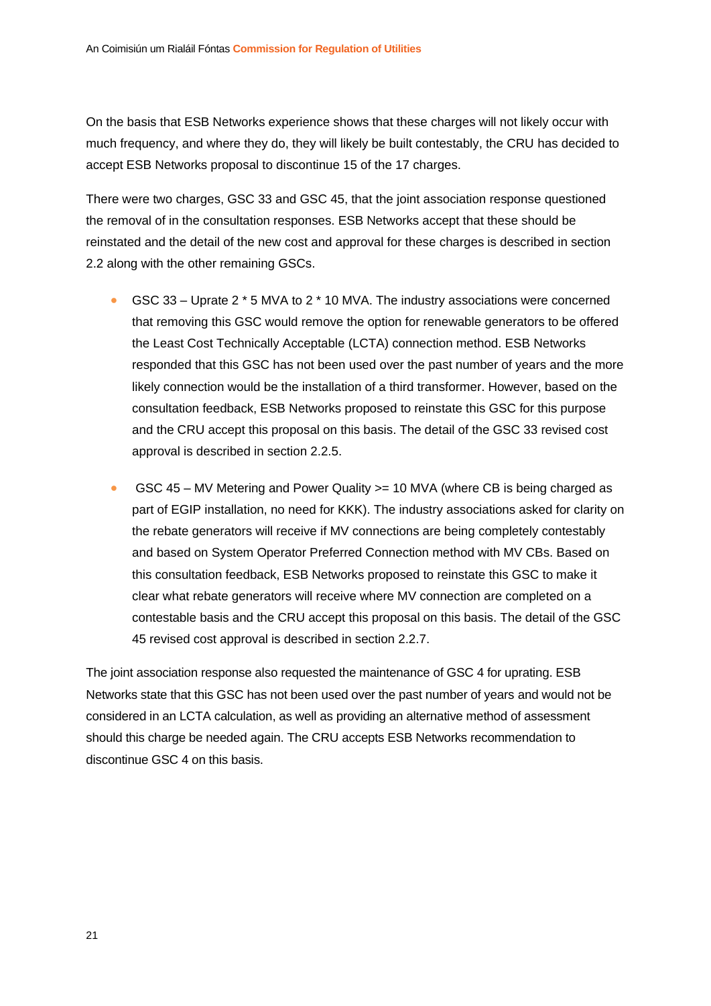On the basis that ESB Networks experience shows that these charges will not likely occur with much frequency, and where they do, they will likely be built contestably, the CRU has decided to accept ESB Networks proposal to discontinue 15 of the 17 charges.

There were two charges, GSC 33 and GSC 45, that the joint association response questioned the removal of in the consultation responses. ESB Networks accept that these should be reinstated and the detail of the new cost and approval for these charges is described in section 2.2 along with the other remaining GSCs.

- GSC 33 Uprate 2 \* 5 MVA to 2 \* 10 MVA. The industry associations were concerned that removing this GSC would remove the option for renewable generators to be offered the Least Cost Technically Acceptable (LCTA) connection method. ESB Networks responded that this GSC has not been used over the past number of years and the more likely connection would be the installation of a third transformer. However, based on the consultation feedback, ESB Networks proposed to reinstate this GSC for this purpose and the CRU accept this proposal on this basis. The detail of the GSC 33 revised cost approval is described in section 2.2.5.
- GSC 45 MV Metering and Power Quality >= 10 MVA (where CB is being charged as part of EGIP installation, no need for KKK). The industry associations asked for clarity on the rebate generators will receive if MV connections are being completely contestably and based on System Operator Preferred Connection method with MV CBs. Based on this consultation feedback, ESB Networks proposed to reinstate this GSC to make it clear what rebate generators will receive where MV connection are completed on a contestable basis and the CRU accept this proposal on this basis. The detail of the GSC 45 revised cost approval is described in section 2.2.7.

The joint association response also requested the maintenance of GSC 4 for uprating. ESB Networks state that this GSC has not been used over the past number of years and would not be considered in an LCTA calculation, as well as providing an alternative method of assessment should this charge be needed again. The CRU accepts ESB Networks recommendation to discontinue GSC 4 on this basis.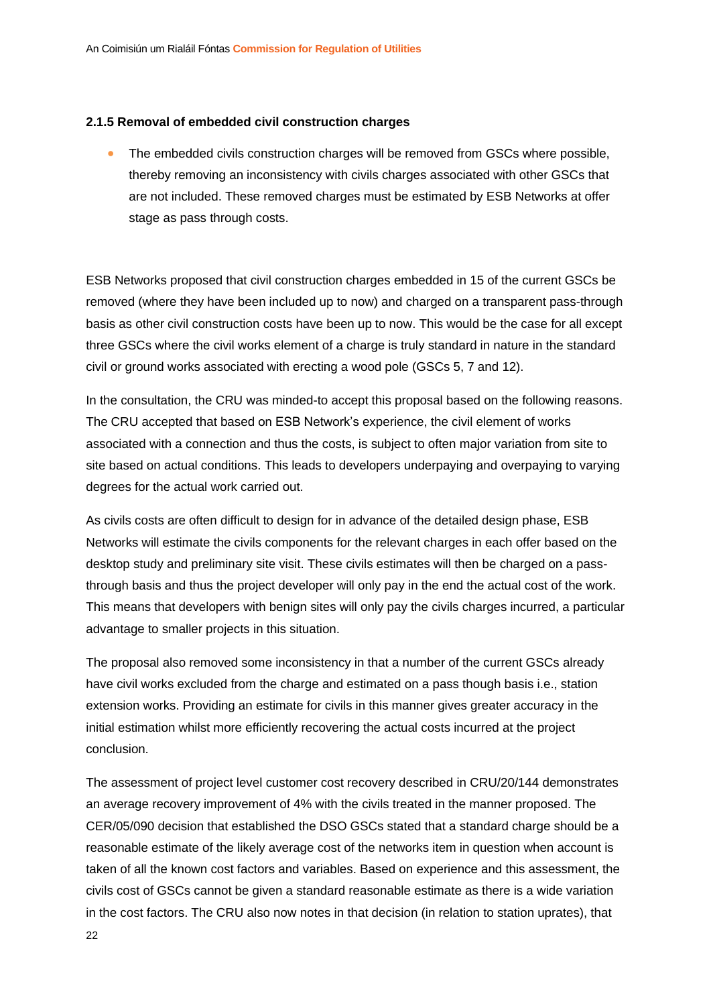#### <span id="page-22-0"></span>**2.1.5 Removal of embedded civil construction charges**

• The embedded civils construction charges will be removed from GSCs where possible, thereby removing an inconsistency with civils charges associated with other GSCs that are not included. These removed charges must be estimated by ESB Networks at offer stage as pass through costs.

ESB Networks proposed that civil construction charges embedded in 15 of the current GSCs be removed (where they have been included up to now) and charged on a transparent pass-through basis as other civil construction costs have been up to now. This would be the case for all except three GSCs where the civil works element of a charge is truly standard in nature in the standard civil or ground works associated with erecting a wood pole (GSCs 5, 7 and 12).

In the consultation, the CRU was minded-to accept this proposal based on the following reasons. The CRU accepted that based on ESB Network's experience, the civil element of works associated with a connection and thus the costs, is subject to often major variation from site to site based on actual conditions. This leads to developers underpaying and overpaying to varying degrees for the actual work carried out.

As civils costs are often difficult to design for in advance of the detailed design phase, ESB Networks will estimate the civils components for the relevant charges in each offer based on the desktop study and preliminary site visit. These civils estimates will then be charged on a passthrough basis and thus the project developer will only pay in the end the actual cost of the work. This means that developers with benign sites will only pay the civils charges incurred, a particular advantage to smaller projects in this situation.

The proposal also removed some inconsistency in that a number of the current GSCs already have civil works excluded from the charge and estimated on a pass though basis i.e., station extension works. Providing an estimate for civils in this manner gives greater accuracy in the initial estimation whilst more efficiently recovering the actual costs incurred at the project conclusion.

The assessment of project level customer cost recovery described in CRU/20/144 demonstrates an average recovery improvement of 4% with the civils treated in the manner proposed. The CER/05/090 decision that established the DSO GSCs stated that a standard charge should be a reasonable estimate of the likely average cost of the networks item in question when account is taken of all the known cost factors and variables. Based on experience and this assessment, the civils cost of GSCs cannot be given a standard reasonable estimate as there is a wide variation in the cost factors. The CRU also now notes in that decision (in relation to station uprates), that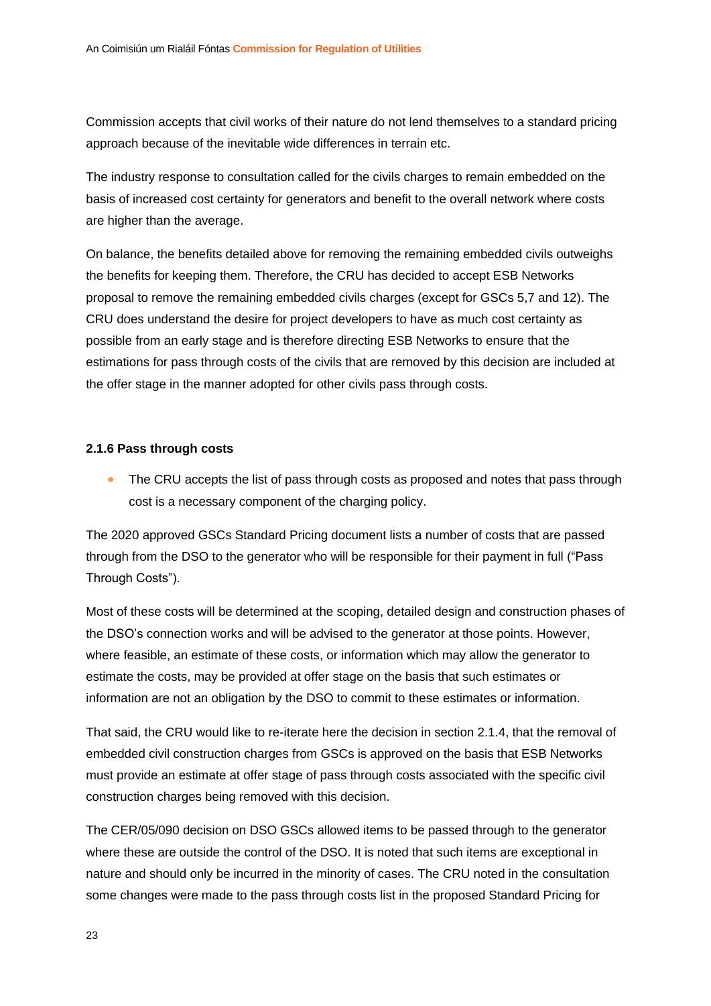Commission accepts that civil works of their nature do not lend themselves to a standard pricing approach because of the inevitable wide differences in terrain etc.

The industry response to consultation called for the civils charges to remain embedded on the basis of increased cost certainty for generators and benefit to the overall network where costs are higher than the average.

On balance, the benefits detailed above for removing the remaining embedded civils outweighs the benefits for keeping them. Therefore, the CRU has decided to accept ESB Networks proposal to remove the remaining embedded civils charges (except for GSCs 5,7 and 12). The CRU does understand the desire for project developers to have as much cost certainty as possible from an early stage and is therefore directing ESB Networks to ensure that the estimations for pass through costs of the civils that are removed by this decision are included at the offer stage in the manner adopted for other civils pass through costs.

#### <span id="page-23-0"></span>**2.1.6 Pass through costs**

The CRU accepts the list of pass through costs as proposed and notes that pass through cost is a necessary component of the charging policy.

The 2020 approved GSCs Standard Pricing document lists a number of costs that are passed through from the DSO to the generator who will be responsible for their payment in full ("Pass Through Costs").

Most of these costs will be determined at the scoping, detailed design and construction phases of the DSO's connection works and will be advised to the generator at those points. However, where feasible, an estimate of these costs, or information which may allow the generator to estimate the costs, may be provided at offer stage on the basis that such estimates or information are not an obligation by the DSO to commit to these estimates or information.

That said, the CRU would like to re-iterate here the decision in section 2.1.4, that the removal of embedded civil construction charges from GSCs is approved on the basis that ESB Networks must provide an estimate at offer stage of pass through costs associated with the specific civil construction charges being removed with this decision.

The CER/05/090 decision on DSO GSCs allowed items to be passed through to the generator where these are outside the control of the DSO. It is noted that such items are exceptional in nature and should only be incurred in the minority of cases. The CRU noted in the consultation some changes were made to the pass through costs list in the proposed Standard Pricing for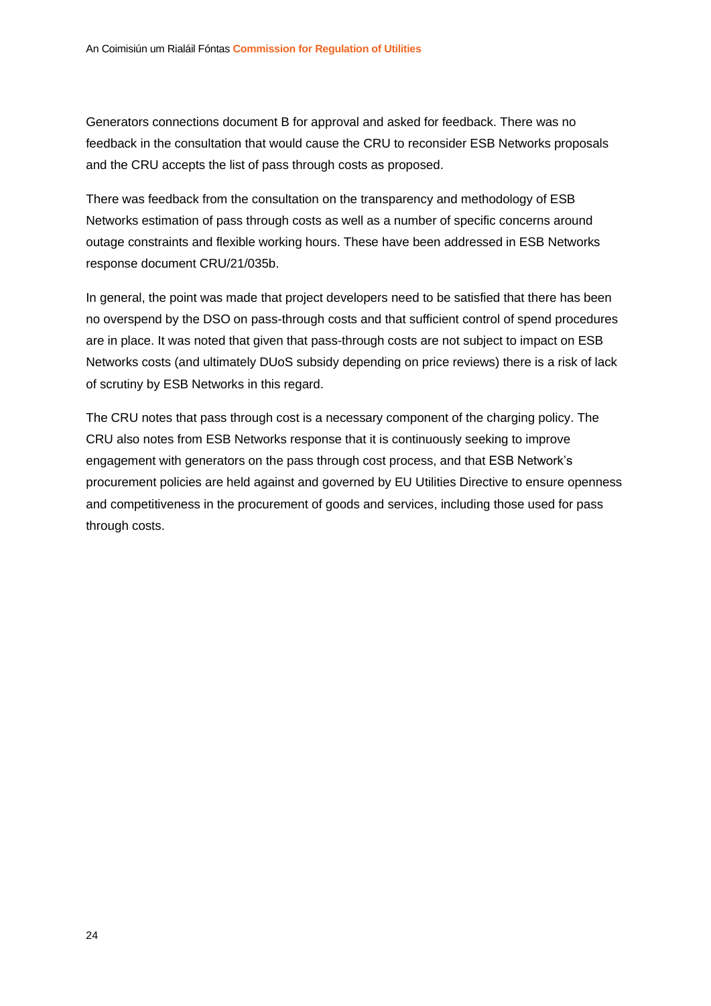Generators connections document B for approval and asked for feedback. There was no feedback in the consultation that would cause the CRU to reconsider ESB Networks proposals and the CRU accepts the list of pass through costs as proposed.

There was feedback from the consultation on the transparency and methodology of ESB Networks estimation of pass through costs as well as a number of specific concerns around outage constraints and flexible working hours. These have been addressed in ESB Networks response document CRU/21/035b.

In general, the point was made that project developers need to be satisfied that there has been no overspend by the DSO on pass-through costs and that sufficient control of spend procedures are in place. It was noted that given that pass-through costs are not subject to impact on ESB Networks costs (and ultimately DUoS subsidy depending on price reviews) there is a risk of lack of scrutiny by ESB Networks in this regard.

The CRU notes that pass through cost is a necessary component of the charging policy. The CRU also notes from ESB Networks response that it is continuously seeking to improve engagement with generators on the pass through cost process, and that ESB Network's procurement policies are held against and governed by EU Utilities Directive to ensure openness and competitiveness in the procurement of goods and services, including those used for pass through costs.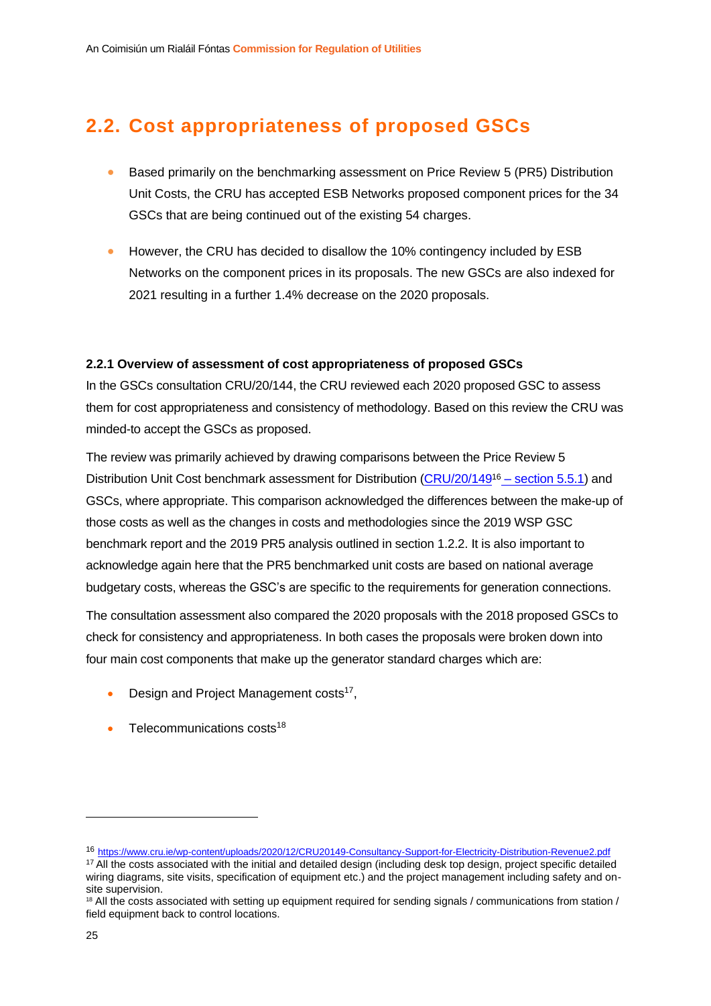### <span id="page-25-0"></span>**2.2. Cost appropriateness of proposed GSCs**

- Based primarily on the benchmarking assessment on Price Review 5 (PR5) Distribution Unit Costs, the CRU has accepted ESB Networks proposed component prices for the 34 GSCs that are being continued out of the existing 54 charges.
- However, the CRU has decided to disallow the 10% contingency included by ESB Networks on the component prices in its proposals. The new GSCs are also indexed for 2021 resulting in a further 1.4% decrease on the 2020 proposals.

#### <span id="page-25-1"></span>**2.2.1 Overview of assessment of cost appropriateness of proposed GSCs**

In the GSCs consultation CRU/20/144, the CRU reviewed each 2020 proposed GSC to assess them for cost appropriateness and consistency of methodology. Based on this review the CRU was minded-to accept the GSCs as proposed.

The review was primarily achieved by drawing comparisons between the Price Review 5 Distribution Unit Cost benchmark assessment for Distribution [\(CRU/20/149](https://www.cru.ie/wp-content/uploads/2020/12/CRU20149-Consultancy-Support-for-Electricity-Distribution-Revenue2.pdf)<sup>16</sup> - section 5.5.1) and GSCs, where appropriate. This comparison acknowledged the differences between the make-up of those costs as well as the changes in costs and methodologies since the 2019 WSP GSC benchmark report and the 2019 PR5 analysis outlined in section 1.2.2. It is also important to acknowledge again here that the PR5 benchmarked unit costs are based on national average budgetary costs, whereas the GSC's are specific to the requirements for generation connections.

The consultation assessment also compared the 2020 proposals with the 2018 proposed GSCs to check for consistency and appropriateness. In both cases the proposals were broken down into four main cost components that make up the generator standard charges which are:

- Design and Project Management costs<sup>17</sup>,
- $\bullet$  Telecommunications costs<sup>18</sup>

<sup>16</sup> <https://www.cru.ie/wp-content/uploads/2020/12/CRU20149-Consultancy-Support-for-Electricity-Distribution-Revenue2.pdf>

<sup>&</sup>lt;sup>17</sup> All the costs associated with the initial and detailed design (including desk top design, project specific detailed wiring diagrams, site visits, specification of equipment etc.) and the project management including safety and onsite supervision.

<sup>&</sup>lt;sup>18</sup> All the costs associated with setting up equipment required for sending signals / communications from station / field equipment back to control locations.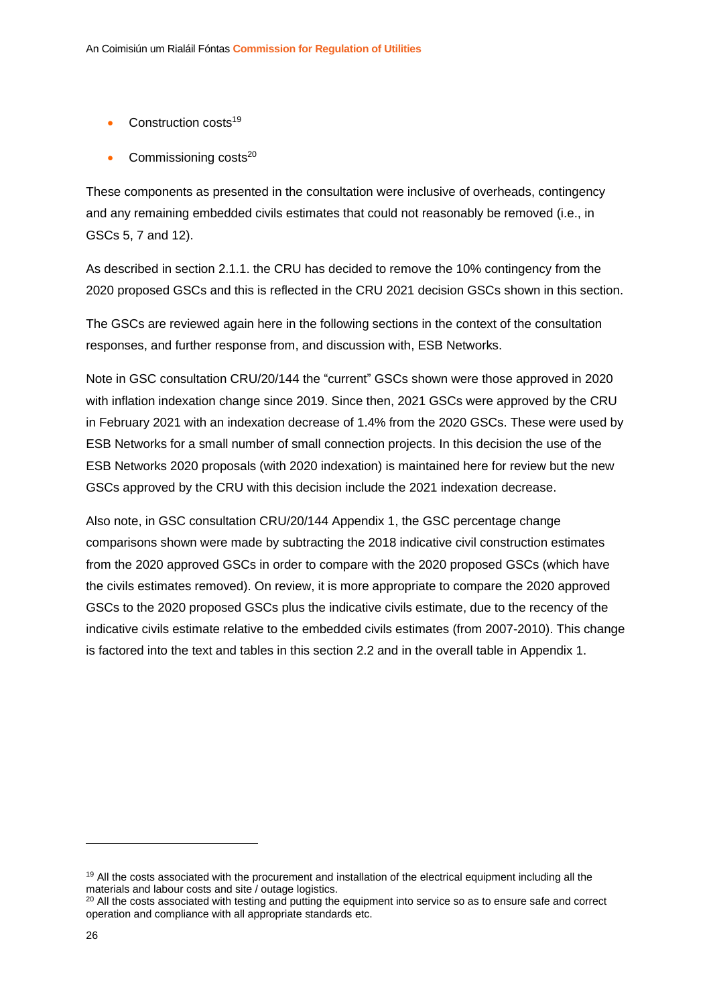- $\bullet$  Construction costs<sup>19</sup>
- Commissioning costs<sup>20</sup>

These components as presented in the consultation were inclusive of overheads, contingency and any remaining embedded civils estimates that could not reasonably be removed (i.e., in GSCs 5, 7 and 12).

As described in section 2.1.1. the CRU has decided to remove the 10% contingency from the 2020 proposed GSCs and this is reflected in the CRU 2021 decision GSCs shown in this section.

The GSCs are reviewed again here in the following sections in the context of the consultation responses, and further response from, and discussion with, ESB Networks.

Note in GSC consultation CRU/20/144 the "current" GSCs shown were those approved in 2020 with inflation indexation change since 2019. Since then, 2021 GSCs were approved by the CRU in February 2021 with an indexation decrease of 1.4% from the 2020 GSCs. These were used by ESB Networks for a small number of small connection projects. In this decision the use of the ESB Networks 2020 proposals (with 2020 indexation) is maintained here for review but the new GSCs approved by the CRU with this decision include the 2021 indexation decrease.

Also note, in GSC consultation CRU/20/144 Appendix 1, the GSC percentage change comparisons shown were made by subtracting the 2018 indicative civil construction estimates from the 2020 approved GSCs in order to compare with the 2020 proposed GSCs (which have the civils estimates removed). On review, it is more appropriate to compare the 2020 approved GSCs to the 2020 proposed GSCs plus the indicative civils estimate, due to the recency of the indicative civils estimate relative to the embedded civils estimates (from 2007-2010). This change is factored into the text and tables in this section 2.2 and in the overall table in Appendix 1.

<sup>&</sup>lt;sup>19</sup> All the costs associated with the procurement and installation of the electrical equipment including all the materials and labour costs and site / outage logistics.

<sup>&</sup>lt;sup>20</sup> All the costs associated with testing and putting the equipment into service so as to ensure safe and correct operation and compliance with all appropriate standards etc.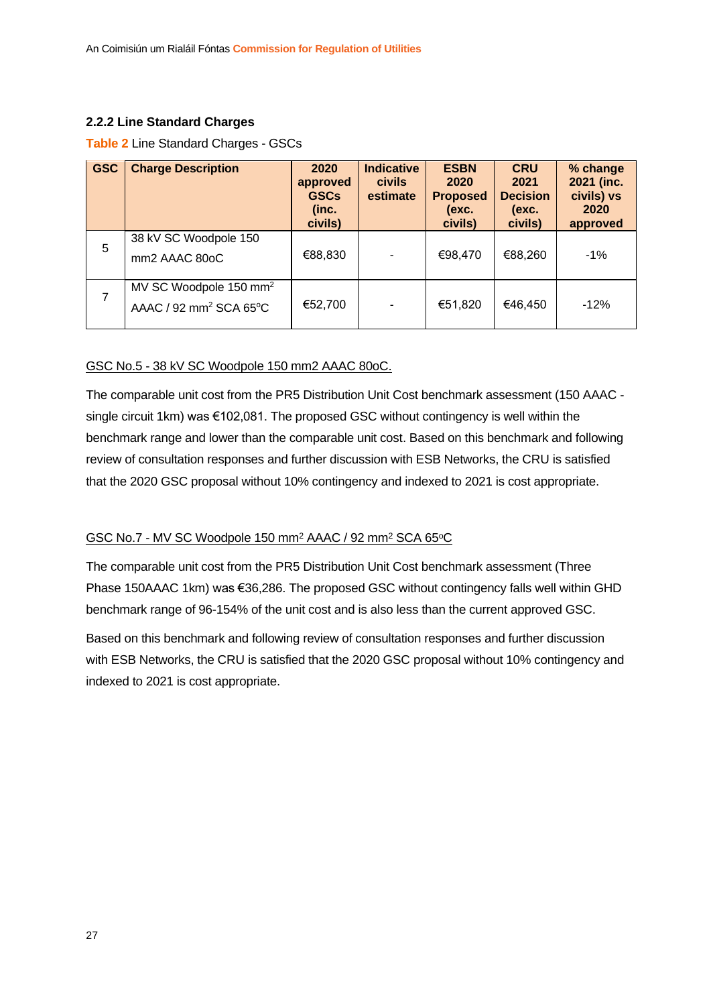#### <span id="page-27-0"></span>**2.2.2 Line Standard Charges**

#### **Table 2** Line Standard Charges - GSCs

| <b>GSC</b> | <b>Charge Description</b>                                                | 2020<br>approved<br><b>GSCs</b><br>(inc.<br>civils) | <b>Indicative</b><br><b>civils</b><br>estimate | <b>ESBN</b><br>2020<br><b>Proposed</b><br>(exc.<br>civils) | <b>CRU</b><br>2021<br><b>Decision</b><br>(exc.<br>civils) | % change<br>2021 (inc.<br>civils) vs<br>2020<br>approved |
|------------|--------------------------------------------------------------------------|-----------------------------------------------------|------------------------------------------------|------------------------------------------------------------|-----------------------------------------------------------|----------------------------------------------------------|
| 5          | 38 kV SC Woodpole 150<br>mm2 AAAC 80oC                                   | €88,830                                             |                                                | €98,470                                                    | €88,260                                                   | $-1%$                                                    |
| 7          | MV SC Woodpole 150 mm <sup>2</sup><br>AAAC / 92 mm <sup>2</sup> SCA 65°C | €52,700                                             |                                                | €51,820                                                    | €46,450                                                   | $-12%$                                                   |

#### GSC No.5 - 38 kV SC Woodpole 150 mm2 AAAC 80oC.

The comparable unit cost from the PR5 Distribution Unit Cost benchmark assessment (150 AAAC single circuit 1km) was €102,081. The proposed GSC without contingency is well within the benchmark range and lower than the comparable unit cost. Based on this benchmark and following review of consultation responses and further discussion with ESB Networks, the CRU is satisfied that the 2020 GSC proposal without 10% contingency and indexed to 2021 is cost appropriate.

#### GSC No.7 - MV SC Woodpole 150 mm<sup>2</sup> AAAC / 92 mm<sup>2</sup> SCA 65°C

The comparable unit cost from the PR5 Distribution Unit Cost benchmark assessment (Three Phase 150AAAC 1km) was €36,286. The proposed GSC without contingency falls well within GHD benchmark range of 96-154% of the unit cost and is also less than the current approved GSC.

Based on this benchmark and following review of consultation responses and further discussion with ESB Networks, the CRU is satisfied that the 2020 GSC proposal without 10% contingency and indexed to 2021 is cost appropriate.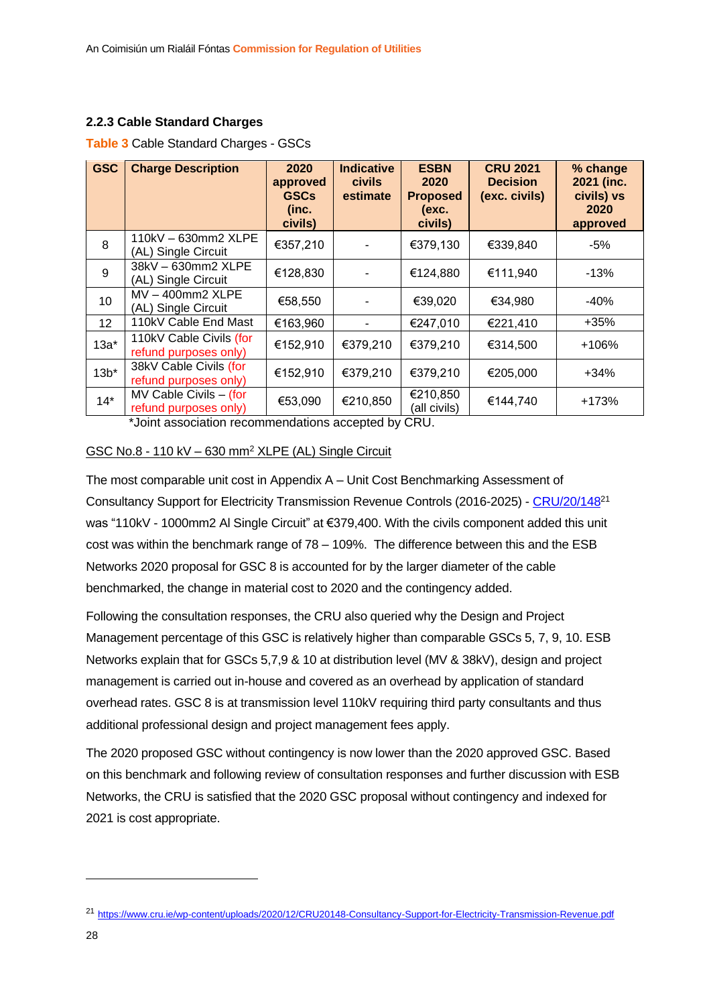#### <span id="page-28-0"></span>**2.2.3 Cable Standard Charges**

| <b>GSC</b>        | <b>Charge Description</b>                           | 2020<br>approved<br><b>GSCs</b><br>(inc.<br>civils) | <b>Indicative</b><br><b>civils</b><br>estimate | <b>ESBN</b><br>2020<br><b>Proposed</b><br>(exc.<br>civils) | <b>CRU 2021</b><br><b>Decision</b><br>(exc. civils) | % change<br>2021 (inc.<br>civils) vs<br>2020<br>approved |
|-------------------|-----------------------------------------------------|-----------------------------------------------------|------------------------------------------------|------------------------------------------------------------|-----------------------------------------------------|----------------------------------------------------------|
| 8                 | 110kV - 630mm2 XLPE<br>(AL) Single Circuit          | €357,210                                            |                                                | €379,130                                                   | €339,840                                            | -5%                                                      |
| 9                 | 38kV - 630mm2 XLPE<br>(AL) Single Circuit           | €128,830                                            |                                                | €124,880                                                   | €111,940                                            | $-13%$                                                   |
| 10                | $MV - 400mm2 XLPE$<br>(AL) Single Circuit           | €58,550                                             |                                                | €39,020                                                    | €34,980                                             | -40%                                                     |
| $12 \overline{ }$ | 110kV Cable End Mast                                | €163,960                                            |                                                | €247,010                                                   | €221,410                                            | $+35%$                                                   |
| $13a^*$           | 110kV Cable Civils (for<br>refund purposes only)    | €152,910                                            | €379,210                                       | €379,210                                                   | €314,500                                            | $+106%$                                                  |
| $13b*$            | 38kV Cable Civils (for<br>refund purposes only)     | €152,910                                            | €379,210                                       | €379,210                                                   | €205,000                                            | $+34%$                                                   |
| $14*$             | $MV$ Cable Civils $-$ (for<br>refund purposes only) | €53,090                                             | €210,850                                       | €210,850<br>(all civils)                                   | €144,740                                            | +173%                                                    |

#### **Table 3** Cable Standard Charges - GSCs

\*Joint association recommendations accepted by CRU.

#### GSC No.8 - 110 kV – 630 mm<sup>2</sup> XLPE (AL) Single Circuit

The most comparable unit cost in Appendix A – Unit Cost Benchmarking Assessment of Consultancy Support for Electricity Transmission Revenue Controls (2016-2025) - [CRU/20/148](https://www.cru.ie/wp-content/uploads/2020/12/CRU20148-Consultancy-Support-for-Electricity-Transmission-Revenue.pdf)<sup>21</sup> was "110kV - 1000mm2 Al Single Circuit" at €379,400. With the civils component added this unit cost was within the benchmark range of 78 – 109%. The difference between this and the ESB Networks 2020 proposal for GSC 8 is accounted for by the larger diameter of the cable benchmarked, the change in material cost to 2020 and the contingency added.

Following the consultation responses, the CRU also queried why the Design and Project Management percentage of this GSC is relatively higher than comparable GSCs 5, 7, 9, 10. ESB Networks explain that for GSCs 5,7,9 & 10 at distribution level (MV & 38kV), design and project management is carried out in-house and covered as an overhead by application of standard overhead rates. GSC 8 is at transmission level 110kV requiring third party consultants and thus additional professional design and project management fees apply.

The 2020 proposed GSC without contingency is now lower than the 2020 approved GSC. Based on this benchmark and following review of consultation responses and further discussion with ESB Networks, the CRU is satisfied that the 2020 GSC proposal without contingency and indexed for 2021 is cost appropriate.

<sup>21</sup> <https://www.cru.ie/wp-content/uploads/2020/12/CRU20148-Consultancy-Support-for-Electricity-Transmission-Revenue.pdf>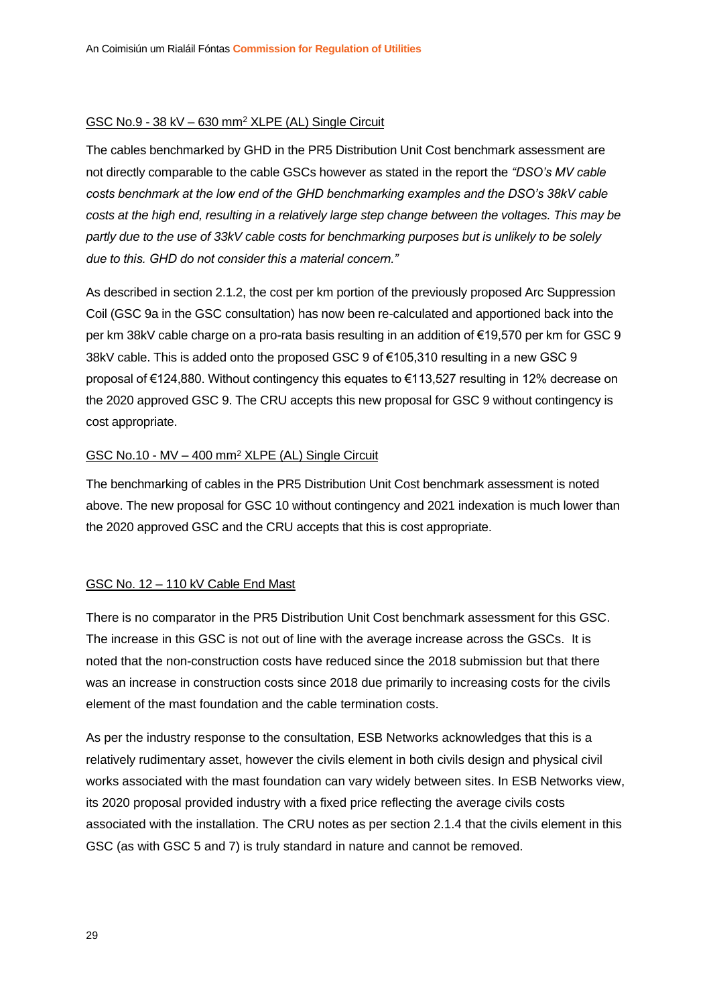#### GSC No.9 - 38 kV – 630 mm<sup>2</sup> XLPE (AL) Single Circuit

The cables benchmarked by GHD in the PR5 Distribution Unit Cost benchmark assessment are not directly comparable to the cable GSCs however as stated in the report the *"DSO's MV cable costs benchmark at the low end of the GHD benchmarking examples and the DSO's 38kV cable costs at the high end, resulting in a relatively large step change between the voltages. This may be partly due to the use of 33kV cable costs for benchmarking purposes but is unlikely to be solely due to this. GHD do not consider this a material concern."*

As described in section 2.1.2, the cost per km portion of the previously proposed Arc Suppression Coil (GSC 9a in the GSC consultation) has now been re-calculated and apportioned back into the per km 38kV cable charge on a pro-rata basis resulting in an addition of €19,570 per km for GSC 9 38kV cable. This is added onto the proposed GSC 9 of €105,310 resulting in a new GSC 9 proposal of €124,880. Without contingency this equates to €113,527 resulting in 12% decrease on the 2020 approved GSC 9. The CRU accepts this new proposal for GSC 9 without contingency is cost appropriate.

#### GSC No.10 - MV – 400 mm<sup>2</sup> XLPE (AL) Single Circuit

The benchmarking of cables in the PR5 Distribution Unit Cost benchmark assessment is noted above. The new proposal for GSC 10 without contingency and 2021 indexation is much lower than the 2020 approved GSC and the CRU accepts that this is cost appropriate.

#### GSC No. 12 – 110 kV Cable End Mast

There is no comparator in the PR5 Distribution Unit Cost benchmark assessment for this GSC. The increase in this GSC is not out of line with the average increase across the GSCs. It is noted that the non-construction costs have reduced since the 2018 submission but that there was an increase in construction costs since 2018 due primarily to increasing costs for the civils element of the mast foundation and the cable termination costs.

As per the industry response to the consultation, ESB Networks acknowledges that this is a relatively rudimentary asset, however the civils element in both civils design and physical civil works associated with the mast foundation can vary widely between sites. In ESB Networks view, its 2020 proposal provided industry with a fixed price reflecting the average civils costs associated with the installation. The CRU notes as per section 2.1.4 that the civils element in this GSC (as with GSC 5 and 7) is truly standard in nature and cannot be removed.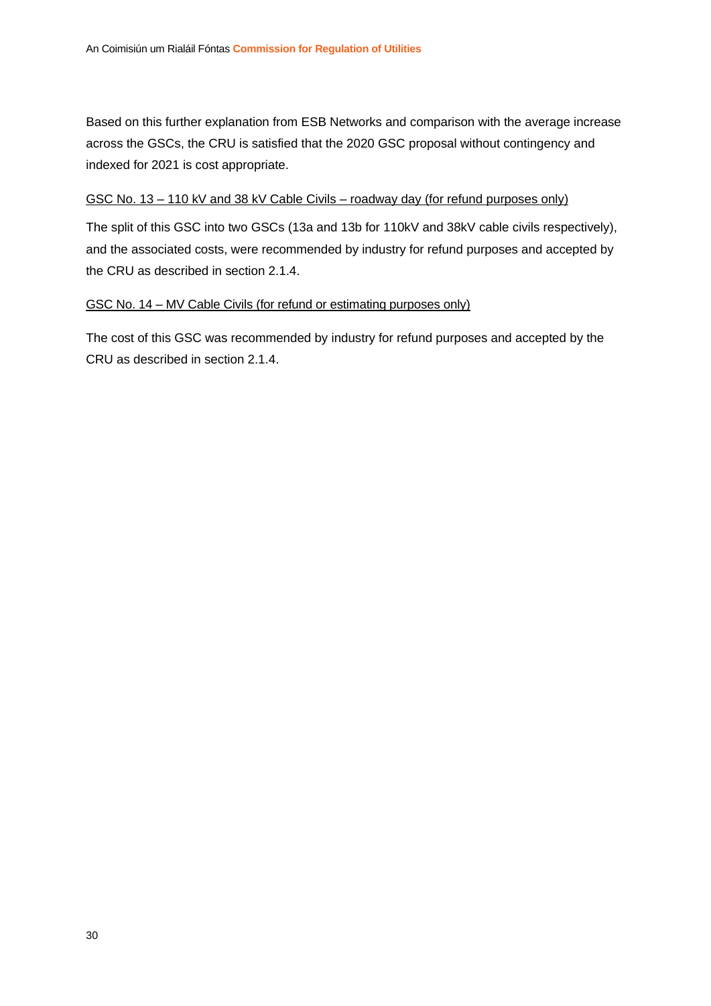Based on this further explanation from ESB Networks and comparison with the average increase across the GSCs, the CRU is satisfied that the 2020 GSC proposal without contingency and indexed for 2021 is cost appropriate.

#### GSC No. 13 – 110 kV and 38 kV Cable Civils – roadway day (for refund purposes only)

The split of this GSC into two GSCs (13a and 13b for 110kV and 38kV cable civils respectively), and the associated costs, were recommended by industry for refund purposes and accepted by the CRU as described in section 2.1.4.

#### GSC No. 14 – MV Cable Civils (for refund or estimating purposes only)

The cost of this GSC was recommended by industry for refund purposes and accepted by the CRU as described in section 2.1.4.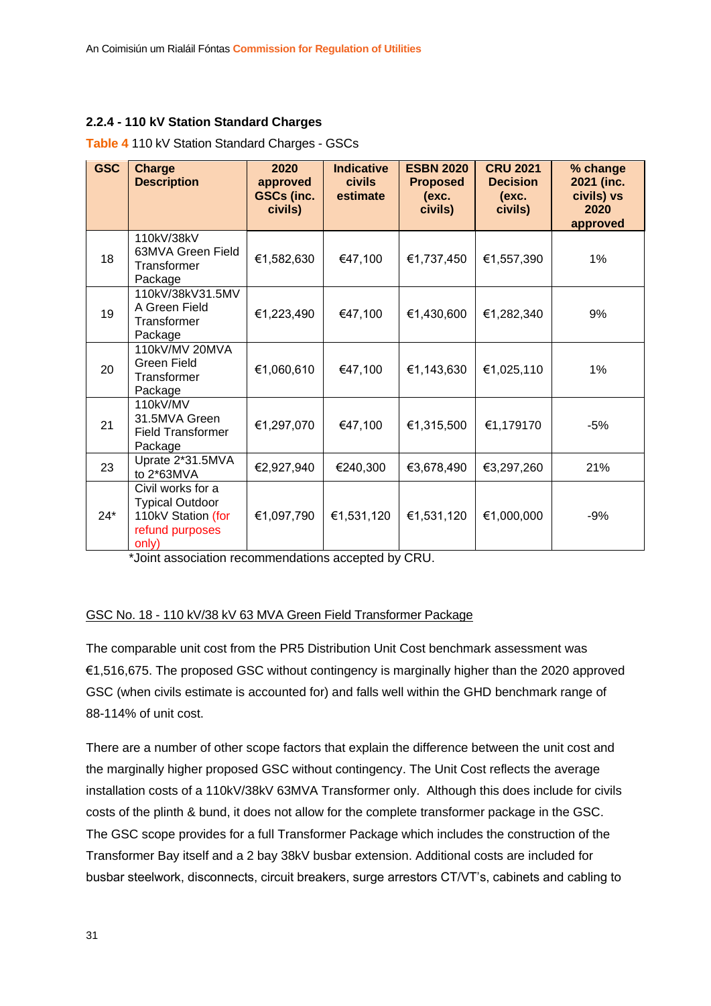#### <span id="page-31-0"></span>**2.2.4 - 110 kV Station Standard Charges**

| <b>GSC</b> | <b>Charge</b><br><b>Description</b>                                                           | 2020<br>approved<br><b>GSCs (inc.</b><br>civils) | <b>Indicative</b><br><b>civils</b><br>estimate | <b>ESBN 2020</b><br><b>Proposed</b><br>(exc.<br>civils) | <b>CRU 2021</b><br><b>Decision</b><br>(exc.<br>civils) | % change<br>2021 (inc.<br>civils) vs<br>2020<br>approved |
|------------|-----------------------------------------------------------------------------------------------|--------------------------------------------------|------------------------------------------------|---------------------------------------------------------|--------------------------------------------------------|----------------------------------------------------------|
| 18         | 110kV/38kV<br>63MVA Green Field<br>Transformer<br>Package                                     | €1,582,630                                       | €47,100                                        | €1,737,450                                              | €1,557,390                                             | 1%                                                       |
| 19         | 110kV/38kV31.5MV<br>A Green Field<br>Transformer<br>Package                                   | €1,223,490                                       | €47,100                                        | €1,430,600                                              | €1,282,340                                             | 9%                                                       |
| 20         | 110kV/MV 20MVA<br>Green Field<br>Transformer<br>Package                                       | €1,060,610                                       | €47,100                                        | €1,143,630                                              | €1,025,110                                             | 1%                                                       |
| 21         | 110kV/MV<br>31.5MVA Green<br><b>Field Transformer</b><br>Package                              | €1,297,070                                       | €47,100                                        | €1,315,500                                              | €1,179170                                              | $-5%$                                                    |
| 23         | Uprate 2*31.5MVA<br>to 2*63MVA                                                                | €2,927,940                                       | €240,300                                       | €3,678,490                                              | €3,297,260                                             | 21%                                                      |
| $24*$      | Civil works for a<br><b>Typical Outdoor</b><br>110kV Station (for<br>refund purposes<br>only) | €1,097,790                                       | €1,531,120                                     | €1,531,120                                              | €1,000,000                                             | $-9%$                                                    |

**Table 4** 110 kV Station Standard Charges - GSCs

\*Joint association recommendations accepted by CRU.

#### GSC No. 18 - 110 kV/38 kV 63 MVA Green Field Transformer Package

The comparable unit cost from the PR5 Distribution Unit Cost benchmark assessment was €1,516,675. The proposed GSC without contingency is marginally higher than the 2020 approved GSC (when civils estimate is accounted for) and falls well within the GHD benchmark range of 88-114% of unit cost.

There are a number of other scope factors that explain the difference between the unit cost and the marginally higher proposed GSC without contingency. The Unit Cost reflects the average installation costs of a 110kV/38kV 63MVA Transformer only. Although this does include for civils costs of the plinth & bund, it does not allow for the complete transformer package in the GSC. The GSC scope provides for a full Transformer Package which includes the construction of the Transformer Bay itself and a 2 bay 38kV busbar extension. Additional costs are included for busbar steelwork, disconnects, circuit breakers, surge arrestors CT/VT's, cabinets and cabling to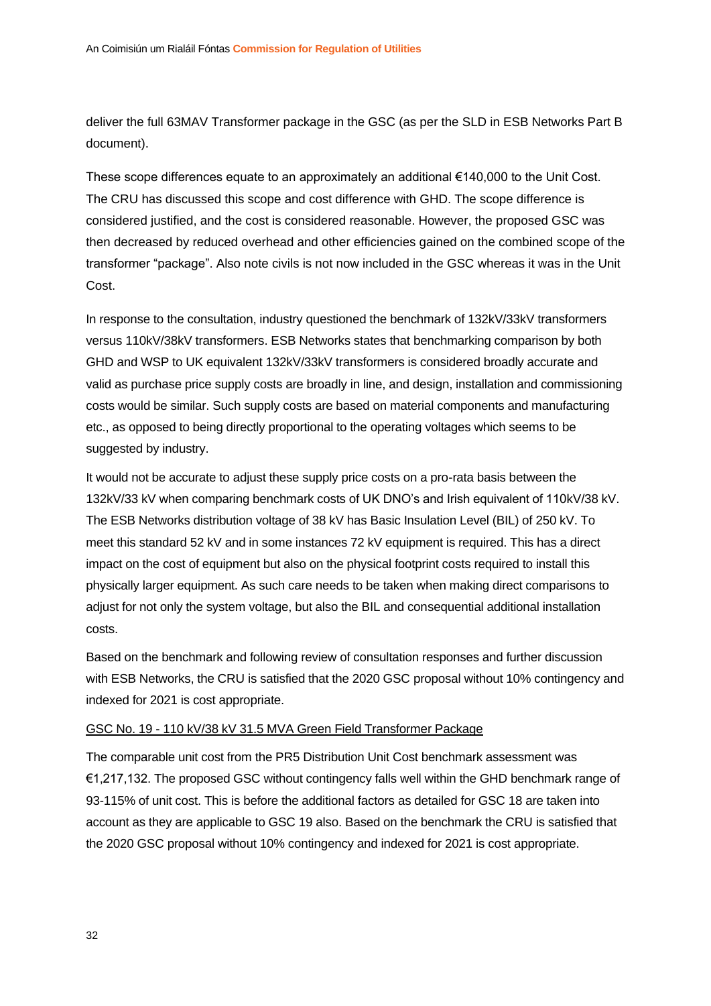deliver the full 63MAV Transformer package in the GSC (as per the SLD in ESB Networks Part B document).

These scope differences equate to an approximately an additional €140,000 to the Unit Cost. The CRU has discussed this scope and cost difference with GHD. The scope difference is considered justified, and the cost is considered reasonable. However, the proposed GSC was then decreased by reduced overhead and other efficiencies gained on the combined scope of the transformer "package". Also note civils is not now included in the GSC whereas it was in the Unit Cost.

In response to the consultation, industry questioned the benchmark of 132kV/33kV transformers versus 110kV/38kV transformers. ESB Networks states that benchmarking comparison by both GHD and WSP to UK equivalent 132kV/33kV transformers is considered broadly accurate and valid as purchase price supply costs are broadly in line, and design, installation and commissioning costs would be similar. Such supply costs are based on material components and manufacturing etc., as opposed to being directly proportional to the operating voltages which seems to be suggested by industry.

It would not be accurate to adjust these supply price costs on a pro-rata basis between the 132kV/33 kV when comparing benchmark costs of UK DNO's and Irish equivalent of 110kV/38 kV. The ESB Networks distribution voltage of 38 kV has Basic Insulation Level (BIL) of 250 kV. To meet this standard 52 kV and in some instances 72 kV equipment is required. This has a direct impact on the cost of equipment but also on the physical footprint costs required to install this physically larger equipment. As such care needs to be taken when making direct comparisons to adjust for not only the system voltage, but also the BIL and consequential additional installation costs.

Based on the benchmark and following review of consultation responses and further discussion with ESB Networks, the CRU is satisfied that the 2020 GSC proposal without 10% contingency and indexed for 2021 is cost appropriate.

#### GSC No. 19 - 110 kV/38 kV 31.5 MVA Green Field Transformer Package

The comparable unit cost from the PR5 Distribution Unit Cost benchmark assessment was €1,217,132. The proposed GSC without contingency falls well within the GHD benchmark range of 93-115% of unit cost. This is before the additional factors as detailed for GSC 18 are taken into account as they are applicable to GSC 19 also. Based on the benchmark the CRU is satisfied that the 2020 GSC proposal without 10% contingency and indexed for 2021 is cost appropriate.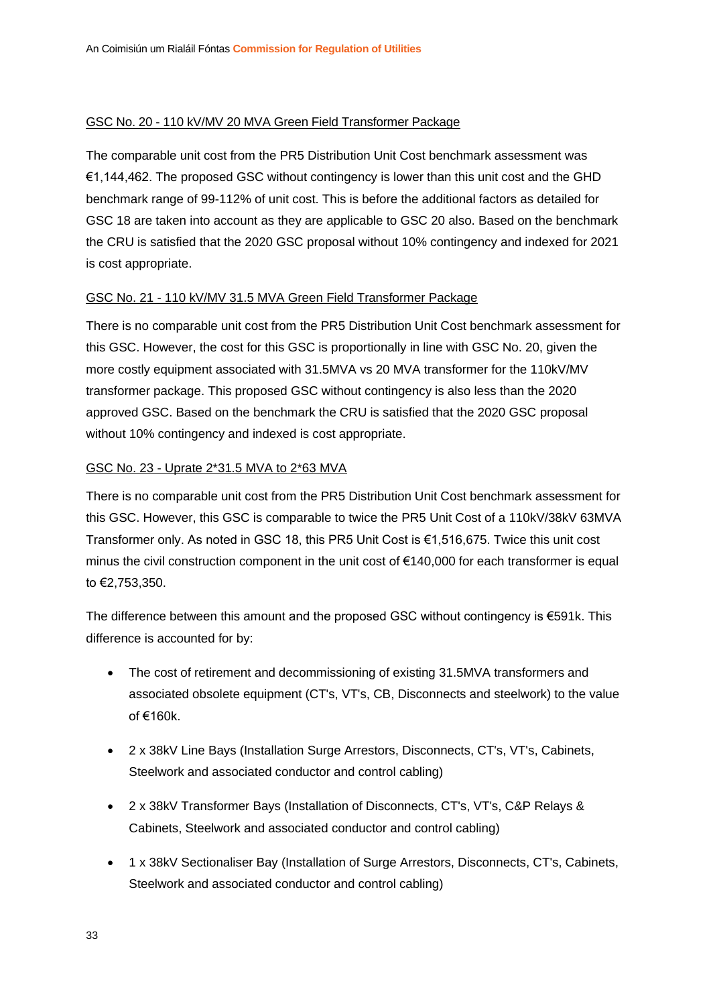#### GSC No. 20 - 110 kV/MV 20 MVA Green Field Transformer Package

The comparable unit cost from the PR5 Distribution Unit Cost benchmark assessment was €1,144,462. The proposed GSC without contingency is lower than this unit cost and the GHD benchmark range of 99-112% of unit cost. This is before the additional factors as detailed for GSC 18 are taken into account as they are applicable to GSC 20 also. Based on the benchmark the CRU is satisfied that the 2020 GSC proposal without 10% contingency and indexed for 2021 is cost appropriate.

#### GSC No. 21 - 110 kV/MV 31.5 MVA Green Field Transformer Package

There is no comparable unit cost from the PR5 Distribution Unit Cost benchmark assessment for this GSC. However, the cost for this GSC is proportionally in line with GSC No. 20, given the more costly equipment associated with 31.5MVA vs 20 MVA transformer for the 110kV/MV transformer package. This proposed GSC without contingency is also less than the 2020 approved GSC. Based on the benchmark the CRU is satisfied that the 2020 GSC proposal without 10% contingency and indexed is cost appropriate.

#### GSC No. 23 - Uprate 2\*31.5 MVA to 2\*63 MVA

There is no comparable unit cost from the PR5 Distribution Unit Cost benchmark assessment for this GSC. However, this GSC is comparable to twice the PR5 Unit Cost of a 110kV/38kV 63MVA Transformer only. As noted in GSC 18, this PR5 Unit Cost is €1,516,675. Twice this unit cost minus the civil construction component in the unit cost of €140,000 for each transformer is equal to €2,753,350.

The difference between this amount and the proposed GSC without contingency is €591k. This difference is accounted for by:

- The cost of retirement and decommissioning of existing 31.5MVA transformers and associated obsolete equipment (CT's, VT's, CB, Disconnects and steelwork) to the value of €160k.
- 2 x 38kV Line Bays (Installation Surge Arrestors, Disconnects, CT's, VT's, Cabinets, Steelwork and associated conductor and control cabling)
- 2 x 38kV Transformer Bays (Installation of Disconnects, CT's, VT's, C&P Relays & Cabinets, Steelwork and associated conductor and control cabling)
- 1 x 38kV Sectionaliser Bay (Installation of Surge Arrestors, Disconnects, CT's, Cabinets, Steelwork and associated conductor and control cabling)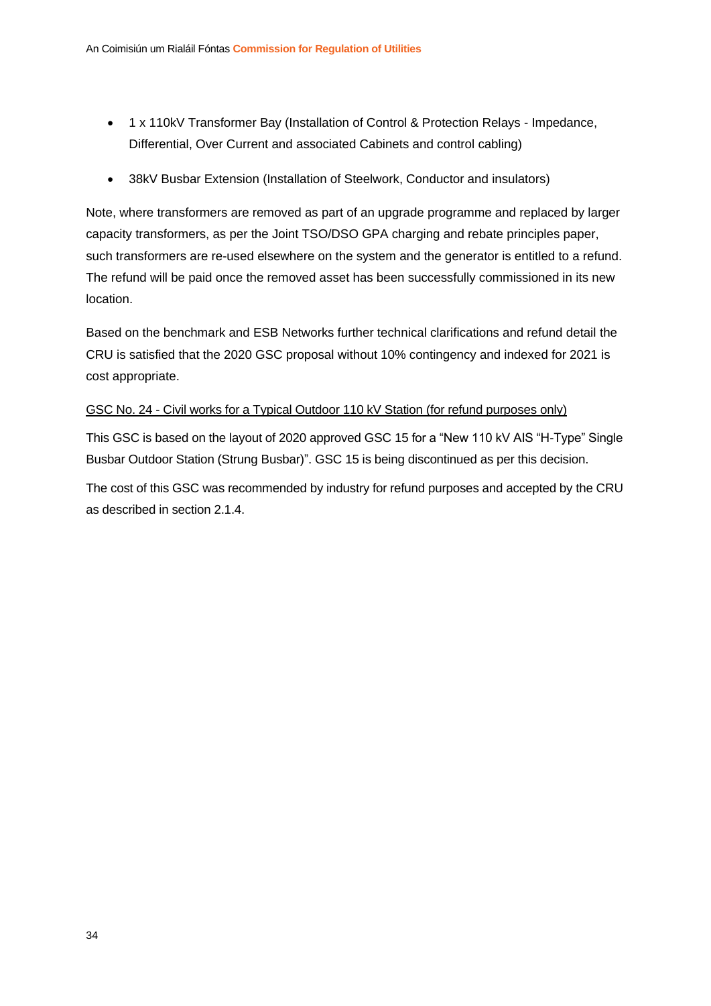- 1 x 110kV Transformer Bay (Installation of Control & Protection Relays Impedance, Differential, Over Current and associated Cabinets and control cabling)
- 38kV Busbar Extension (Installation of Steelwork, Conductor and insulators)

Note, where transformers are removed as part of an upgrade programme and replaced by larger capacity transformers, as per the Joint TSO/DSO GPA charging and rebate principles paper, such transformers are re-used elsewhere on the system and the generator is entitled to a refund. The refund will be paid once the removed asset has been successfully commissioned in its new location.

Based on the benchmark and ESB Networks further technical clarifications and refund detail the CRU is satisfied that the 2020 GSC proposal without 10% contingency and indexed for 2021 is cost appropriate.

#### GSC No. 24 - Civil works for a Typical Outdoor 110 kV Station (for refund purposes only)

This GSC is based on the layout of 2020 approved GSC 15 for a "New 110 kV AIS "H-Type" Single Busbar Outdoor Station (Strung Busbar)". GSC 15 is being discontinued as per this decision.

The cost of this GSC was recommended by industry for refund purposes and accepted by the CRU as described in section 2.1.4.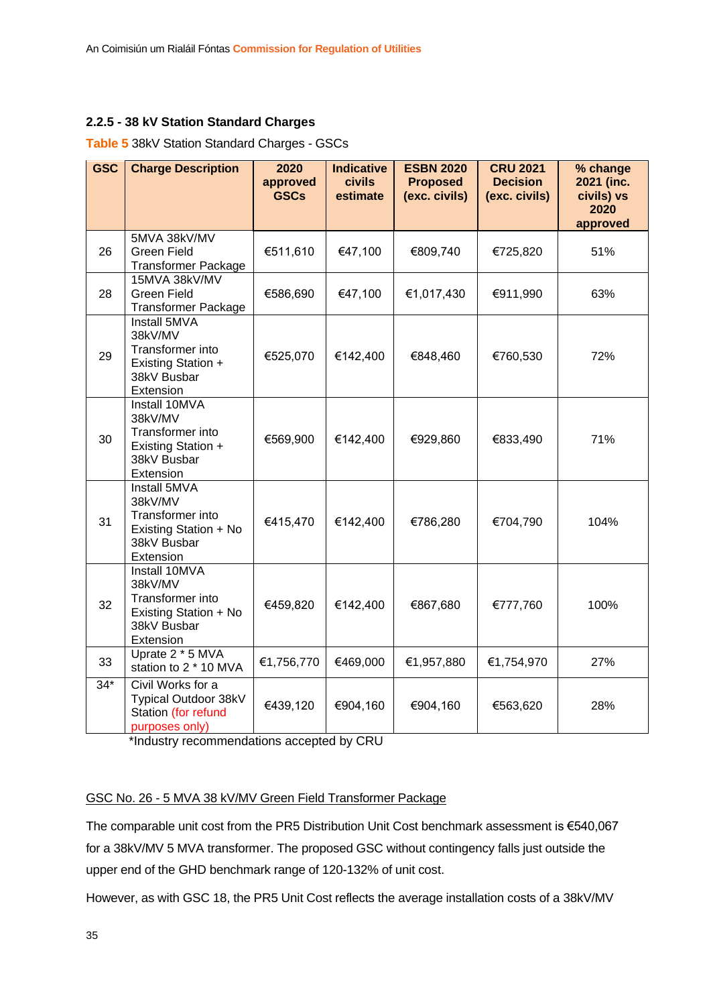#### <span id="page-35-0"></span>**2.2.5 - 38 kV Station Standard Charges**

#### **Table 5** 38kV Station Standard Charges - GSCs

| <b>GSC</b> | <b>Charge Description</b>                                                                         | 2020<br>approved<br><b>GSCs</b> | <b>Indicative</b><br><b>civils</b><br>estimate | <b>ESBN 2020</b><br><b>Proposed</b><br>(exc. civils) | <b>CRU 2021</b><br><b>Decision</b><br>(exc. civils) | % change<br>2021 (inc.<br>civils) vs |
|------------|---------------------------------------------------------------------------------------------------|---------------------------------|------------------------------------------------|------------------------------------------------------|-----------------------------------------------------|--------------------------------------|
|            |                                                                                                   |                                 |                                                |                                                      |                                                     | 2020<br>approved                     |
| 26         | 5MVA 38kV/MV<br><b>Green Field</b><br><b>Transformer Package</b>                                  | €511,610                        | €47,100                                        | €809,740                                             | €725,820                                            | 51%                                  |
| 28         | 15MVA 38kV/MV<br><b>Green Field</b><br><b>Transformer Package</b>                                 | €586,690                        | €47,100                                        | €1,017,430                                           | €911,990                                            | 63%                                  |
| 29         | Install 5MVA<br>38kV/MV<br>Transformer into<br>Existing Station +<br>38kV Busbar<br>Extension     | €525,070                        | €142,400                                       | €848,460                                             | €760,530                                            | 72%                                  |
| 30         | Install 10MVA<br>38kV/MV<br>Transformer into<br>Existing Station +<br>38kV Busbar<br>Extension    | €569,900                        | €142,400                                       | €929,860                                             | €833,490                                            | 71%                                  |
| 31         | Install 5MVA<br>38kV/MV<br>Transformer into<br>Existing Station + No<br>38kV Busbar<br>Extension  | €415,470                        | €142,400                                       | €786,280                                             | €704,790                                            | 104%                                 |
| 32         | Install 10MVA<br>38kV/MV<br>Transformer into<br>Existing Station + No<br>38kV Busbar<br>Extension | €459,820                        | €142,400                                       | €867,680                                             | €777,760                                            | 100%                                 |
| 33         | Uprate 2 * 5 MVA<br>station to 2 * 10 MVA                                                         | €1,756,770                      | €469,000                                       | €1,957,880                                           | €1,754,970                                          | 27%                                  |
| $34*$      | Civil Works for a<br>Typical Outdoor 38kV<br>Station (for refund<br>purposes only)                | €439,120                        | €904,160                                       | €904,160                                             | €563,620                                            | 28%                                  |

\*Industry recommendations accepted by CRU

#### GSC No. 26 - 5 MVA 38 kV/MV Green Field Transformer Package

The comparable unit cost from the PR5 Distribution Unit Cost benchmark assessment is €540,067 for a 38kV/MV 5 MVA transformer. The proposed GSC without contingency falls just outside the upper end of the GHD benchmark range of 120-132% of unit cost.

However, as with GSC 18, the PR5 Unit Cost reflects the average installation costs of a 38kV/MV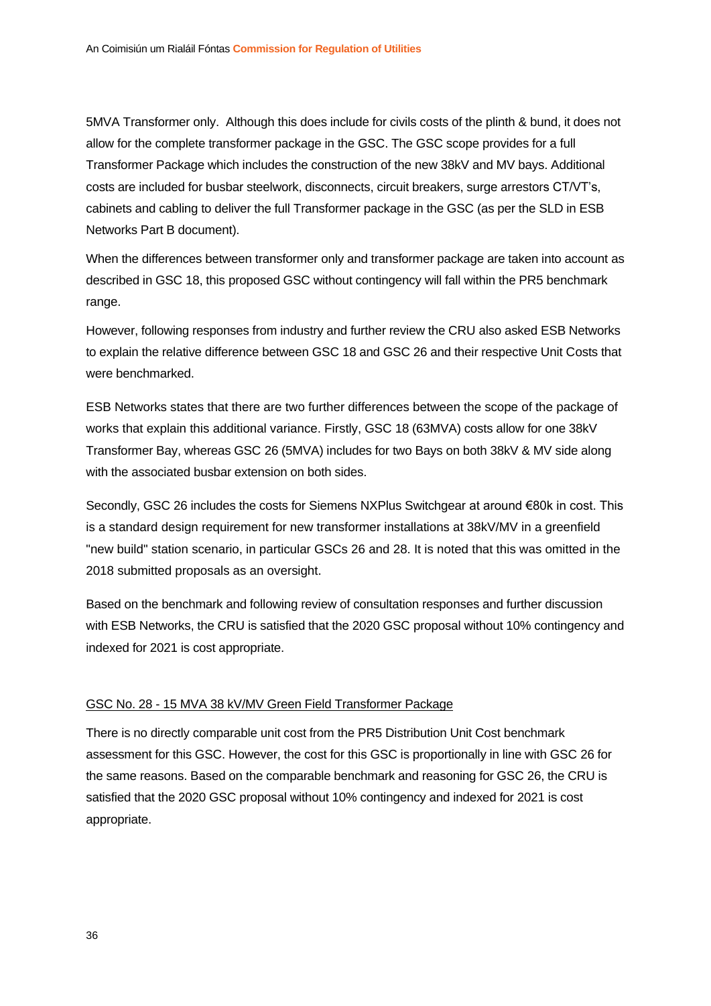5MVA Transformer only. Although this does include for civils costs of the plinth & bund, it does not allow for the complete transformer package in the GSC. The GSC scope provides for a full Transformer Package which includes the construction of the new 38kV and MV bays. Additional costs are included for busbar steelwork, disconnects, circuit breakers, surge arrestors CT/VT's, cabinets and cabling to deliver the full Transformer package in the GSC (as per the SLD in ESB Networks Part B document).

When the differences between transformer only and transformer package are taken into account as described in GSC 18, this proposed GSC without contingency will fall within the PR5 benchmark range.

However, following responses from industry and further review the CRU also asked ESB Networks to explain the relative difference between GSC 18 and GSC 26 and their respective Unit Costs that were benchmarked.

ESB Networks states that there are two further differences between the scope of the package of works that explain this additional variance. Firstly, GSC 18 (63MVA) costs allow for one 38kV Transformer Bay, whereas GSC 26 (5MVA) includes for two Bays on both 38kV & MV side along with the associated busbar extension on both sides.

Secondly, GSC 26 includes the costs for Siemens NXPlus Switchgear at around €80k in cost. This is a standard design requirement for new transformer installations at 38kV/MV in a greenfield "new build" station scenario, in particular GSCs 26 and 28. It is noted that this was omitted in the 2018 submitted proposals as an oversight.

Based on the benchmark and following review of consultation responses and further discussion with ESB Networks, the CRU is satisfied that the 2020 GSC proposal without 10% contingency and indexed for 2021 is cost appropriate.

#### GSC No. 28 - 15 MVA 38 kV/MV Green Field Transformer Package

There is no directly comparable unit cost from the PR5 Distribution Unit Cost benchmark assessment for this GSC. However, the cost for this GSC is proportionally in line with GSC 26 for the same reasons. Based on the comparable benchmark and reasoning for GSC 26, the CRU is satisfied that the 2020 GSC proposal without 10% contingency and indexed for 2021 is cost appropriate.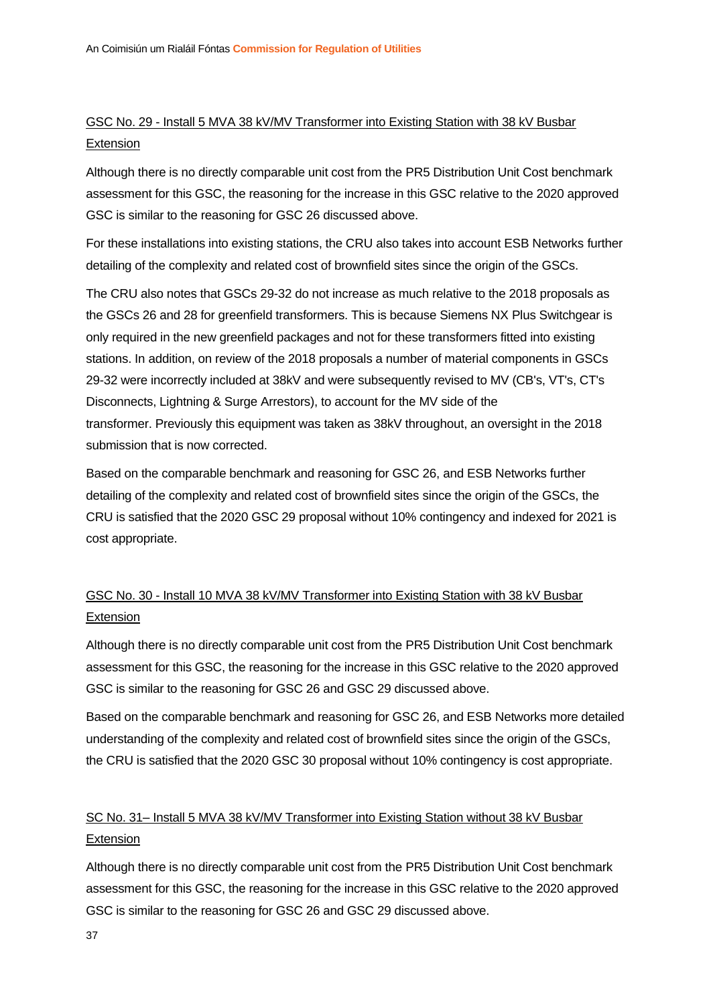#### GSC No. 29 - Install 5 MVA 38 kV/MV Transformer into Existing Station with 38 kV Busbar **Extension**

Although there is no directly comparable unit cost from the PR5 Distribution Unit Cost benchmark assessment for this GSC, the reasoning for the increase in this GSC relative to the 2020 approved GSC is similar to the reasoning for GSC 26 discussed above.

For these installations into existing stations, the CRU also takes into account ESB Networks further detailing of the complexity and related cost of brownfield sites since the origin of the GSCs.

The CRU also notes that GSCs 29-32 do not increase as much relative to the 2018 proposals as the GSCs 26 and 28 for greenfield transformers. This is because Siemens NX Plus Switchgear is only required in the new greenfield packages and not for these transformers fitted into existing stations. In addition, on review of the 2018 proposals a number of material components in GSCs 29-32 were incorrectly included at 38kV and were subsequently revised to MV (CB's, VT's, CT's Disconnects, Lightning & Surge Arrestors), to account for the MV side of the transformer. Previously this equipment was taken as 38kV throughout, an oversight in the 2018 submission that is now corrected.

Based on the comparable benchmark and reasoning for GSC 26, and ESB Networks further detailing of the complexity and related cost of brownfield sites since the origin of the GSCs, the CRU is satisfied that the 2020 GSC 29 proposal without 10% contingency and indexed for 2021 is cost appropriate.

#### GSC No. 30 - Install 10 MVA 38 kV/MV Transformer into Existing Station with 38 kV Busbar **Extension**

Although there is no directly comparable unit cost from the PR5 Distribution Unit Cost benchmark assessment for this GSC, the reasoning for the increase in this GSC relative to the 2020 approved GSC is similar to the reasoning for GSC 26 and GSC 29 discussed above.

Based on the comparable benchmark and reasoning for GSC 26, and ESB Networks more detailed understanding of the complexity and related cost of brownfield sites since the origin of the GSCs, the CRU is satisfied that the 2020 GSC 30 proposal without 10% contingency is cost appropriate.

#### SC No. 31– Install 5 MVA 38 kV/MV Transformer into Existing Station without 38 kV Busbar **Extension**

Although there is no directly comparable unit cost from the PR5 Distribution Unit Cost benchmark assessment for this GSC, the reasoning for the increase in this GSC relative to the 2020 approved GSC is similar to the reasoning for GSC 26 and GSC 29 discussed above.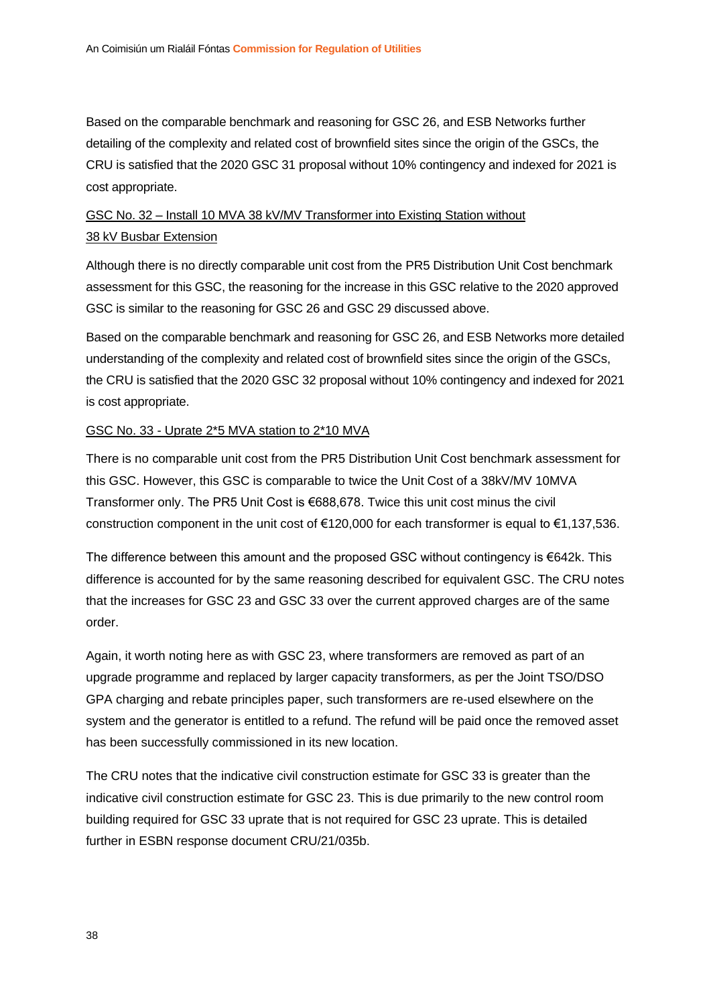Based on the comparable benchmark and reasoning for GSC 26, and ESB Networks further detailing of the complexity and related cost of brownfield sites since the origin of the GSCs, the CRU is satisfied that the 2020 GSC 31 proposal without 10% contingency and indexed for 2021 is cost appropriate.

#### GSC No. 32 – Install 10 MVA 38 kV/MV Transformer into Existing Station without 38 kV Busbar Extension

Although there is no directly comparable unit cost from the PR5 Distribution Unit Cost benchmark assessment for this GSC, the reasoning for the increase in this GSC relative to the 2020 approved GSC is similar to the reasoning for GSC 26 and GSC 29 discussed above.

Based on the comparable benchmark and reasoning for GSC 26, and ESB Networks more detailed understanding of the complexity and related cost of brownfield sites since the origin of the GSCs, the CRU is satisfied that the 2020 GSC 32 proposal without 10% contingency and indexed for 2021 is cost appropriate.

#### GSC No. 33 - Uprate 2\*5 MVA station to 2\*10 MVA

There is no comparable unit cost from the PR5 Distribution Unit Cost benchmark assessment for this GSC. However, this GSC is comparable to twice the Unit Cost of a 38kV/MV 10MVA Transformer only. The PR5 Unit Cost is €688,678. Twice this unit cost minus the civil construction component in the unit cost of €120,000 for each transformer is equal to €1,137,536.

The difference between this amount and the proposed GSC without contingency is €642k. This difference is accounted for by the same reasoning described for equivalent GSC. The CRU notes that the increases for GSC 23 and GSC 33 over the current approved charges are of the same order.

Again, it worth noting here as with GSC 23, where transformers are removed as part of an upgrade programme and replaced by larger capacity transformers, as per the Joint TSO/DSO GPA charging and rebate principles paper, such transformers are re-used elsewhere on the system and the generator is entitled to a refund. The refund will be paid once the removed asset has been successfully commissioned in its new location.

The CRU notes that the indicative civil construction estimate for GSC 33 is greater than the indicative civil construction estimate for GSC 23. This is due primarily to the new control room building required for GSC 33 uprate that is not required for GSC 23 uprate. This is detailed further in ESBN response document CRU/21/035b.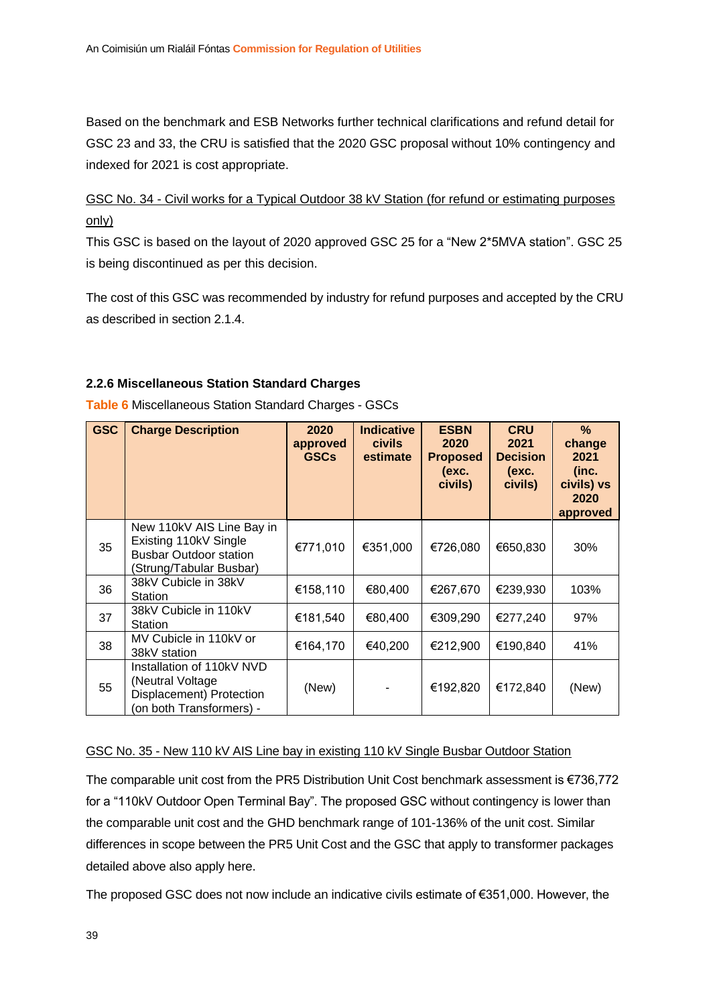Based on the benchmark and ESB Networks further technical clarifications and refund detail for GSC 23 and 33, the CRU is satisfied that the 2020 GSC proposal without 10% contingency and indexed for 2021 is cost appropriate.

GSC No. 34 - Civil works for a Typical Outdoor 38 kV Station (for refund or estimating purposes only)

This GSC is based on the layout of 2020 approved GSC 25 for a "New 2\*5MVA station". GSC 25 is being discontinued as per this decision.

The cost of this GSC was recommended by industry for refund purposes and accepted by the CRU as described in section 2.1.4.

#### <span id="page-39-0"></span>**2.2.6 Miscellaneous Station Standard Charges**

| <b>GSC</b> | <b>Charge Description</b>                                                                                      | 2020<br>approved<br><b>GSCs</b> | <b>Indicative</b><br><b>civils</b><br>estimate | <b>ESBN</b><br>2020<br><b>Proposed</b><br>(exc.<br>civils) | <b>CRU</b><br>2021<br><b>Decision</b><br>(exc.<br>civils) | $\%$<br>change<br>2021<br>(inc.<br>civils) vs<br>2020<br>approved |
|------------|----------------------------------------------------------------------------------------------------------------|---------------------------------|------------------------------------------------|------------------------------------------------------------|-----------------------------------------------------------|-------------------------------------------------------------------|
| 35         | New 110kV AIS Line Bay in<br>Existing 110kV Single<br><b>Busbar Outdoor station</b><br>(Strung/Tabular Busbar) | €771,010                        | €351,000                                       | €726,080                                                   | €650,830                                                  | 30%                                                               |
| 36         | 38kV Cubicle in 38kV<br>Station                                                                                | €158,110                        | €80,400                                        | €267,670                                                   | €239,930                                                  | 103%                                                              |
| 37         | 38kV Cubicle in 110kV<br>Station                                                                               | €181,540                        | €80,400                                        | €309,290                                                   | €277,240                                                  | 97%                                                               |
| 38         | MV Cubicle in 110kV or<br>38kV station                                                                         | €164,170                        | €40,200                                        | €212,900                                                   | €190,840                                                  | 41%                                                               |
| 55         | Installation of 110kV NVD<br>(Neutral Voltage)<br>Displacement) Protection<br>(on both Transformers) -         | (New)                           |                                                | €192,820                                                   | €172,840                                                  | (New)                                                             |

**Table 6** Miscellaneous Station Standard Charges - GSCs

#### GSC No. 35 - New 110 kV AIS Line bay in existing 110 kV Single Busbar Outdoor Station

The comparable unit cost from the PR5 Distribution Unit Cost benchmark assessment is €736,772 for a "110kV Outdoor Open Terminal Bay". The proposed GSC without contingency is lower than the comparable unit cost and the GHD benchmark range of 101-136% of the unit cost. Similar differences in scope between the PR5 Unit Cost and the GSC that apply to transformer packages detailed above also apply here.

The proposed GSC does not now include an indicative civils estimate of €351,000. However, the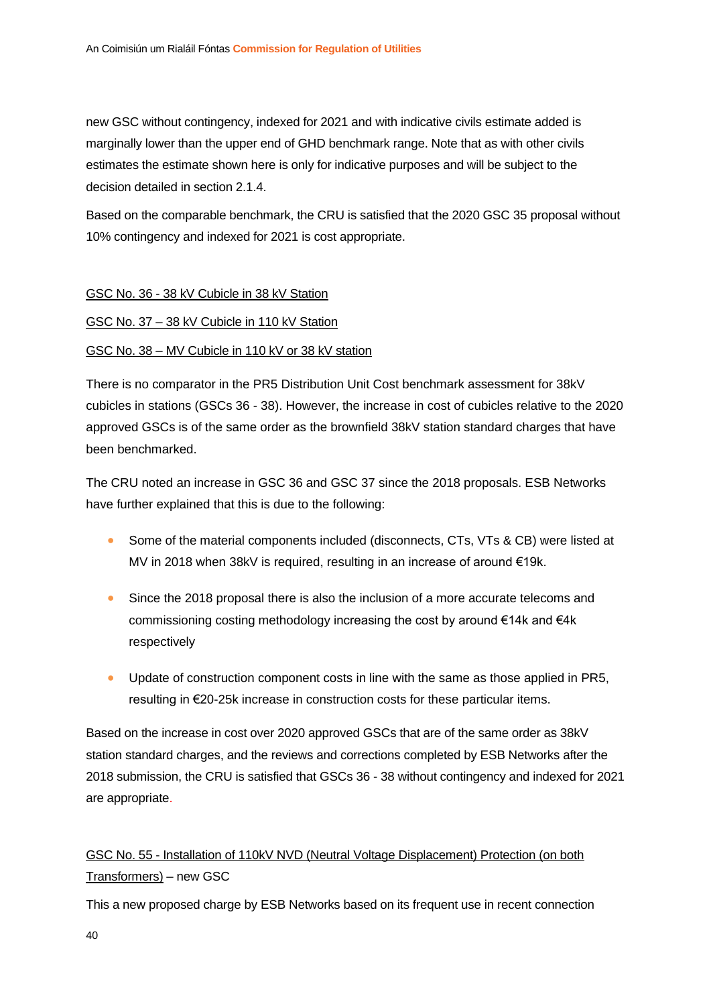new GSC without contingency, indexed for 2021 and with indicative civils estimate added is marginally lower than the upper end of GHD benchmark range. Note that as with other civils estimates the estimate shown here is only for indicative purposes and will be subject to the decision detailed in section 2.1.4.

Based on the comparable benchmark, the CRU is satisfied that the 2020 GSC 35 proposal without 10% contingency and indexed for 2021 is cost appropriate.

#### GSC No. 36 - 38 kV Cubicle in 38 kV Station

#### GSC No. 37 – 38 kV Cubicle in 110 kV Station

#### GSC No. 38 – MV Cubicle in 110 kV or 38 kV station

There is no comparator in the PR5 Distribution Unit Cost benchmark assessment for 38kV cubicles in stations (GSCs 36 - 38). However, the increase in cost of cubicles relative to the 2020 approved GSCs is of the same order as the brownfield 38kV station standard charges that have been benchmarked.

The CRU noted an increase in GSC 36 and GSC 37 since the 2018 proposals. ESB Networks have further explained that this is due to the following:

- Some of the material components included (disconnects, CTs, VTs & CB) were listed at MV in 2018 when 38kV is required, resulting in an increase of around €19k.
- Since the 2018 proposal there is also the inclusion of a more accurate telecoms and commissioning costing methodology increasing the cost by around €14k and €4k respectively
- Update of construction component costs in line with the same as those applied in PR5, resulting in €20-25k increase in construction costs for these particular items.

Based on the increase in cost over 2020 approved GSCs that are of the same order as 38kV station standard charges, and the reviews and corrections completed by ESB Networks after the 2018 submission, the CRU is satisfied that GSCs 36 - 38 without contingency and indexed for 2021 are appropriate.

#### GSC No. 55 - Installation of 110kV NVD (Neutral Voltage Displacement) Protection (on both Transformers) – new GSC

This a new proposed charge by ESB Networks based on its frequent use in recent connection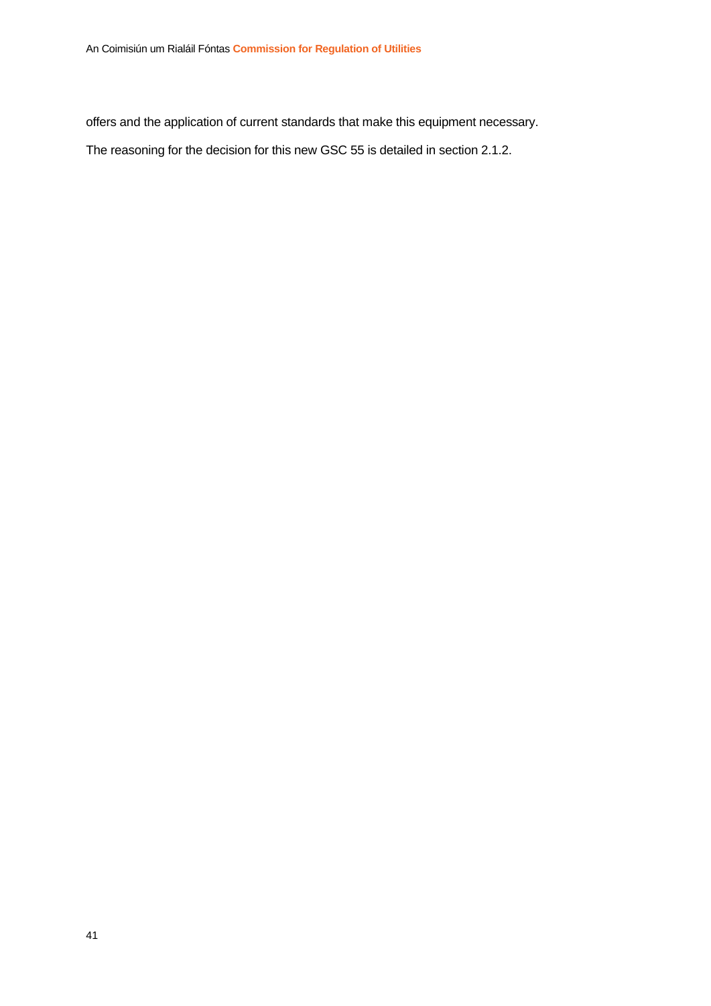offers and the application of current standards that make this equipment necessary.

The reasoning for the decision for this new GSC 55 is detailed in section 2.1.2.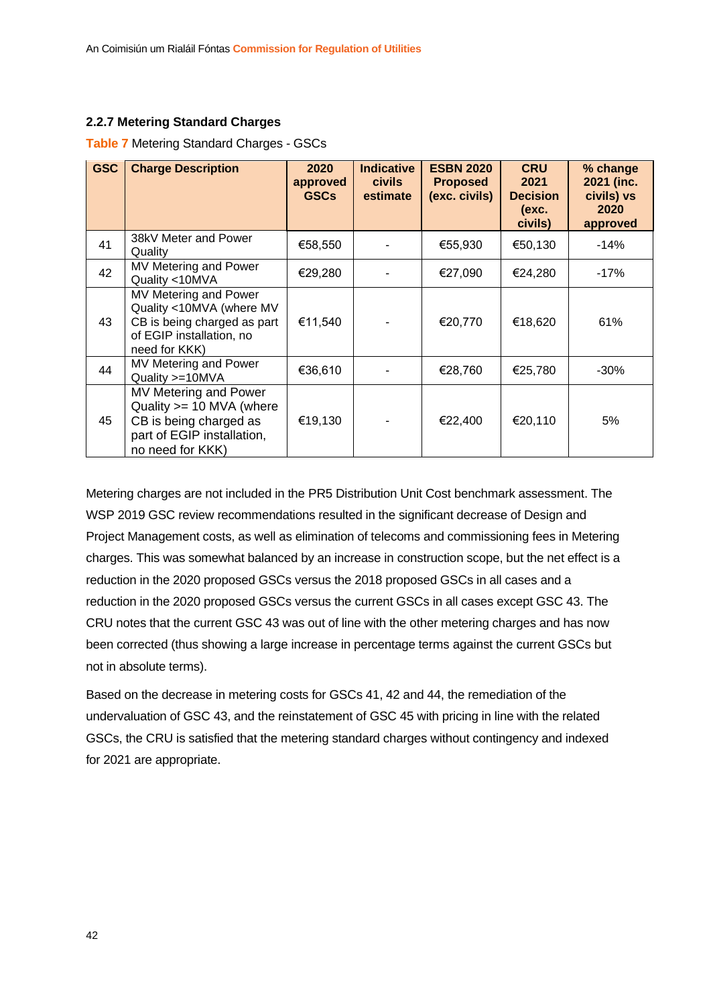#### <span id="page-42-0"></span>**2.2.7 Metering Standard Charges**

#### **Table 7** Metering Standard Charges - GSCs

| <b>GSC</b> | <b>Charge Description</b>                                                                                                     | 2020<br>approved<br><b>GSCs</b> | <b>Indicative</b><br><b>civils</b><br>estimate | <b>ESBN 2020</b><br><b>Proposed</b><br>(exc. civils) | <b>CRU</b><br>2021<br><b>Decision</b><br>(exc.<br>civils) | % change<br>2021 (inc.<br>civils) vs<br>2020<br>approved |
|------------|-------------------------------------------------------------------------------------------------------------------------------|---------------------------------|------------------------------------------------|------------------------------------------------------|-----------------------------------------------------------|----------------------------------------------------------|
| 41         | 38kV Meter and Power<br>Quality                                                                                               | €58,550                         |                                                | €55,930                                              | €50,130                                                   | $-14%$                                                   |
| 42         | MV Metering and Power<br>Quality <10MVA                                                                                       | €29,280                         |                                                | €27,090                                              | €24,280                                                   | $-17%$                                                   |
| 43         | MV Metering and Power<br>Quality <10MVA (where MV<br>CB is being charged as part<br>of EGIP installation, no<br>need for KKK) | €11,540                         |                                                | €20,770                                              | €18,620                                                   | 61%                                                      |
| 44         | MV Metering and Power<br>Quality >=10MVA                                                                                      | €36,610                         |                                                | €28,760                                              | €25,780                                                   | $-30\%$                                                  |
| 45         | MV Metering and Power<br>Quality >= 10 MVA (where<br>CB is being charged as<br>part of EGIP installation,<br>no need for KKK) | €19,130                         |                                                | €22,400                                              | €20,110                                                   | 5%                                                       |

Metering charges are not included in the PR5 Distribution Unit Cost benchmark assessment. The WSP 2019 GSC review recommendations resulted in the significant decrease of Design and Project Management costs, as well as elimination of telecoms and commissioning fees in Metering charges. This was somewhat balanced by an increase in construction scope, but the net effect is a reduction in the 2020 proposed GSCs versus the 2018 proposed GSCs in all cases and a reduction in the 2020 proposed GSCs versus the current GSCs in all cases except GSC 43. The CRU notes that the current GSC 43 was out of line with the other metering charges and has now been corrected (thus showing a large increase in percentage terms against the current GSCs but not in absolute terms).

Based on the decrease in metering costs for GSCs 41, 42 and 44, the remediation of the undervaluation of GSC 43, and the reinstatement of GSC 45 with pricing in line with the related GSCs, the CRU is satisfied that the metering standard charges without contingency and indexed for 2021 are appropriate.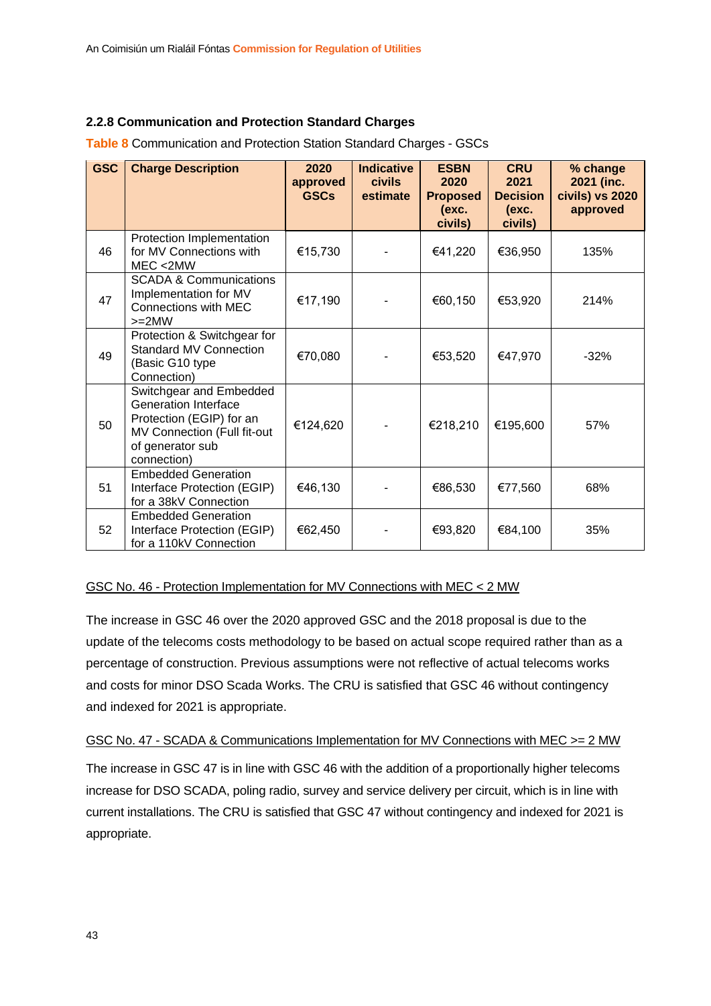#### <span id="page-43-0"></span>**2.2.8 Communication and Protection Standard Charges**

| <b>GSC</b> | <b>Charge Description</b>                                                                                                                            | 2020<br>approved<br><b>GSCs</b> | <b>Indicative</b><br><b>civils</b><br>estimate | <b>ESBN</b><br>2020<br><b>Proposed</b><br>(exc.<br>civils) | <b>CRU</b><br>2021<br><b>Decision</b><br>(exc.<br>civils) | % change<br>2021 (inc.<br>civils) vs 2020<br>approved |
|------------|------------------------------------------------------------------------------------------------------------------------------------------------------|---------------------------------|------------------------------------------------|------------------------------------------------------------|-----------------------------------------------------------|-------------------------------------------------------|
| 46         | Protection Implementation<br>for MV Connections with<br>MEC < 2MW                                                                                    | €15,730                         |                                                | €41,220                                                    | €36,950                                                   | 135%                                                  |
| 47         | <b>SCADA &amp; Communications</b><br>Implementation for MV<br>Connections with MEC<br>$>=2MW$                                                        | €17,190                         |                                                | €60,150                                                    | €53,920                                                   | 214%                                                  |
| 49         | Protection & Switchgear for<br><b>Standard MV Connection</b><br>(Basic G10 type<br>Connection)                                                       | €70,080                         |                                                | €53,520                                                    | €47,970                                                   | $-32%$                                                |
| 50         | Switchgear and Embedded<br><b>Generation Interface</b><br>Protection (EGIP) for an<br>MV Connection (Full fit-out<br>of generator sub<br>connection) | €124,620                        |                                                | €218,210                                                   | €195,600                                                  | 57%                                                   |
| 51         | <b>Embedded Generation</b><br>Interface Protection (EGIP)<br>for a 38kV Connection                                                                   | €46,130                         |                                                | €86,530                                                    | €77,560                                                   | 68%                                                   |
| 52         | <b>Embedded Generation</b><br>Interface Protection (EGIP)<br>for a 110kV Connection                                                                  | €62,450                         |                                                | €93,820                                                    | €84,100                                                   | 35%                                                   |

**Table 8** Communication and Protection Station Standard Charges - GSCs

#### GSC No. 46 - Protection Implementation for MV Connections with MEC < 2 MW

The increase in GSC 46 over the 2020 approved GSC and the 2018 proposal is due to the update of the telecoms costs methodology to be based on actual scope required rather than as a percentage of construction. Previous assumptions were not reflective of actual telecoms works and costs for minor DSO Scada Works. The CRU is satisfied that GSC 46 without contingency and indexed for 2021 is appropriate.

#### GSC No. 47 - SCADA & Communications Implementation for MV Connections with MEC >= 2 MW

The increase in GSC 47 is in line with GSC 46 with the addition of a proportionally higher telecoms increase for DSO SCADA, poling radio, survey and service delivery per circuit, which is in line with current installations. The CRU is satisfied that GSC 47 without contingency and indexed for 2021 is appropriate.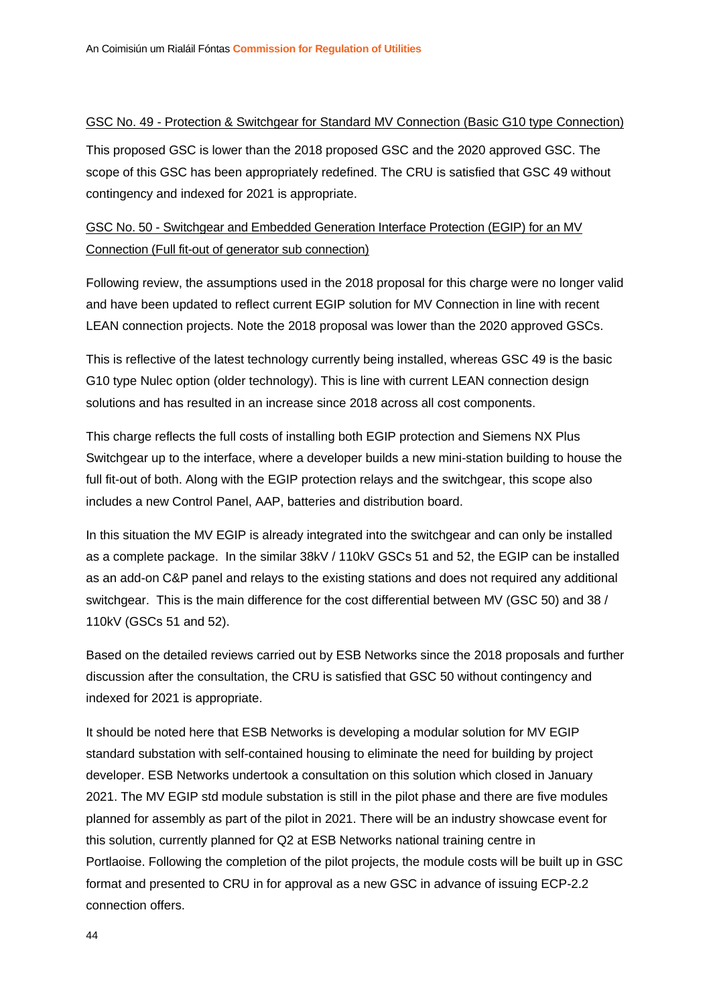#### GSC No. 49 - Protection & Switchgear for Standard MV Connection (Basic G10 type Connection)

This proposed GSC is lower than the 2018 proposed GSC and the 2020 approved GSC. The scope of this GSC has been appropriately redefined. The CRU is satisfied that GSC 49 without contingency and indexed for 2021 is appropriate.

#### GSC No. 50 - Switchgear and Embedded Generation Interface Protection (EGIP) for an MV Connection (Full fit-out of generator sub connection)

Following review, the assumptions used in the 2018 proposal for this charge were no longer valid and have been updated to reflect current EGIP solution for MV Connection in line with recent LEAN connection projects. Note the 2018 proposal was lower than the 2020 approved GSCs.

This is reflective of the latest technology currently being installed, whereas GSC 49 is the basic G10 type Nulec option (older technology). This is line with current LEAN connection design solutions and has resulted in an increase since 2018 across all cost components.

This charge reflects the full costs of installing both EGIP protection and Siemens NX Plus Switchgear up to the interface, where a developer builds a new mini-station building to house the full fit-out of both. Along with the EGIP protection relays and the switchgear, this scope also includes a new Control Panel, AAP, batteries and distribution board.

In this situation the MV EGIP is already integrated into the switchgear and can only be installed as a complete package. In the similar 38kV / 110kV GSCs 51 and 52, the EGIP can be installed as an add-on C&P panel and relays to the existing stations and does not required any additional switchgear. This is the main difference for the cost differential between MV (GSC 50) and 38 / 110kV (GSCs 51 and 52).

Based on the detailed reviews carried out by ESB Networks since the 2018 proposals and further discussion after the consultation, the CRU is satisfied that GSC 50 without contingency and indexed for 2021 is appropriate.

It should be noted here that ESB Networks is developing a modular solution for MV EGIP standard substation with self-contained housing to eliminate the need for building by project developer. ESB Networks undertook a consultation on this solution which closed in January 2021. The MV EGIP std module substation is still in the pilot phase and there are five modules planned for assembly as part of the pilot in 2021. There will be an industry showcase event for this solution, currently planned for Q2 at ESB Networks national training centre in Portlaoise. Following the completion of the pilot projects, the module costs will be built up in GSC format and presented to CRU in for approval as a new GSC in advance of issuing ECP-2.2 connection offers.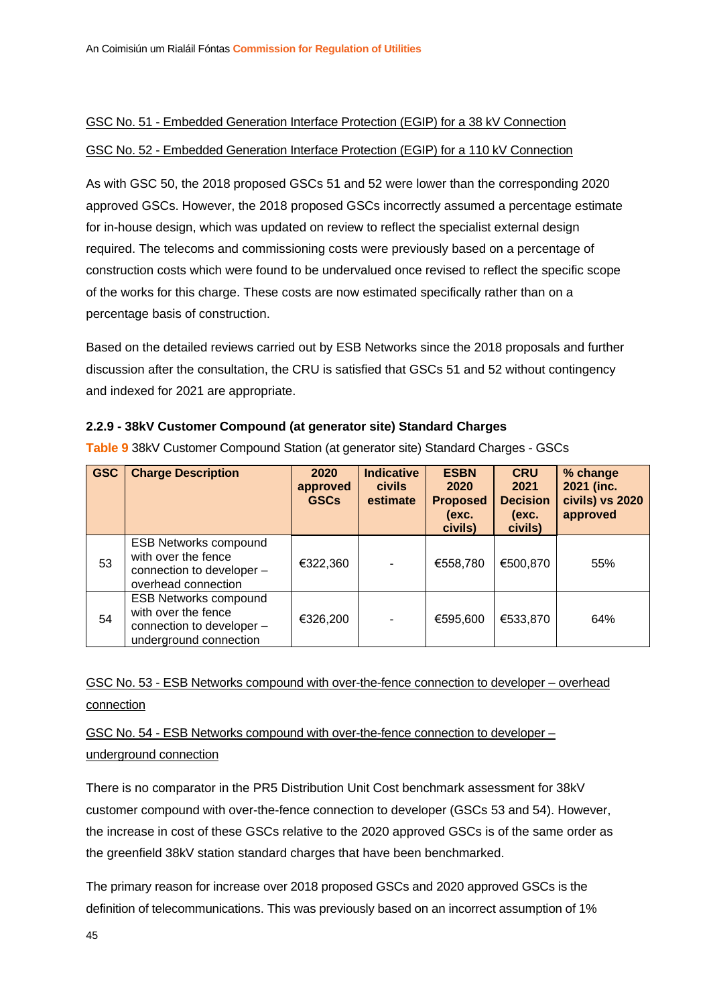#### GSC No. 51 - Embedded Generation Interface Protection (EGIP) for a 38 kV Connection

#### GSC No. 52 - Embedded Generation Interface Protection (EGIP) for a 110 kV Connection

As with GSC 50, the 2018 proposed GSCs 51 and 52 were lower than the corresponding 2020 approved GSCs. However, the 2018 proposed GSCs incorrectly assumed a percentage estimate for in-house design, which was updated on review to reflect the specialist external design required. The telecoms and commissioning costs were previously based on a percentage of construction costs which were found to be undervalued once revised to reflect the specific scope of the works for this charge. These costs are now estimated specifically rather than on a percentage basis of construction.

Based on the detailed reviews carried out by ESB Networks since the 2018 proposals and further discussion after the consultation, the CRU is satisfied that GSCs 51 and 52 without contingency and indexed for 2021 are appropriate.

#### <span id="page-45-0"></span>**2.2.9 - 38kV Customer Compound (at generator site) Standard Charges**

| <b>GSC</b> | <b>Charge Description</b>                                                                                  | 2020<br>approved<br><b>GSCs</b> | <b>Indicative</b><br><b>civils</b><br>estimate | <b>ESBN</b><br>2020<br><b>Proposed</b><br>(exc.<br>civils) | <b>CRU</b><br>2021<br><b>Decision</b><br>(exc.<br>civils) | % change<br>2021 (inc.<br>civils) vs 2020<br>approved |
|------------|------------------------------------------------------------------------------------------------------------|---------------------------------|------------------------------------------------|------------------------------------------------------------|-----------------------------------------------------------|-------------------------------------------------------|
| 53         | <b>ESB Networks compound</b><br>with over the fence<br>connection to developer -<br>overhead connection    | €322,360                        | -                                              | €558,780                                                   | €500,870                                                  | 55%                                                   |
| 54         | <b>ESB Networks compound</b><br>with over the fence<br>connection to developer -<br>underground connection | €326,200                        | $\overline{\phantom{a}}$                       | €595,600                                                   | €533,870                                                  | 64%                                                   |

**Table 9** 38kV Customer Compound Station (at generator site) Standard Charges - GSCs

#### GSC No. 53 - ESB Networks compound with over-the-fence connection to developer – overhead connection

#### GSC No. 54 - ESB Networks compound with over-the-fence connection to developer – underground connection

There is no comparator in the PR5 Distribution Unit Cost benchmark assessment for 38kV customer compound with over-the-fence connection to developer (GSCs 53 and 54). However, the increase in cost of these GSCs relative to the 2020 approved GSCs is of the same order as the greenfield 38kV station standard charges that have been benchmarked.

The primary reason for increase over 2018 proposed GSCs and 2020 approved GSCs is the definition of telecommunications. This was previously based on an incorrect assumption of 1%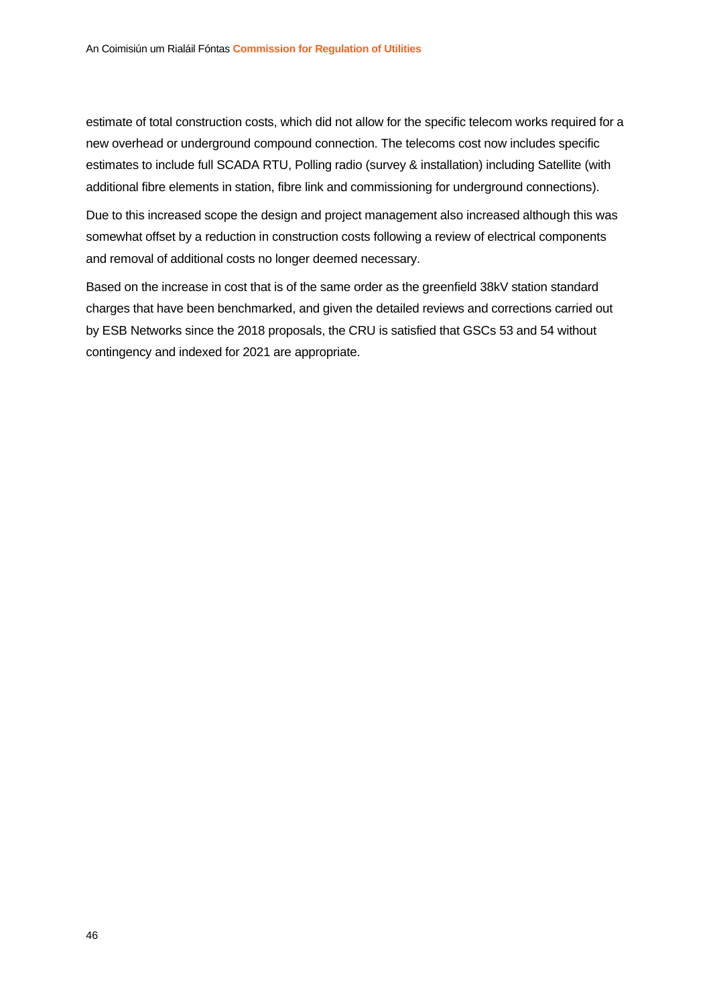estimate of total construction costs, which did not allow for the specific telecom works required for a new overhead or underground compound connection. The telecoms cost now includes specific estimates to include full SCADA RTU, Polling radio (survey & installation) including Satellite (with additional fibre elements in station, fibre link and commissioning for underground connections).

Due to this increased scope the design and project management also increased although this was somewhat offset by a reduction in construction costs following a review of electrical components and removal of additional costs no longer deemed necessary.

Based on the increase in cost that is of the same order as the greenfield 38kV station standard charges that have been benchmarked, and given the detailed reviews and corrections carried out by ESB Networks since the 2018 proposals, the CRU is satisfied that GSCs 53 and 54 without contingency and indexed for 2021 are appropriate.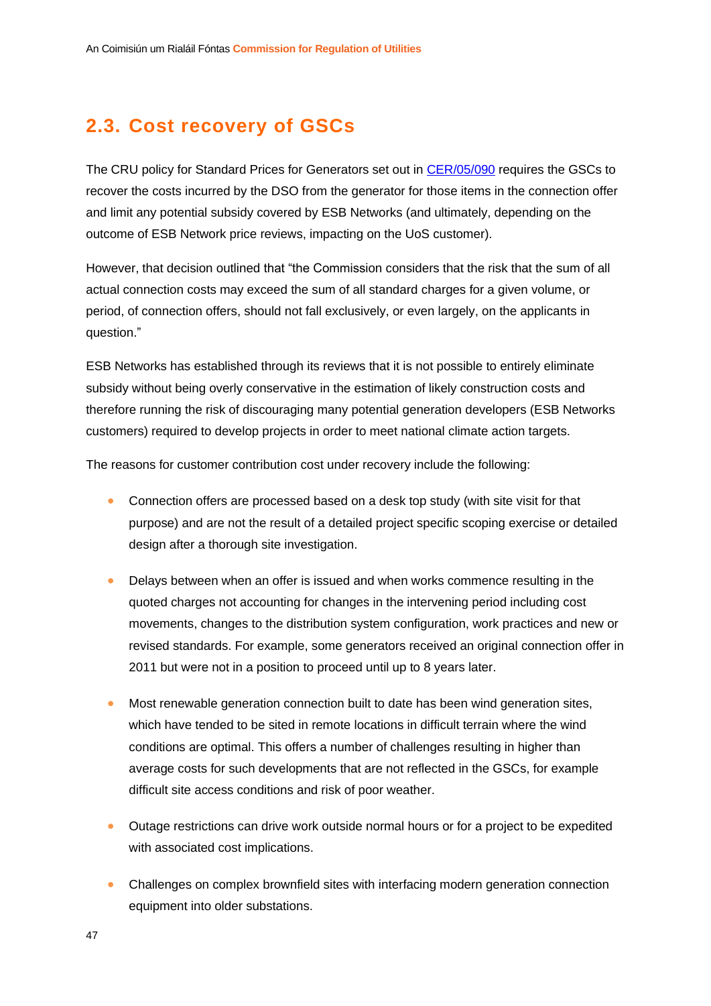### <span id="page-47-0"></span>**2.3. Cost recovery of GSCs**

The CRU policy for Standard Prices for Generators set out in [CER/05/090](https://www.cru.ie/wp-content/uploads/2005/07/cer05090.pdf) requires the GSCs to recover the costs incurred by the DSO from the generator for those items in the connection offer and limit any potential subsidy covered by ESB Networks (and ultimately, depending on the outcome of ESB Network price reviews, impacting on the UoS customer).

However, that decision outlined that "the Commission considers that the risk that the sum of all actual connection costs may exceed the sum of all standard charges for a given volume, or period, of connection offers, should not fall exclusively, or even largely, on the applicants in question."

ESB Networks has established through its reviews that it is not possible to entirely eliminate subsidy without being overly conservative in the estimation of likely construction costs and therefore running the risk of discouraging many potential generation developers (ESB Networks customers) required to develop projects in order to meet national climate action targets.

The reasons for customer contribution cost under recovery include the following:

- Connection offers are processed based on a desk top study (with site visit for that purpose) and are not the result of a detailed project specific scoping exercise or detailed design after a thorough site investigation.
- Delays between when an offer is issued and when works commence resulting in the quoted charges not accounting for changes in the intervening period including cost movements, changes to the distribution system configuration, work practices and new or revised standards. For example, some generators received an original connection offer in 2011 but were not in a position to proceed until up to 8 years later.
- Most renewable generation connection built to date has been wind generation sites, which have tended to be sited in remote locations in difficult terrain where the wind conditions are optimal. This offers a number of challenges resulting in higher than average costs for such developments that are not reflected in the GSCs, for example difficult site access conditions and risk of poor weather.
- Outage restrictions can drive work outside normal hours or for a project to be expedited with associated cost implications.
- Challenges on complex brownfield sites with interfacing modern generation connection equipment into older substations.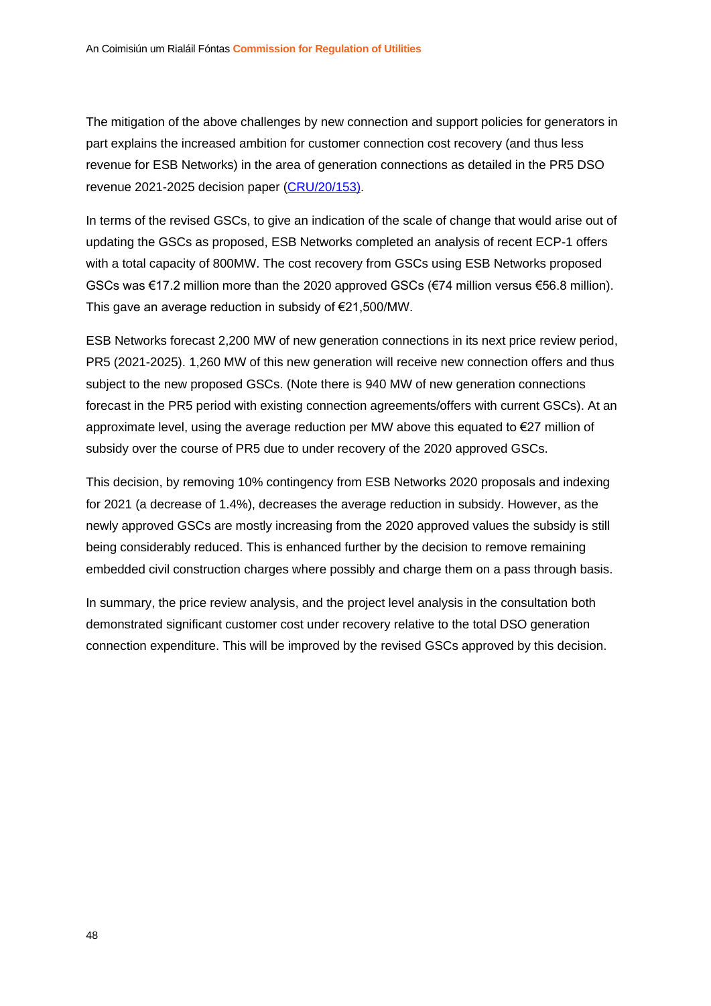The mitigation of the above challenges by new connection and support policies for generators in part explains the increased ambition for customer connection cost recovery (and thus less revenue for ESB Networks) in the area of generation connections as detailed in the PR5 DSO revenue 2021-2025 decision paper [\(CRU/20/153\)](https://www.cru.ie/wp-content/uploads/2020/12/CRU20153-Distribution-System-Operator-DSO-Revenue-for-2021-2025.pdf).

In terms of the revised GSCs, to give an indication of the scale of change that would arise out of updating the GSCs as proposed, ESB Networks completed an analysis of recent ECP-1 offers with a total capacity of 800MW. The cost recovery from GSCs using ESB Networks proposed GSCs was €17.2 million more than the 2020 approved GSCs (€74 million versus €56.8 million). This gave an average reduction in subsidy of €21,500/MW.

ESB Networks forecast 2,200 MW of new generation connections in its next price review period, PR5 (2021-2025). 1,260 MW of this new generation will receive new connection offers and thus subject to the new proposed GSCs. (Note there is 940 MW of new generation connections forecast in the PR5 period with existing connection agreements/offers with current GSCs). At an approximate level, using the average reduction per MW above this equated to €27 million of subsidy over the course of PR5 due to under recovery of the 2020 approved GSCs.

This decision, by removing 10% contingency from ESB Networks 2020 proposals and indexing for 2021 (a decrease of 1.4%), decreases the average reduction in subsidy. However, as the newly approved GSCs are mostly increasing from the 2020 approved values the subsidy is still being considerably reduced. This is enhanced further by the decision to remove remaining embedded civil construction charges where possibly and charge them on a pass through basis.

In summary, the price review analysis, and the project level analysis in the consultation both demonstrated significant customer cost under recovery relative to the total DSO generation connection expenditure. This will be improved by the revised GSCs approved by this decision.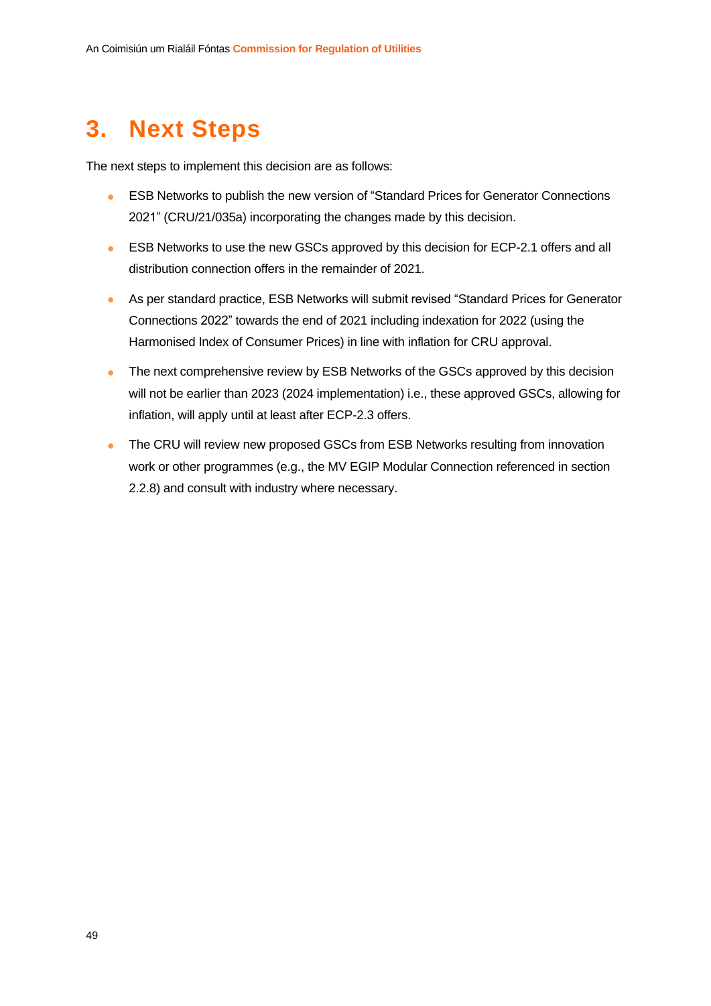# <span id="page-49-0"></span>**3. Next Steps**

The next steps to implement this decision are as follows:

- ESB Networks to publish the new version of "Standard Prices for Generator Connections 2021" (CRU/21/035a) incorporating the changes made by this decision.
- ESB Networks to use the new GSCs approved by this decision for ECP-2.1 offers and all distribution connection offers in the remainder of 2021.
- As per standard practice, ESB Networks will submit revised "Standard Prices for Generator Connections 2022" towards the end of 2021 including indexation for 2022 (using the Harmonised Index of Consumer Prices) in line with inflation for CRU approval.
- The next comprehensive review by ESB Networks of the GSCs approved by this decision will not be earlier than 2023 (2024 implementation) i.e., these approved GSCs, allowing for inflation, will apply until at least after ECP-2.3 offers.
- The CRU will review new proposed GSCs from ESB Networks resulting from innovation work or other programmes (e.g., the MV EGIP Modular Connection referenced in section 2.2.8) and consult with industry where necessary.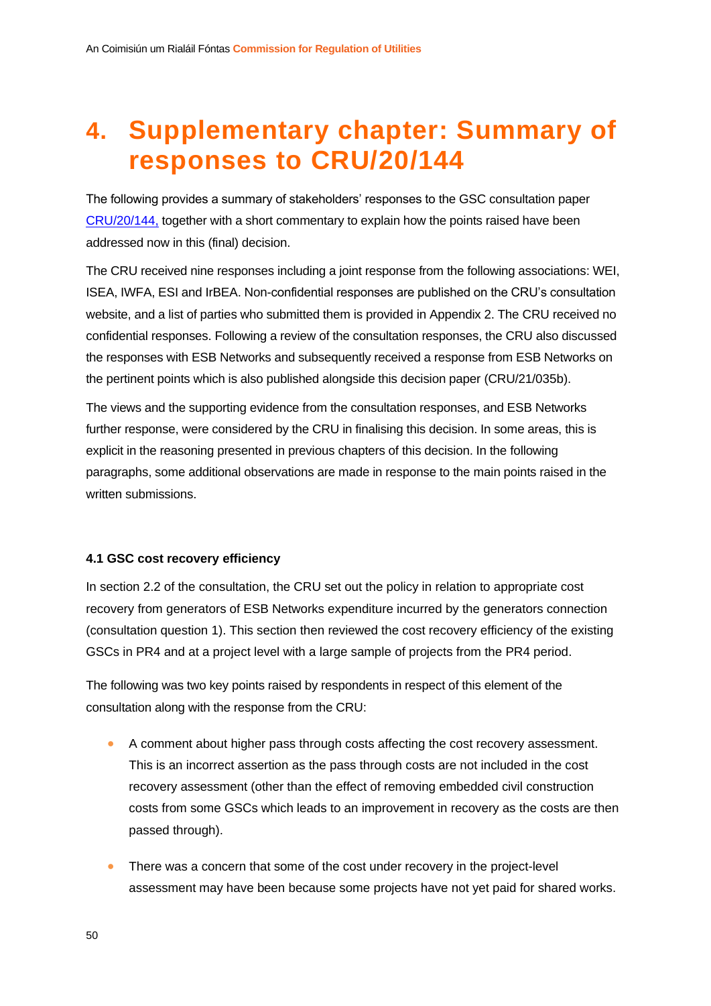# <span id="page-50-0"></span>**4. Supplementary chapter: Summary of responses to CRU/20/144**

The following provides a summary of stakeholders' responses to the GSC consultation paper [CRU/20/144,](https://www.cru.ie/wp-content/uploads/2020/12/CRU20144-ESB-Networks-2020-proposals-for-changes-to-Generator-Standard-Charges.pdf) together with a short commentary to explain how the points raised have been addressed now in this (final) decision.

The CRU received nine responses including a joint response from the following associations: WEI, ISEA, IWFA, ESI and IrBEA. Non-confidential responses are published on the CRU's consultation website, and a list of parties who submitted them is provided in Appendix 2. The CRU received no confidential responses. Following a review of the consultation responses, the CRU also discussed the responses with ESB Networks and subsequently received a response from ESB Networks on the pertinent points which is also published alongside this decision paper (CRU/21/035b).

The views and the supporting evidence from the consultation responses, and ESB Networks further response, were considered by the CRU in finalising this decision. In some areas, this is explicit in the reasoning presented in previous chapters of this decision. In the following paragraphs, some additional observations are made in response to the main points raised in the written submissions.

#### <span id="page-50-1"></span>**4.1 GSC cost recovery efficiency**

In section 2.2 of the consultation, the CRU set out the policy in relation to appropriate cost recovery from generators of ESB Networks expenditure incurred by the generators connection (consultation question 1). This section then reviewed the cost recovery efficiency of the existing GSCs in PR4 and at a project level with a large sample of projects from the PR4 period.

The following was two key points raised by respondents in respect of this element of the consultation along with the response from the CRU:

- A comment about higher pass through costs affecting the cost recovery assessment. This is an incorrect assertion as the pass through costs are not included in the cost recovery assessment (other than the effect of removing embedded civil construction costs from some GSCs which leads to an improvement in recovery as the costs are then passed through).
- There was a concern that some of the cost under recovery in the project-level assessment may have been because some projects have not yet paid for shared works.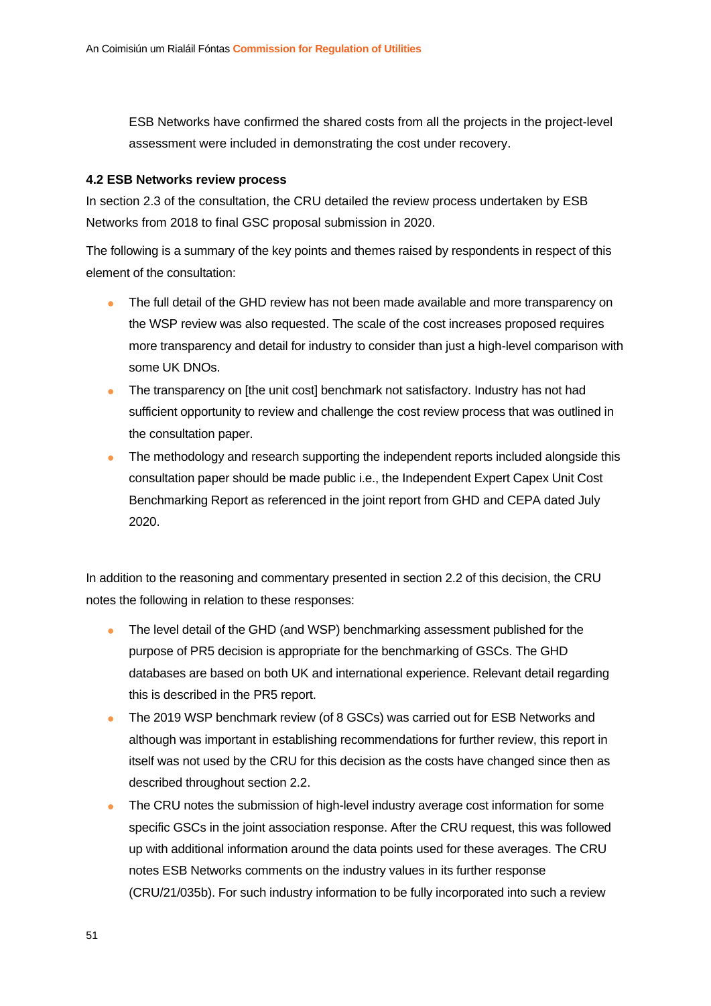ESB Networks have confirmed the shared costs from all the projects in the project-level assessment were included in demonstrating the cost under recovery.

#### <span id="page-51-0"></span>**4.2 ESB Networks review process**

In section 2.3 of the consultation, the CRU detailed the review process undertaken by ESB Networks from 2018 to final GSC proposal submission in 2020.

The following is a summary of the key points and themes raised by respondents in respect of this element of the consultation:

- The full detail of the GHD review has not been made available and more transparency on the WSP review was also requested. The scale of the cost increases proposed requires more transparency and detail for industry to consider than just a high-level comparison with some UK DNOs.
- The transparency on [the unit cost] benchmark not satisfactory. Industry has not had sufficient opportunity to review and challenge the cost review process that was outlined in the consultation paper.
- The methodology and research supporting the independent reports included alongside this consultation paper should be made public i.e., the Independent Expert Capex Unit Cost Benchmarking Report as referenced in the joint report from GHD and CEPA dated July 2020.

In addition to the reasoning and commentary presented in section 2.2 of this decision, the CRU notes the following in relation to these responses:

- The level detail of the GHD (and WSP) benchmarking assessment published for the purpose of PR5 decision is appropriate for the benchmarking of GSCs. The GHD databases are based on both UK and international experience. Relevant detail regarding this is described in the PR5 report.
- The 2019 WSP benchmark review (of 8 GSCs) was carried out for ESB Networks and although was important in establishing recommendations for further review, this report in itself was not used by the CRU for this decision as the costs have changed since then as described throughout section 2.2.
- The CRU notes the submission of high-level industry average cost information for some specific GSCs in the joint association response. After the CRU request, this was followed up with additional information around the data points used for these averages. The CRU notes ESB Networks comments on the industry values in its further response (CRU/21/035b). For such industry information to be fully incorporated into such a review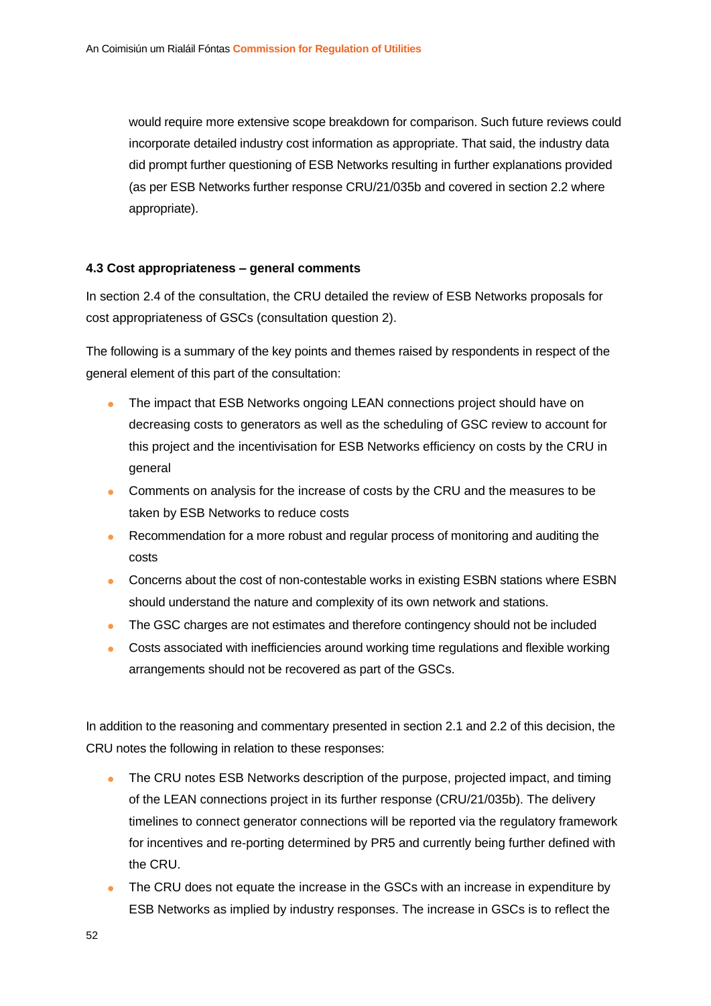would require more extensive scope breakdown for comparison. Such future reviews could incorporate detailed industry cost information as appropriate. That said, the industry data did prompt further questioning of ESB Networks resulting in further explanations provided (as per ESB Networks further response CRU/21/035b and covered in section 2.2 where appropriate).

#### <span id="page-52-0"></span>**4.3 Cost appropriateness – general comments**

In section 2.4 of the consultation, the CRU detailed the review of ESB Networks proposals for cost appropriateness of GSCs (consultation question 2).

The following is a summary of the key points and themes raised by respondents in respect of the general element of this part of the consultation:

- The impact that ESB Networks ongoing LEAN connections project should have on decreasing costs to generators as well as the scheduling of GSC review to account for this project and the incentivisation for ESB Networks efficiency on costs by the CRU in general
- Comments on analysis for the increase of costs by the CRU and the measures to be taken by ESB Networks to reduce costs
- Recommendation for a more robust and regular process of monitoring and auditing the costs
- Concerns about the cost of non-contestable works in existing ESBN stations where ESBN should understand the nature and complexity of its own network and stations.
- The GSC charges are not estimates and therefore contingency should not be included
- Costs associated with inefficiencies around working time regulations and flexible working arrangements should not be recovered as part of the GSCs.

In addition to the reasoning and commentary presented in section 2.1 and 2.2 of this decision, the CRU notes the following in relation to these responses:

- The CRU notes ESB Networks description of the purpose, projected impact, and timing of the LEAN connections project in its further response (CRU/21/035b). The delivery timelines to connect generator connections will be reported via the regulatory framework for incentives and re-porting determined by PR5 and currently being further defined with the CRU.
- The CRU does not equate the increase in the GSCs with an increase in expenditure by ESB Networks as implied by industry responses. The increase in GSCs is to reflect the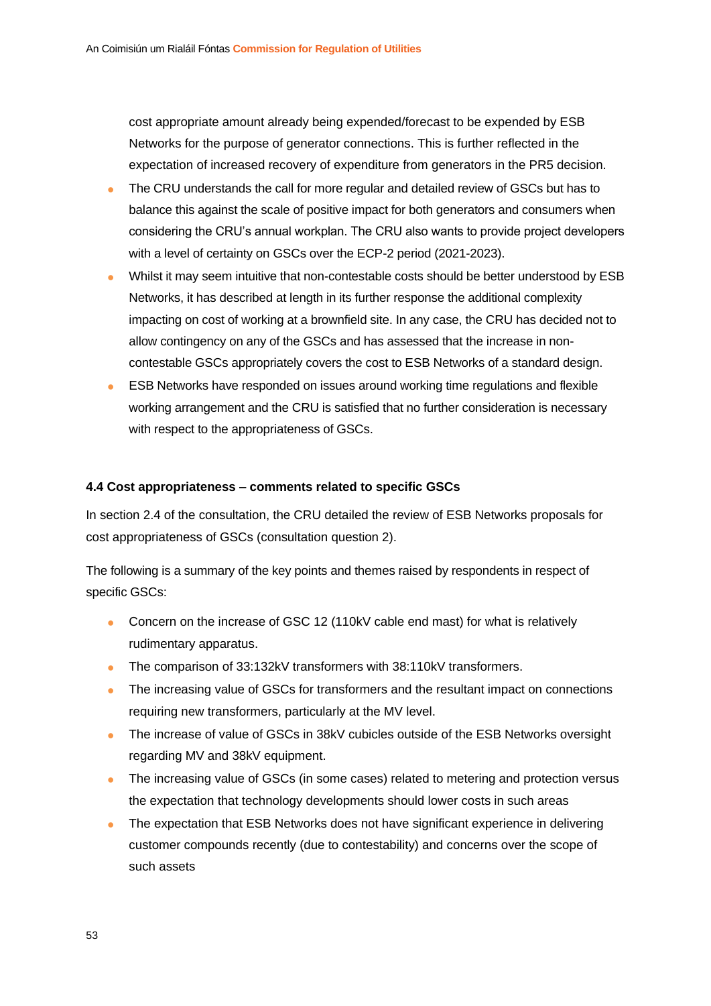cost appropriate amount already being expended/forecast to be expended by ESB Networks for the purpose of generator connections. This is further reflected in the expectation of increased recovery of expenditure from generators in the PR5 decision.

- The CRU understands the call for more regular and detailed review of GSCs but has to balance this against the scale of positive impact for both generators and consumers when considering the CRU's annual workplan. The CRU also wants to provide project developers with a level of certainty on GSCs over the ECP-2 period (2021-2023).
- Whilst it may seem intuitive that non-contestable costs should be better understood by ESB Networks, it has described at length in its further response the additional complexity impacting on cost of working at a brownfield site. In any case, the CRU has decided not to allow contingency on any of the GSCs and has assessed that the increase in noncontestable GSCs appropriately covers the cost to ESB Networks of a standard design.
- ESB Networks have responded on issues around working time regulations and flexible working arrangement and the CRU is satisfied that no further consideration is necessary with respect to the appropriateness of GSCs.

#### <span id="page-53-0"></span>**4.4 Cost appropriateness – comments related to specific GSCs**

In section 2.4 of the consultation, the CRU detailed the review of ESB Networks proposals for cost appropriateness of GSCs (consultation question 2).

The following is a summary of the key points and themes raised by respondents in respect of specific GSCs:

- Concern on the increase of GSC 12 (110kV cable end mast) for what is relatively rudimentary apparatus.
- The comparison of 33:132kV transformers with 38:110kV transformers.
- The increasing value of GSCs for transformers and the resultant impact on connections requiring new transformers, particularly at the MV level.
- The increase of value of GSCs in 38kV cubicles outside of the ESB Networks oversight regarding MV and 38kV equipment.
- The increasing value of GSCs (in some cases) related to metering and protection versus the expectation that technology developments should lower costs in such areas
- The expectation that ESB Networks does not have significant experience in delivering customer compounds recently (due to contestability) and concerns over the scope of such assets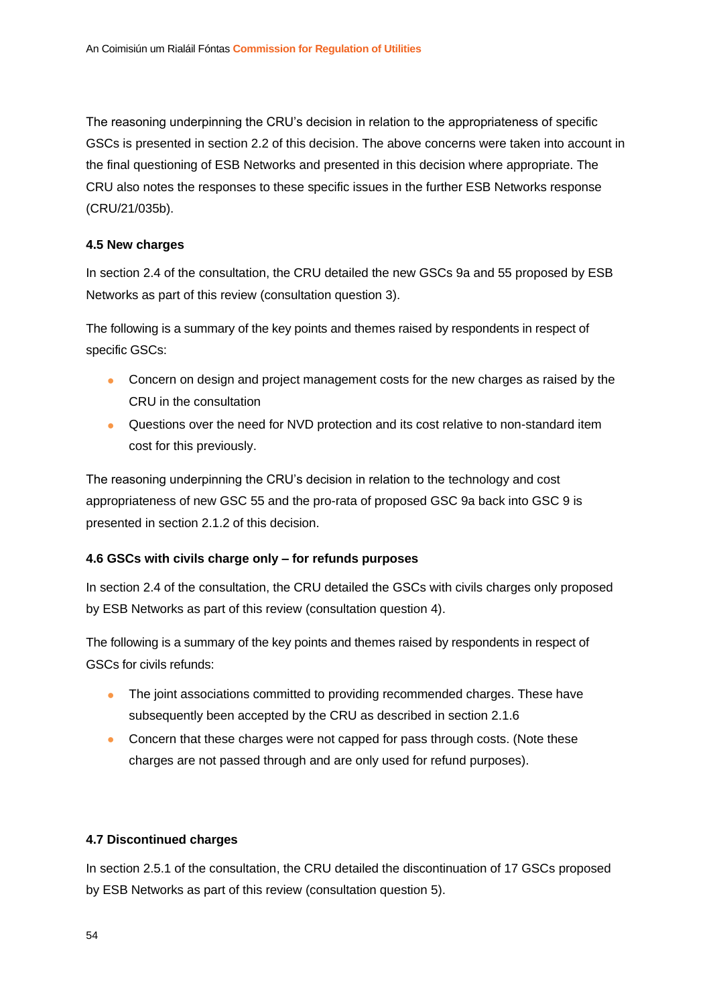The reasoning underpinning the CRU's decision in relation to the appropriateness of specific GSCs is presented in section 2.2 of this decision. The above concerns were taken into account in the final questioning of ESB Networks and presented in this decision where appropriate. The CRU also notes the responses to these specific issues in the further ESB Networks response (CRU/21/035b).

#### <span id="page-54-0"></span>**4.5 New charges**

In section 2.4 of the consultation, the CRU detailed the new GSCs 9a and 55 proposed by ESB Networks as part of this review (consultation question 3).

The following is a summary of the key points and themes raised by respondents in respect of specific GSCs:

- Concern on design and project management costs for the new charges as raised by the CRU in the consultation
- Questions over the need for NVD protection and its cost relative to non-standard item cost for this previously.

The reasoning underpinning the CRU's decision in relation to the technology and cost appropriateness of new GSC 55 and the pro-rata of proposed GSC 9a back into GSC 9 is presented in section 2.1.2 of this decision.

#### <span id="page-54-1"></span>**4.6 GSCs with civils charge only – for refunds purposes**

In section 2.4 of the consultation, the CRU detailed the GSCs with civils charges only proposed by ESB Networks as part of this review (consultation question 4).

The following is a summary of the key points and themes raised by respondents in respect of GSCs for civils refunds:

- The joint associations committed to providing recommended charges. These have subsequently been accepted by the CRU as described in section 2.1.6
- Concern that these charges were not capped for pass through costs. (Note these charges are not passed through and are only used for refund purposes).

#### <span id="page-54-2"></span>**4.7 Discontinued charges**

In section 2.5.1 of the consultation, the CRU detailed the discontinuation of 17 GSCs proposed by ESB Networks as part of this review (consultation question 5).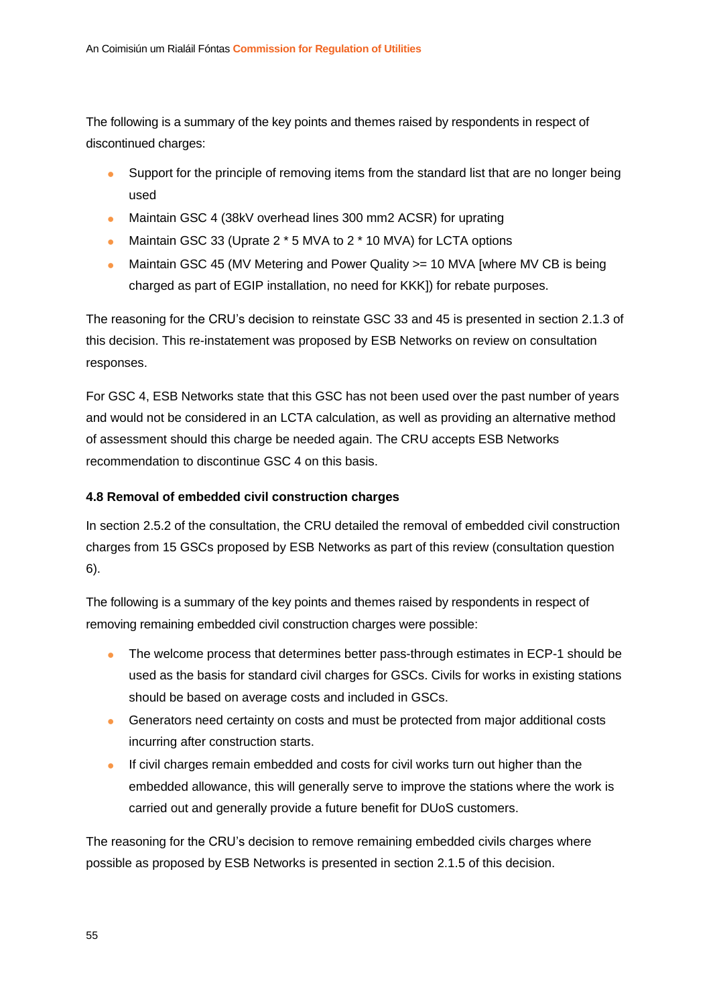The following is a summary of the key points and themes raised by respondents in respect of discontinued charges:

- Support for the principle of removing items from the standard list that are no longer being used
- Maintain GSC 4 (38kV overhead lines 300 mm2 ACSR) for uprating
- Maintain GSC 33 (Uprate 2 \* 5 MVA to 2 \* 10 MVA) for LCTA options
- Maintain GSC 45 (MV Metering and Power Quality > = 10 MVA [where MV CB is being charged as part of EGIP installation, no need for KKK]) for rebate purposes.

The reasoning for the CRU's decision to reinstate GSC 33 and 45 is presented in section 2.1.3 of this decision. This re-instatement was proposed by ESB Networks on review on consultation responses.

For GSC 4, ESB Networks state that this GSC has not been used over the past number of years and would not be considered in an LCTA calculation, as well as providing an alternative method of assessment should this charge be needed again. The CRU accepts ESB Networks recommendation to discontinue GSC 4 on this basis.

#### <span id="page-55-0"></span>**4.8 Removal of embedded civil construction charges**

In section 2.5.2 of the consultation, the CRU detailed the removal of embedded civil construction charges from 15 GSCs proposed by ESB Networks as part of this review (consultation question 6).

The following is a summary of the key points and themes raised by respondents in respect of removing remaining embedded civil construction charges were possible:

- The welcome process that determines better pass-through estimates in ECP-1 should be used as the basis for standard civil charges for GSCs. Civils for works in existing stations should be based on average costs and included in GSCs.
- Generators need certainty on costs and must be protected from major additional costs incurring after construction starts.
- If civil charges remain embedded and costs for civil works turn out higher than the embedded allowance, this will generally serve to improve the stations where the work is carried out and generally provide a future benefit for DUoS customers.

The reasoning for the CRU's decision to remove remaining embedded civils charges where possible as proposed by ESB Networks is presented in section 2.1.5 of this decision.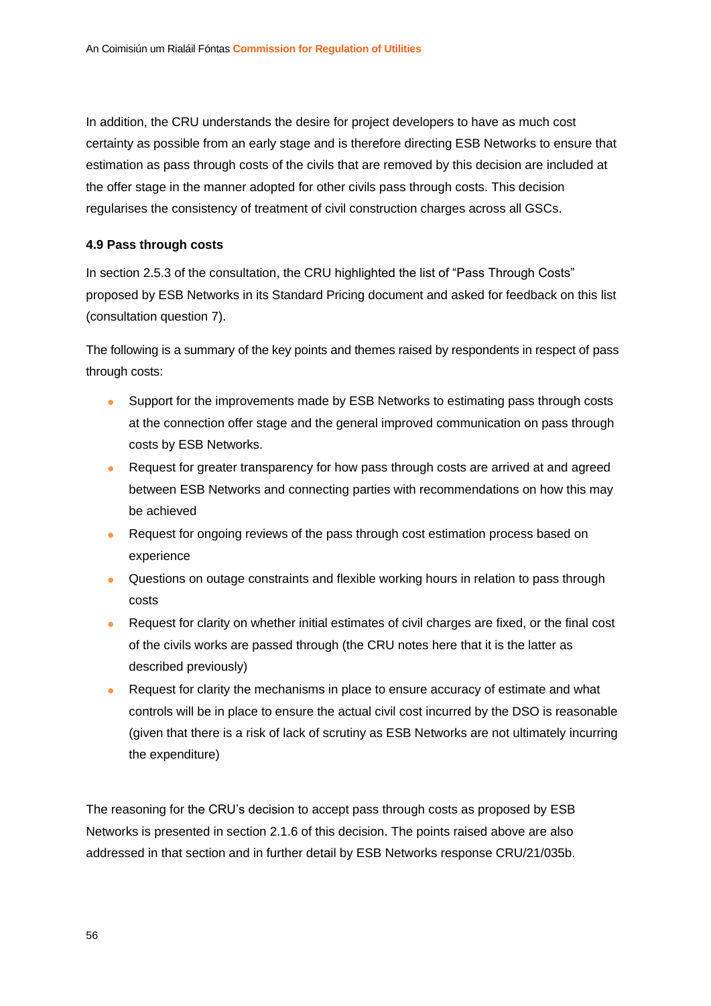In addition, the CRU understands the desire for project developers to have as much cost certainty as possible from an early stage and is therefore directing ESB Networks to ensure that estimation as pass through costs of the civils that are removed by this decision are included at the offer stage in the manner adopted for other civils pass through costs. This decision regularises the consistency of treatment of civil construction charges across all GSCs.

#### <span id="page-56-0"></span>**4.9 Pass through costs**

In section 2.5.3 of the consultation, the CRU highlighted the list of "Pass Through Costs" proposed by ESB Networks in its Standard Pricing document and asked for feedback on this list (consultation question 7).

The following is a summary of the key points and themes raised by respondents in respect of pass through costs:

- Support for the improvements made by ESB Networks to estimating pass through costs at the connection offer stage and the general improved communication on pass through costs by ESB Networks.
- Request for greater transparency for how pass through costs are arrived at and agreed between ESB Networks and connecting parties with recommendations on how this may be achieved
- Request for ongoing reviews of the pass through cost estimation process based on experience
- Questions on outage constraints and flexible working hours in relation to pass through costs
- Request for clarity on whether initial estimates of civil charges are fixed, or the final cost of the civils works are passed through (the CRU notes here that it is the latter as described previously)
- Request for clarity the mechanisms in place to ensure accuracy of estimate and what controls will be in place to ensure the actual civil cost incurred by the DSO is reasonable (given that there is a risk of lack of scrutiny as ESB Networks are not ultimately incurring the expenditure)

The reasoning for the CRU's decision to accept pass through costs as proposed by ESB Networks is presented in section 2.1.6 of this decision. The points raised above are also addressed in that section and in further detail by ESB Networks response CRU/21/035b.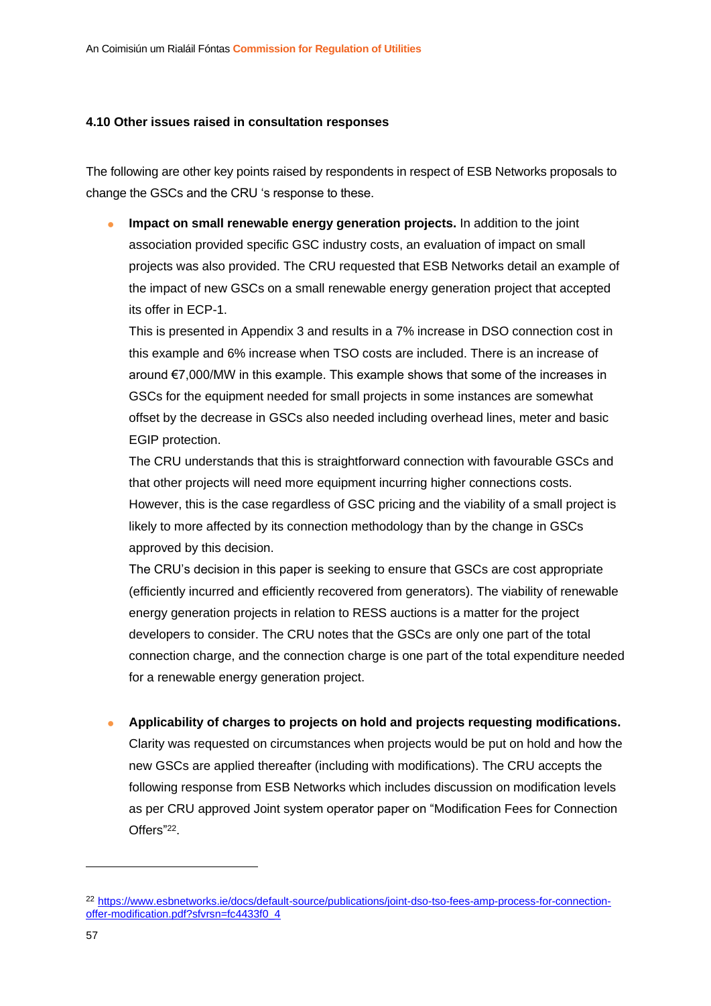#### <span id="page-57-0"></span>**4.10 Other issues raised in consultation responses**

The following are other key points raised by respondents in respect of ESB Networks proposals to change the GSCs and the CRU 's response to these.

• **Impact on small renewable energy generation projects.** In addition to the joint association provided specific GSC industry costs, an evaluation of impact on small projects was also provided. The CRU requested that ESB Networks detail an example of the impact of new GSCs on a small renewable energy generation project that accepted its offer in ECP-1.

This is presented in Appendix 3 and results in a 7% increase in DSO connection cost in this example and 6% increase when TSO costs are included. There is an increase of around €7,000/MW in this example. This example shows that some of the increases in GSCs for the equipment needed for small projects in some instances are somewhat offset by the decrease in GSCs also needed including overhead lines, meter and basic EGIP protection.

The CRU understands that this is straightforward connection with favourable GSCs and that other projects will need more equipment incurring higher connections costs. However, this is the case regardless of GSC pricing and the viability of a small project is likely to more affected by its connection methodology than by the change in GSCs approved by this decision.

The CRU's decision in this paper is seeking to ensure that GSCs are cost appropriate (efficiently incurred and efficiently recovered from generators). The viability of renewable energy generation projects in relation to RESS auctions is a matter for the project developers to consider. The CRU notes that the GSCs are only one part of the total connection charge, and the connection charge is one part of the total expenditure needed for a renewable energy generation project.

• **Applicability of charges to projects on hold and projects requesting modifications.**

Clarity was requested on circumstances when projects would be put on hold and how the new GSCs are applied thereafter (including with modifications). The CRU accepts the following response from ESB Networks which includes discussion on modification levels as per CRU approved Joint system operator paper on "Modification Fees for Connection Offers"<sup>22</sup>.

<sup>22</sup> [https://www.esbnetworks.ie/docs/default-source/publications/joint-dso-tso-fees-amp-process-for-connection](https://www.esbnetworks.ie/docs/default-source/publications/joint-dso-tso-fees-amp-process-for-connection-offer-modification.pdf?sfvrsn=fc4433f0_4)[offer-modification.pdf?sfvrsn=fc4433f0\\_4](https://www.esbnetworks.ie/docs/default-source/publications/joint-dso-tso-fees-amp-process-for-connection-offer-modification.pdf?sfvrsn=fc4433f0_4)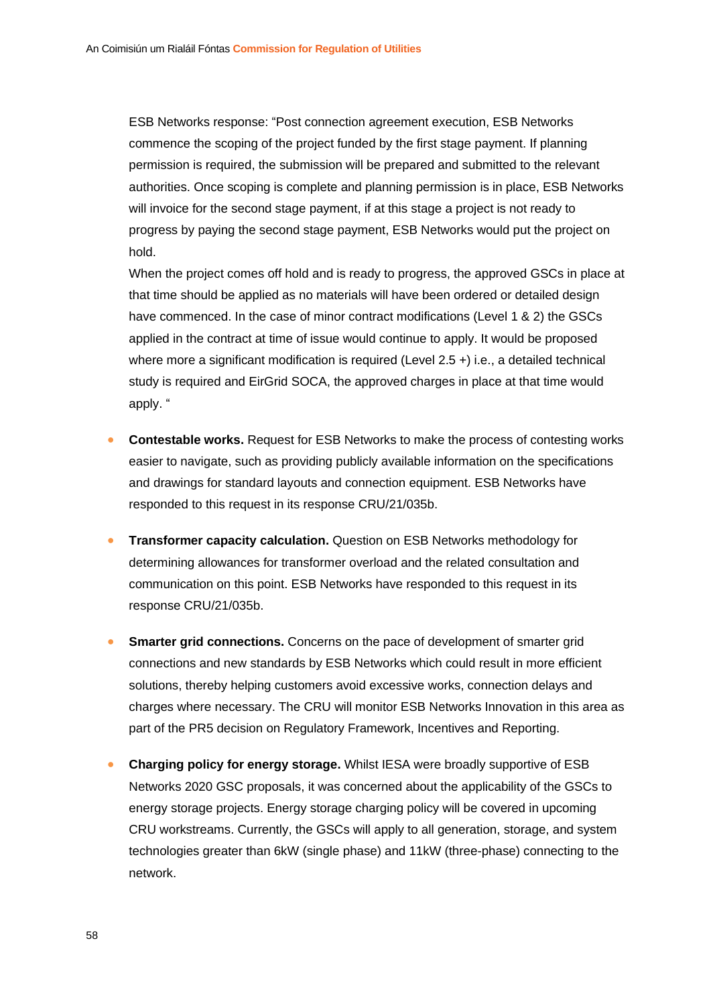ESB Networks response: "Post connection agreement execution, ESB Networks commence the scoping of the project funded by the first stage payment. If planning permission is required, the submission will be prepared and submitted to the relevant authorities. Once scoping is complete and planning permission is in place, ESB Networks will invoice for the second stage payment, if at this stage a project is not ready to progress by paying the second stage payment, ESB Networks would put the project on hold.

When the project comes off hold and is ready to progress, the approved GSCs in place at that time should be applied as no materials will have been ordered or detailed design have commenced. In the case of minor contract modifications (Level 1 & 2) the GSCs applied in the contract at time of issue would continue to apply. It would be proposed where more a significant modification is required (Level 2.5 +) i.e., a detailed technical study is required and EirGrid SOCA, the approved charges in place at that time would apply. "

- **Contestable works.** Request for ESB Networks to make the process of contesting works easier to navigate, such as providing publicly available information on the specifications and drawings for standard layouts and connection equipment. ESB Networks have responded to this request in its response CRU/21/035b.
- **Transformer capacity calculation.** Question on ESB Networks methodology for determining allowances for transformer overload and the related consultation and communication on this point. ESB Networks have responded to this request in its response CRU/21/035b.
- **Smarter grid connections.** Concerns on the pace of development of smarter grid connections and new standards by ESB Networks which could result in more efficient solutions, thereby helping customers avoid excessive works, connection delays and charges where necessary. The CRU will monitor ESB Networks Innovation in this area as part of the PR5 decision on Regulatory Framework, Incentives and Reporting.
- **Charging policy for energy storage.** Whilst IESA were broadly supportive of ESB Networks 2020 GSC proposals, it was concerned about the applicability of the GSCs to energy storage projects. Energy storage charging policy will be covered in upcoming CRU workstreams. Currently, the GSCs will apply to all generation, storage, and system technologies greater than 6kW (single phase) and 11kW (three-phase) connecting to the network.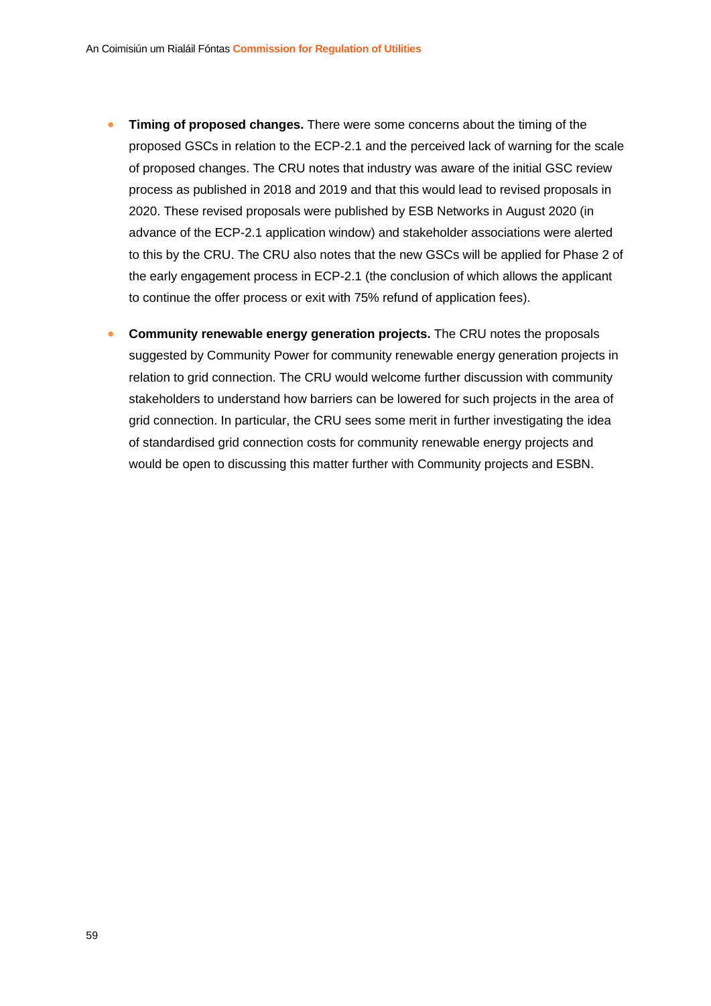- **Timing of proposed changes.** There were some concerns about the timing of the proposed GSCs in relation to the ECP-2.1 and the perceived lack of warning for the scale of proposed changes. The CRU notes that industry was aware of the initial GSC review process as published in 2018 and 2019 and that this would lead to revised proposals in 2020. These revised proposals were published by ESB Networks in August 2020 (in advance of the ECP-2.1 application window) and stakeholder associations were alerted to this by the CRU. The CRU also notes that the new GSCs will be applied for Phase 2 of the early engagement process in ECP-2.1 (the conclusion of which allows the applicant to continue the offer process or exit with 75% refund of application fees).
- **Community renewable energy generation projects.** The CRU notes the proposals suggested by Community Power for community renewable energy generation projects in relation to grid connection. The CRU would welcome further discussion with community stakeholders to understand how barriers can be lowered for such projects in the area of grid connection. In particular, the CRU sees some merit in further investigating the idea of standardised grid connection costs for community renewable energy projects and would be open to discussing this matter further with Community projects and ESBN.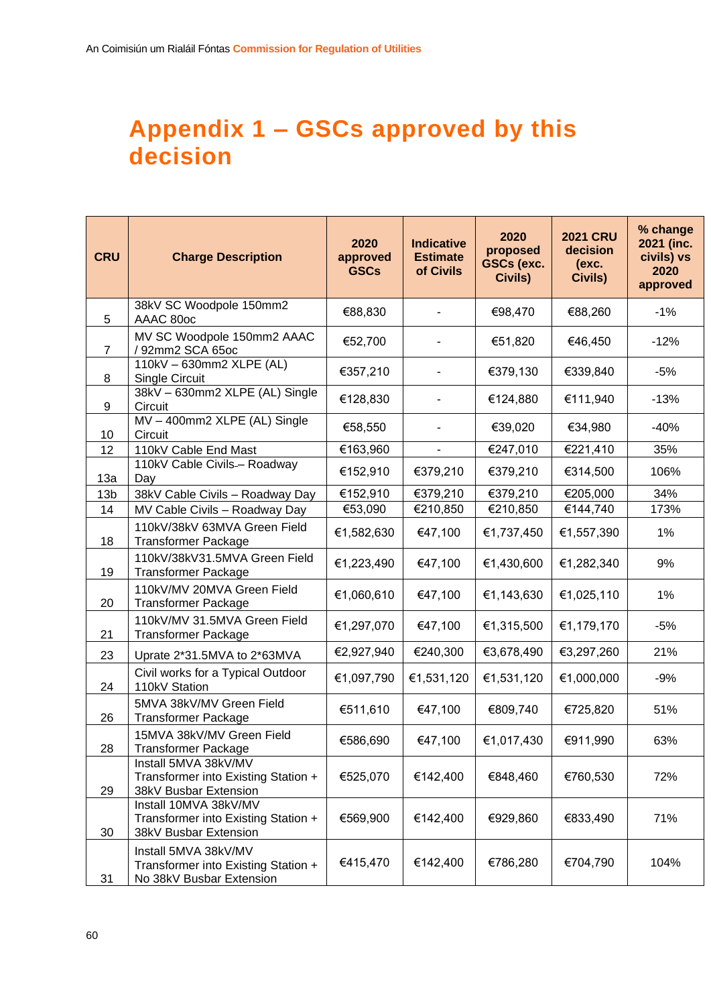# <span id="page-60-0"></span>**Appendix 1 – GSCs approved by this decision**

| <b>CRU</b>      | <b>Charge Description</b>                                                               | 2020<br>approved<br><b>GSCs</b> | <b>Indicative</b><br><b>Estimate</b><br>of Civils | 2020<br>proposed<br><b>GSCs (exc.</b><br>Civils) | <b>2021 CRU</b><br>decision<br>(exc.<br><b>Civils)</b> | % change<br>2021 (inc.<br>civils) vs<br>2020<br>approved |
|-----------------|-----------------------------------------------------------------------------------------|---------------------------------|---------------------------------------------------|--------------------------------------------------|--------------------------------------------------------|----------------------------------------------------------|
| 5               | 38kV SC Woodpole 150mm2<br>AAAC 80oc                                                    | €88,830                         |                                                   | €98,470                                          | €88,260                                                | $-1%$                                                    |
| $\overline{7}$  | MV SC Woodpole 150mm2 AAAC<br>/ 92mm2 SCA 65oc                                          | €52,700                         |                                                   | €51,820                                          | €46,450                                                | $-12%$                                                   |
| 8               | 110kV - 630mm2 XLPE (AL)<br>Single Circuit                                              | €357,210                        |                                                   | €379,130                                         | €339,840                                               | $-5%$                                                    |
| 9               | 38kV - 630mm2 XLPE (AL) Single<br>Circuit                                               | €128,830                        |                                                   | €124,880                                         | €111,940                                               | $-13%$                                                   |
| 10              | MV-400mm2 XLPE (AL) Single<br>Circuit                                                   | €58,550                         |                                                   | €39,020                                          | €34,980                                                | $-40%$                                                   |
| 12              | 110kV Cable End Mast                                                                    | €163,960                        | $\blacksquare$                                    | €247,010                                         | €221,410                                               | 35%                                                      |
| 13a             | 110kV Cable Civils- Roadway<br>Day                                                      | €152,910                        | €379,210                                          | €379,210                                         | €314,500                                               | 106%                                                     |
| 13 <sub>b</sub> | 38kV Cable Civils - Roadway Day                                                         | €152,910                        | €379,210                                          | €379,210                                         | €205,000                                               | 34%                                                      |
| 14              | MV Cable Civils - Roadway Day                                                           | €53,090                         | €210,850                                          | €210,850                                         | €144,740                                               | 173%                                                     |
| 18              | 110kV/38kV 63MVA Green Field<br><b>Transformer Package</b>                              | €1,582,630                      | €47,100                                           | €1,737,450                                       | €1,557,390                                             | 1%                                                       |
| 19              | 110kV/38kV31.5MVA Green Field<br><b>Transformer Package</b>                             | €1,223,490                      | €47,100                                           | €1,430,600                                       | €1,282,340                                             | 9%                                                       |
| 20              | 110kV/MV 20MVA Green Field<br><b>Transformer Package</b>                                | €1,060,610                      | €47,100                                           | €1,143,630                                       | €1,025,110                                             | $1\%$                                                    |
| 21              | 110kV/MV 31.5MVA Green Field<br><b>Transformer Package</b>                              | €1,297,070                      | €47,100                                           | €1,315,500                                       | €1,179,170                                             | $-5%$                                                    |
| 23              | Uprate 2*31.5MVA to 2*63MVA                                                             | €2,927,940                      | €240,300                                          | €3,678,490                                       | €3,297,260                                             | 21%                                                      |
| 24              | Civil works for a Typical Outdoor<br>110kV Station                                      | €1,097,790                      | €1,531,120                                        | €1,531,120                                       | €1,000,000                                             | $-9%$                                                    |
| 26              | 5MVA 38kV/MV Green Field<br><b>Transformer Package</b>                                  | €511,610                        | €47,100                                           | €809,740                                         | €725,820                                               | 51%                                                      |
| 28              | 15MVA 38kV/MV Green Field<br>Transformer Package                                        | €586,690                        | €47,100                                           | €1,017,430                                       | €911,990                                               | 63%                                                      |
| 29              | Install 5MVA 38kV/MV<br>Transformer into Existing Station +<br>38kV Busbar Extension    | €525,070                        | €142,400                                          | €848,460                                         | €760,530                                               | 72%                                                      |
| 30              | Install 10MVA 38kV/MV<br>Transformer into Existing Station +<br>38kV Busbar Extension   | €569,900                        | €142,400                                          | €929,860                                         | €833,490                                               | 71%                                                      |
| 31              | Install 5MVA 38kV/MV<br>Transformer into Existing Station +<br>No 38kV Busbar Extension | €415,470                        | €142,400                                          | €786,280                                         | €704,790                                               | 104%                                                     |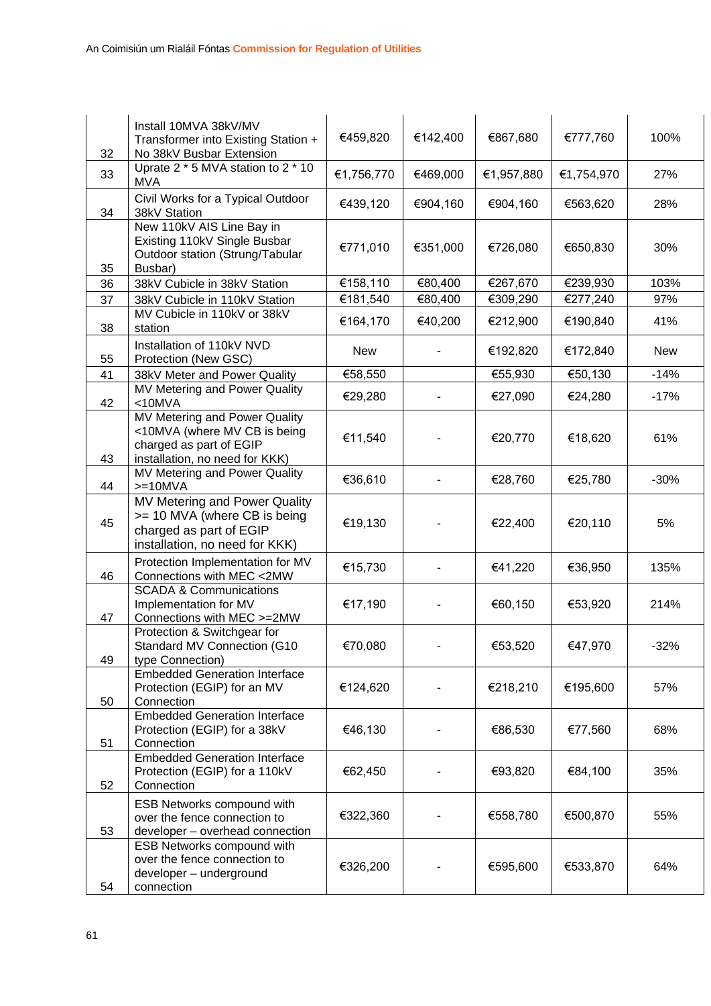| 32       | Install 10MVA 38kV/MV<br>Transformer into Existing Station +<br>No 38kV Busbar Extension                                                 | €459,820   | €142,400 | €867,680   | €777,760   | 100%       |
|----------|------------------------------------------------------------------------------------------------------------------------------------------|------------|----------|------------|------------|------------|
| 33       | Uprate 2 * 5 MVA station to 2 * 10<br><b>MVA</b>                                                                                         | €1,756,770 | €469,000 | €1,957,880 | €1,754,970 | 27%        |
| 34       | Civil Works for a Typical Outdoor<br>38kV Station                                                                                        | €439,120   | €904,160 | €904,160   | €563,620   | 28%        |
| 35       | New 110kV AIS Line Bay in<br>Existing 110kV Single Busbar<br>Outdoor station (Strung/Tabular<br>Busbar)                                  | €771,010   | €351,000 | €726,080   | €650,830   | 30%        |
| 36       | 38kV Cubicle in 38kV Station                                                                                                             | €158,110   | €80,400  | €267,670   | €239,930   | 103%       |
| 37       | 38kV Cubicle in 110kV Station                                                                                                            | €181,540   | €80,400  | €309,290   | €277,240   | 97%        |
| 38       | MV Cubicle in 110kV or 38kV<br>station                                                                                                   | €164,170   | €40,200  | €212,900   | €190,840   | 41%        |
| 55       | Installation of 110kV NVD<br>Protection (New GSC)                                                                                        | New        |          | €192,820   | €172,840   | <b>New</b> |
| 41       | 38kV Meter and Power Quality                                                                                                             | €58,550    |          | €55,930    | €50,130    | $-14%$     |
| 42       | MV Metering and Power Quality<br>$<$ 10MVA                                                                                               | €29,280    |          | €27,090    | €24,280    | $-17%$     |
| 43       | MV Metering and Power Quality<br><10MVA (where MV CB is being<br>charged as part of EGIP<br>installation, no need for KKK)               | €11,540    |          | €20,770    | €18,620    | 61%        |
|          | MV Metering and Power Quality                                                                                                            | €36,610    |          | €28,760    | €25,780    | $-30%$     |
| 44<br>45 | $>=10$ MVA<br>MV Metering and Power Quality<br>>= 10 MVA (where CB is being<br>charged as part of EGIP<br>installation, no need for KKK) | €19,130    |          | €22,400    | €20,110    | 5%         |
| 46       | Protection Implementation for MV<br>Connections with MEC <2MW                                                                            | €15,730    |          | €41,220    | €36,950    | 135%       |
| 47       | <b>SCADA &amp; Communications</b><br>Implementation for MV<br>Connections with MEC >=2MW                                                 | €17,190    |          | €60,150    | €53,920    | 214%       |
| 49       | Protection & Switchgear for<br>Standard MV Connection (G10<br>type Connection)                                                           | €70,080    |          | €53,520    | €47,970    | 32%        |
| 50       | <b>Embedded Generation Interface</b><br>Protection (EGIP) for an MV<br>Connection                                                        | €124,620   |          | €218,210   | €195,600   | 57%        |
| 51       | <b>Embedded Generation Interface</b><br>Protection (EGIP) for a 38kV<br>Connection                                                       | €46,130    |          | €86,530    | €77,560    | 68%        |
| 52       | <b>Embedded Generation Interface</b><br>Protection (EGIP) for a 110kV<br>Connection                                                      | €62,450    |          | €93,820    | €84,100    | 35%        |
| 53       | <b>ESB Networks compound with</b><br>over the fence connection to<br>developer - overhead connection                                     | €322,360   |          | €558,780   | €500,870   | 55%        |
| 54       | ESB Networks compound with<br>over the fence connection to<br>developer - underground<br>connection                                      | €326,200   |          | €595,600   | €533,870   | 64%        |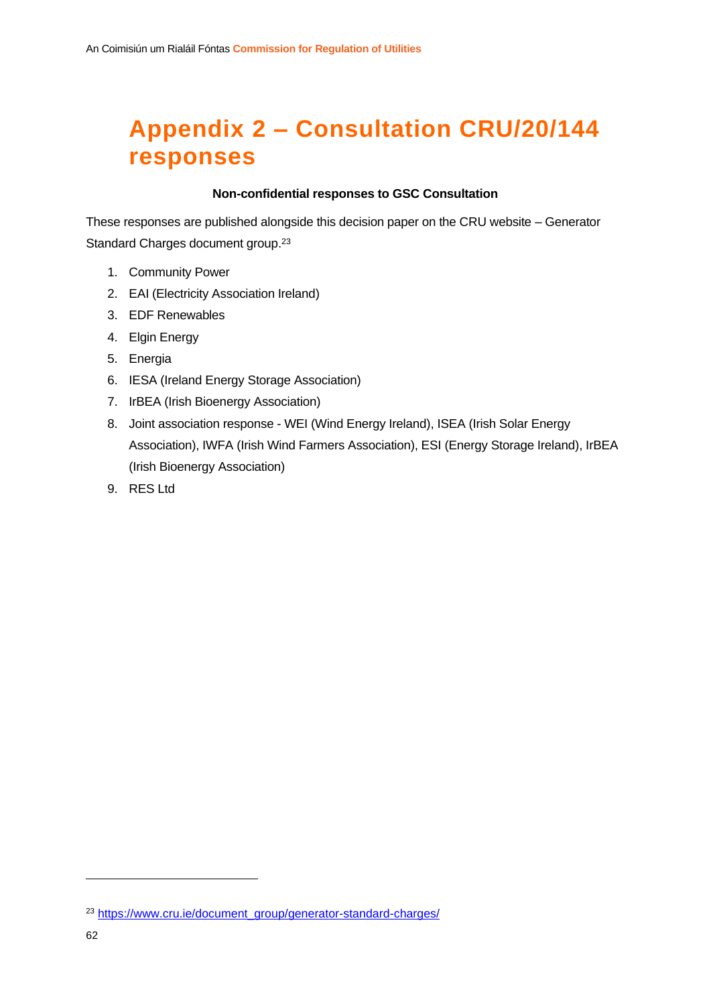# <span id="page-62-0"></span>**Appendix 2 – Consultation CRU/20/144 responses**

#### **Non-confidential responses to GSC Consultation**

These responses are published alongside this decision paper on the CRU website – Generator Standard Charges document group.<sup>23</sup>

- 1. Community Power
- 2. EAI (Electricity Association Ireland)
- 3. EDF Renewables
- 4. Elgin Energy
- 5. Energia
- 6. IESA (Ireland Energy Storage Association)
- 7. IrBEA (Irish Bioenergy Association)
- 8. Joint association response WEI (Wind Energy Ireland), ISEA (Irish Solar Energy Association), IWFA (Irish Wind Farmers Association), ESI (Energy Storage Ireland), IrBEA (Irish Bioenergy Association)
- 9. RES Ltd

<sup>23</sup> [https://www.cru.ie/document\\_group/generator-standard-charges/](https://www.cru.ie/document_group/generator-standard-charges/)